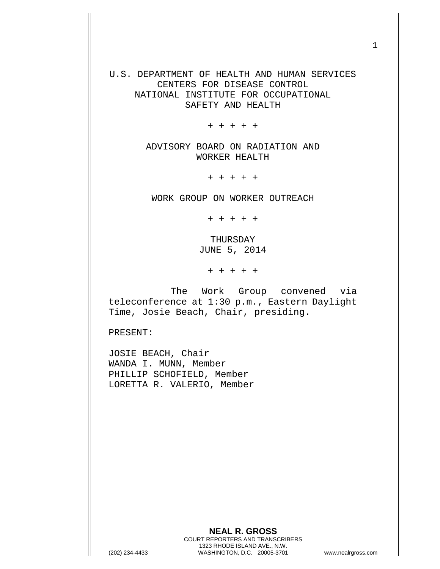U.S. DEPARTMENT OF HEALTH AND HUMAN SERVICES CENTERS FOR DISEASE CONTROL NATIONAL INSTITUTE FOR OCCUPATIONAL SAFETY AND HEALTH

+ + + + +

ADVISORY BOARD ON RADIATION AND WORKER HEALTH

+ + + + +

WORK GROUP ON WORKER OUTREACH

+ + + + +

THURSDAY JUNE 5, 2014

+ + + + +

The Work Group convened via teleconference at 1:30 p.m., Eastern Daylight Time, Josie Beach, Chair, presiding.

PRESENT:

JOSIE BEACH, Chair WANDA I. MUNN, Member PHILLIP SCHOFIELD, Member LORETTA R. VALERIO, Member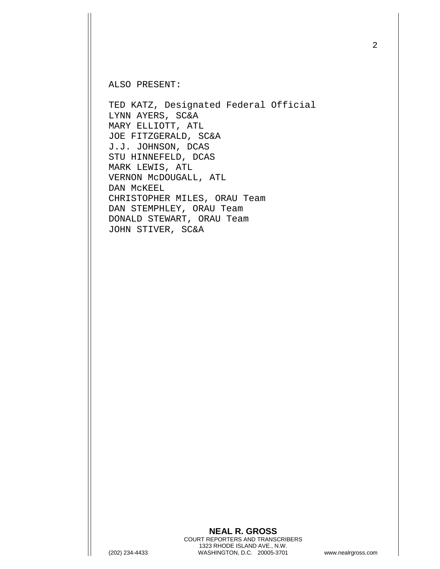ALSO PRESENT:

TED KATZ, Designated Federal Official LYNN AYERS, SC&A MARY ELLIOTT, ATL JOE FITZGERALD, SC&A J.J. JOHNSON, DCAS STU HINNEFELD, DCAS MARK LEWIS, ATL VERNON McDOUGALL, ATL DAN McKEEL CHRISTOPHER MILES, ORAU Team DAN STEMPHLEY, ORAU Team DONALD STEWART, ORAU Team JOHN STIVER, SC&A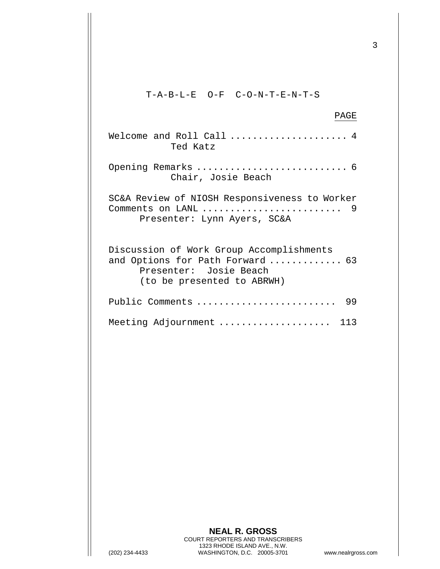T-A-B-L-E O-F C-O-N-T-E-N-T-S

## PAGE

| Welcome and Roll Call<br>Ted Katz                                                                                                    |
|--------------------------------------------------------------------------------------------------------------------------------------|
| Chair, Josie Beach                                                                                                                   |
| SC&A Review of NIOSH Responsiveness to Worker<br>Presenter: Lynn Ayers, SC&A                                                         |
| Discussion of Work Group Accomplishments<br>and Options for Path Forward  63<br>Presenter: Josie Beach<br>(to be presented to ABRWH) |
| 99<br>Public Comments                                                                                                                |
| Meeting Adjournment<br>113                                                                                                           |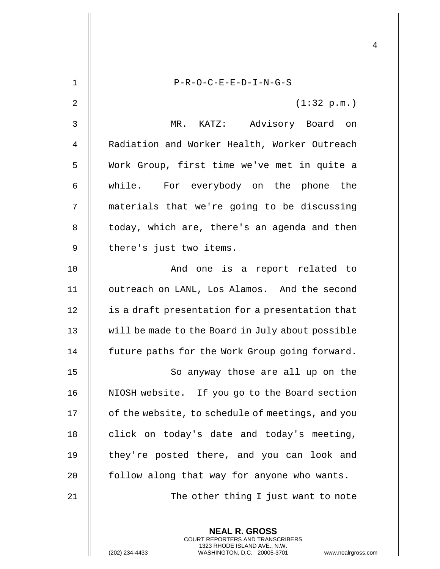COURT REPORTERS AND TRANSCRIBERS 1323 RHODE ISLAND AVE., N.W.

(202) 234-4433 WASHINGTON, D.C. 20005-3701 www.nealrgross.com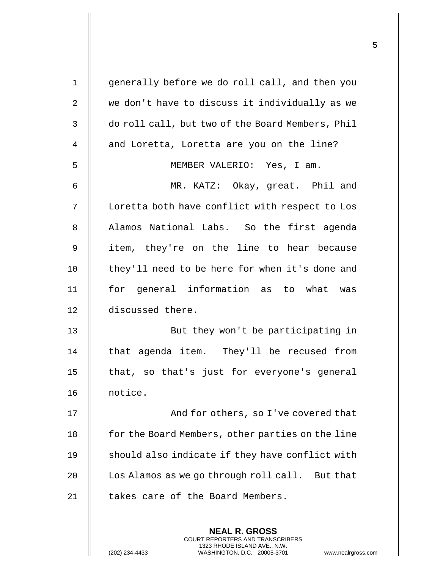| $\mathbf 1$    | generally before we do roll call, and then you   |
|----------------|--------------------------------------------------|
| $\overline{2}$ | we don't have to discuss it individually as we   |
| 3              | do roll call, but two of the Board Members, Phil |
| 4              | and Loretta, Loretta are you on the line?        |
| 5              | MEMBER VALERIO: Yes, I am.                       |
| 6              | MR. KATZ: Okay, great. Phil and                  |
| 7              | Loretta both have conflict with respect to Los   |
| 8              | Alamos National Labs. So the first agenda        |
| 9              | item, they're on the line to hear because        |
| 10             | they'll need to be here for when it's done and   |
| 11             | for general information as to what was           |
| 12             | discussed there.                                 |
| 13             | But they won't be participating in               |
| 14             | that agenda item. They'll be recused from        |
| 15             | that, so that's just for everyone's general      |
| 16             | notice.                                          |
| 17             | And for others, so I've covered that             |
| 18             | for the Board Members, other parties on the line |
| 19             | should also indicate if they have conflict with  |
| 20             | Los Alamos as we go through roll call. But that  |
| 21             | takes care of the Board Members.                 |
|                |                                                  |
|                | <b>NEAL R. GROSS</b>                             |

COURT REPORTERS AND TRANSCRIBERS 1323 RHODE ISLAND AVE., N.W.

 $\prod$ 

(202) 234-4433 WASHINGTON, D.C. 20005-3701 www.nealrgross.com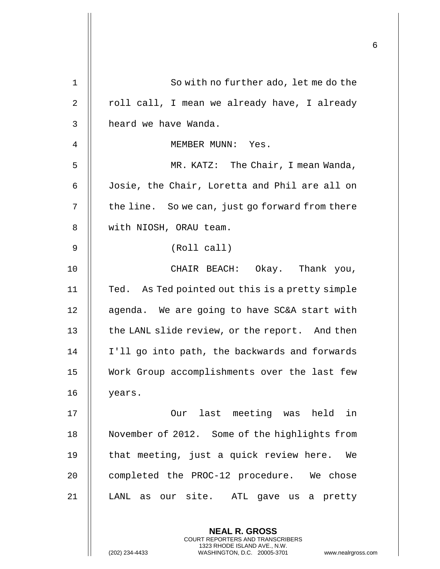| $\mathbf 1$ | So with no further ado, let me do the                                                                                                                        |
|-------------|--------------------------------------------------------------------------------------------------------------------------------------------------------------|
| 2           | roll call, I mean we already have, I already                                                                                                                 |
| 3           | heard we have Wanda.                                                                                                                                         |
| 4           | MEMBER MUNN: Yes.                                                                                                                                            |
| 5           | MR. KATZ: The Chair, I mean Wanda,                                                                                                                           |
| 6           | Josie, the Chair, Loretta and Phil are all on                                                                                                                |
| 7           | the line. So we can, just go forward from there                                                                                                              |
| 8           | with NIOSH, ORAU team.                                                                                                                                       |
| 9           | (Roll call)                                                                                                                                                  |
| 10          | CHAIR BEACH: Okay. Thank you,                                                                                                                                |
| 11          | Ted. As Ted pointed out this is a pretty simple                                                                                                              |
| 12          | agenda. We are going to have SC&A start with                                                                                                                 |
| 13          | the LANL slide review, or the report. And then                                                                                                               |
| 14          | I'll go into path, the backwards and forwards                                                                                                                |
| 15          | Work Group accomplishments over the last few                                                                                                                 |
| 16          | years.                                                                                                                                                       |
| 17          | Our last meeting was held<br>in                                                                                                                              |
| 18          | November of 2012. Some of the highlights from                                                                                                                |
| 19          | that meeting, just a quick review here.<br>We                                                                                                                |
| 20          | completed the PROC-12 procedure. We chose                                                                                                                    |
| 21          | LANL as our site. ATL gave us a pretty                                                                                                                       |
|             | <b>NEAL R. GROSS</b><br>COURT REPORTERS AND TRANSCRIBERS<br>1323 RHODE ISLAND AVE., N.W.<br>(202) 234-4433<br>WASHINGTON, D.C. 20005-3701<br>www.nealrgross. |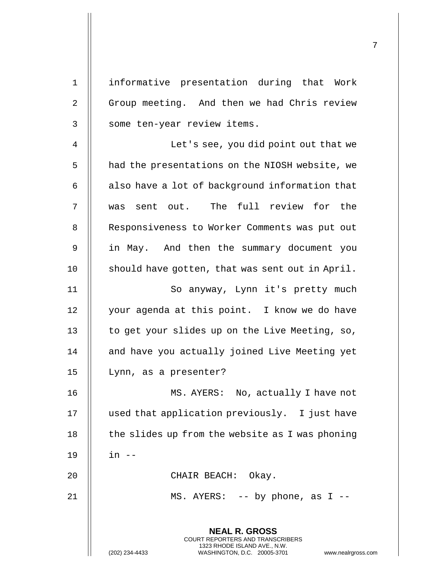| $\mathbf 1$ | informative presentation during that Work                                                |
|-------------|------------------------------------------------------------------------------------------|
| 2           | Group meeting. And then we had Chris review                                              |
| 3           | some ten-year review items.                                                              |
| 4           | Let's see, you did point out that we                                                     |
| 5           | had the presentations on the NIOSH website, we                                           |
| 6           | also have a lot of background information that                                           |
| 7           | was sent out. The full review for the                                                    |
| 8           | Responsiveness to Worker Comments was put out                                            |
| 9           | in May. And then the summary document you                                                |
| 10          | should have gotten, that was sent out in April.                                          |
| 11          | So anyway, Lynn it's pretty much                                                         |
| 12          | your agenda at this point. I know we do have                                             |
| 13          | to get your slides up on the Live Meeting, so,                                           |
| 14          | and have you actually joined Live Meeting yet                                            |
| 15          | Lynn, as a presenter?                                                                    |
| 16          | MS. AYERS: No, actually I have not                                                       |
| 17          | used that application previously. I just have                                            |
| 18          | the slides up from the website as I was phoning                                          |
| 19          | $in$ $--$                                                                                |
| 20          | CHAIR BEACH: Okay.                                                                       |
| 21          | MS. AYERS: $-$ - by phone, as I $-$ -                                                    |
|             |                                                                                          |
|             | <b>NEAL R. GROSS</b><br>COURT REPORTERS AND TRANSCRIBERS<br>1323 RHODE ISLAND AVE., N.W. |
|             | (202) 234-4433<br>WASHINGTON, D.C. 20005-3701<br>www.nealrgross.com                      |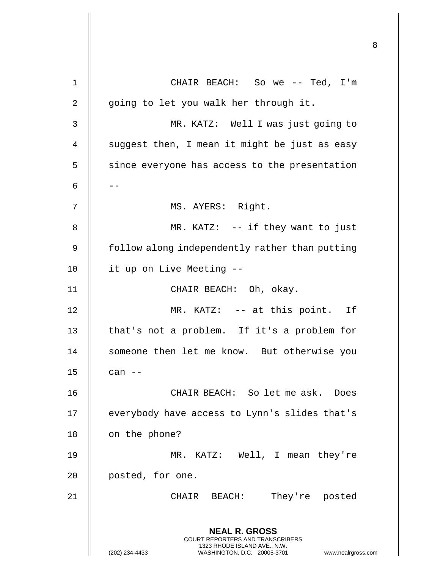**NEAL R. GROSS** COURT REPORTERS AND TRANSCRIBERS 1323 RHODE ISLAND AVE., N.W. (202) 234-4433 WASHINGTON, D.C. 20005-3701 www.nealrgross.com 1 || CHAIR BEACH: So we -- Ted, I'm  $2 \parallel$  going to let you walk her through it. 3 MR. KATZ: Well I was just going to  $4$  | suggest then, I mean it might be just as easy  $5$  | since everyone has access to the presentation 6 |  $-$ 7 || MS. AYERS: Right. 8 || MR. KATZ: -- if they want to just 9 | follow along independently rather than putting 10 | it up on Live Meeting --11 CHAIR BEACH: Oh, okay. 12 || MR. KATZ: -- at this point. If 13 || that's not a problem. If it's a problem for 14 || someone then let me know. But otherwise you  $15$   $\parallel$  can  $-$ 16 CHAIR BEACH: So let me ask. Does 17 | everybody have access to Lynn's slides that's 18 | on the phone? 19 MR. KATZ: Well, I mean they're 20 || posted, for one. 21 CHAIR BEACH: They're posted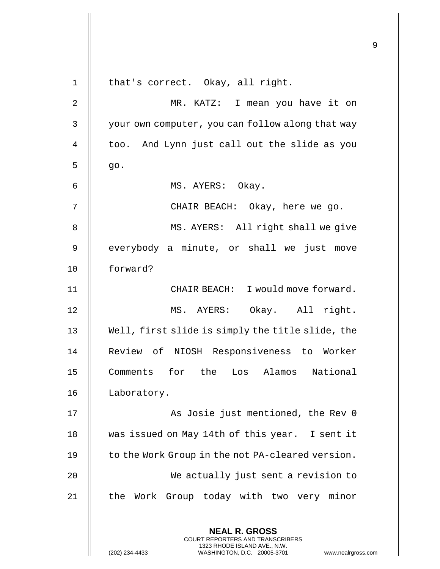| $\mathbf 1$    | that's correct. Okay, all right.                                                                                                                                    |
|----------------|---------------------------------------------------------------------------------------------------------------------------------------------------------------------|
| $\overline{2}$ | MR. KATZ: I mean you have it on                                                                                                                                     |
| 3              | your own computer, you can follow along that way                                                                                                                    |
| 4              | too. And Lynn just call out the slide as you                                                                                                                        |
| 5              | go.                                                                                                                                                                 |
| 6              | MS. AYERS: Okay.                                                                                                                                                    |
| 7              | CHAIR BEACH: Okay, here we go.                                                                                                                                      |
| 8              | MS. AYERS: All right shall we give                                                                                                                                  |
| 9              | everybody a minute, or shall we just move                                                                                                                           |
| 10             | forward?                                                                                                                                                            |
| 11             | CHAIR BEACH: I would move forward.                                                                                                                                  |
| 12             | MS. AYERS: Okay. All right.                                                                                                                                         |
| 13             | Well, first slide is simply the title slide, the                                                                                                                    |
| 14             | Review of NIOSH Responsiveness to Worker                                                                                                                            |
| 15             | Comments for the Los Alamos National                                                                                                                                |
| 16             | Laboratory.                                                                                                                                                         |
| 17             | As Josie just mentioned, the Rev 0                                                                                                                                  |
| 18             | was issued on May 14th of this year. I sent it                                                                                                                      |
| 19             | to the Work Group in the not PA-cleared version.                                                                                                                    |
| 20             | We actually just sent a revision to                                                                                                                                 |
| 21             | the Work Group today with two very minor                                                                                                                            |
|                | <b>NEAL R. GROSS</b><br><b>COURT REPORTERS AND TRANSCRIBERS</b><br>1323 RHODE ISLAND AVE., N.W.<br>(202) 234-4433<br>WASHINGTON, D.C. 20005-3701<br>www.nealrgross. |

 $\mathop{||}$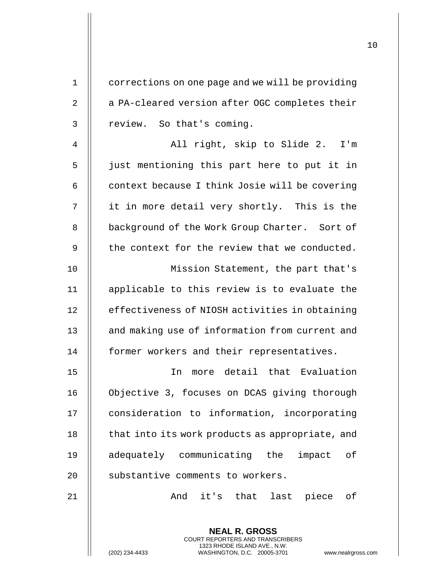| $\mathbf 1$    | corrections on one page and we will be providing |
|----------------|--------------------------------------------------|
| $\overline{2}$ | a PA-cleared version after OGC completes their   |
| 3              | review. So that's coming.                        |
| $\overline{4}$ | All right, skip to Slide 2. I'm                  |
| 5              | just mentioning this part here to put it in      |
| 6              | context because I think Josie will be covering   |
| 7              | it in more detail very shortly. This is the      |
| 8              | background of the Work Group Charter. Sort of    |
| 9              | the context for the review that we conducted.    |
| 10             | Mission Statement, the part that's               |
| 11             | applicable to this review is to evaluate the     |
| 12             | effectiveness of NIOSH activities in obtaining   |
| 13             | and making use of information from current and   |
| 14             | former workers and their representatives.        |
| 15             | more detail that Evaluation<br>In                |
| 16             | Objective 3, focuses on DCAS giving thorough     |
| 17             | consideration to information, incorporating      |
| 18             | that into its work products as appropriate, and  |
| 19             | adequately communicating the<br>impact of        |
| 20             | substantive comments to workers.                 |
| 21             | And it's that last piece of                      |
|                |                                                  |
|                | <b>NEAL R. GROSS</b>                             |

COURT REPORTERS AND TRANSCRIBERS 1323 RHODE ISLAND AVE., N.W.

 $\mathsf{II}$ 

(202) 234-4433 WASHINGTON, D.C. 20005-3701 www.nealrgross.com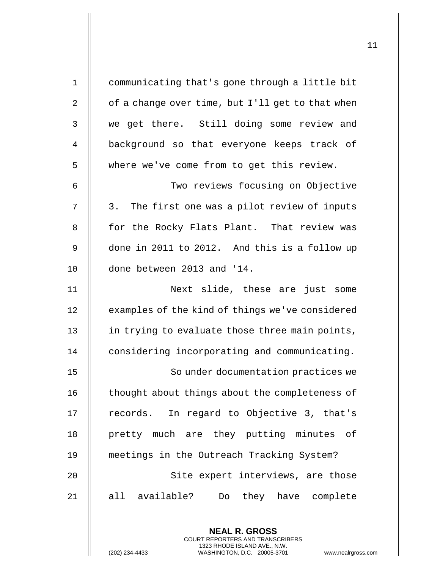| $\mathbf 1$    | communicating that's gone through a little bit   |
|----------------|--------------------------------------------------|
| $\overline{2}$ | of a change over time, but I'll get to that when |
| 3              | we get there. Still doing some review and        |
| 4              | background so that everyone keeps track of       |
| 5              | where we've come from to get this review.        |
| 6              | Two reviews focusing on Objective                |
| 7              | 3. The first one was a pilot review of inputs    |
| 8              | for the Rocky Flats Plant. That review was       |
| 9              | done in 2011 to 2012. And this is a follow up    |
| 10             | done between 2013 and '14.                       |
| 11             | Next slide, these are just some                  |
| 12             | examples of the kind of things we've considered  |
| 13             | in trying to evaluate those three main points,   |
| 14             | considering incorporating and communicating.     |
| 15             | So under documentation practices we              |
| 16             | thought about things about the completeness of   |
| 17             | records. In regard to Objective 3, that's        |
| 18             | pretty much are they putting minutes of          |
| 19             | meetings in the Outreach Tracking System?        |
| 20             | Site expert interviews, are those                |
| 21             | all available?<br>Do they have complete          |
|                |                                                  |

**NEAL R. GROSS** COURT REPORTERS AND TRANSCRIBERS

(202) 234-4433 WASHINGTON, D.C. 20005-3701 www.nealrgross.com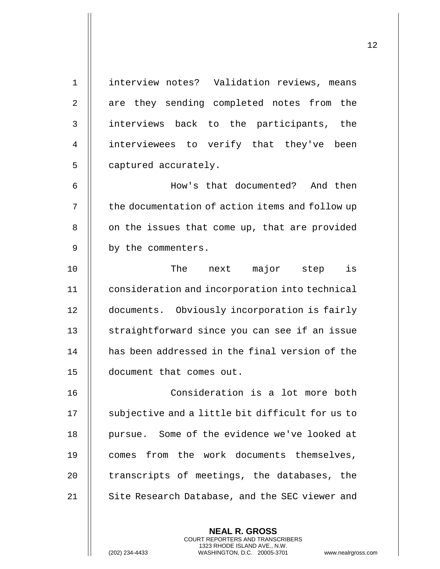| $\mathbf{1}$   | interview notes? Validation reviews, means      |
|----------------|-------------------------------------------------|
| $\overline{2}$ | are they sending completed notes from the       |
| 3              | interviews back to the participants, the        |
| 4              | interviewees to verify that they've been        |
| 5              | captured accurately.                            |
| 6              | How's that documented? And then                 |
| 7              | the documentation of action items and follow up |
| 8              | on the issues that come up, that are provided   |
| 9              | by the commenters.                              |
| 10             | The next major step is                          |
| 11             | consideration and incorporation into technical  |
| 12             | documents. Obviously incorporation is fairly    |
| 13             | straightforward since you can see if an issue   |
| 14             | has been addressed in the final version of the  |
| 15             | document that comes out.                        |
| 16             | Consideration is a lot more both                |
| 17             | subjective and a little bit difficult for us to |
| 18             | pursue. Some of the evidence we've looked at    |
| 19             | comes from the work documents themselves,       |
| 20             | transcripts of meetings, the databases, the     |
| 21             | Site Research Database, and the SEC viewer and  |
|                |                                                 |
|                | <b>NEAL R. GROSS</b>                            |

COURT REPORTERS AND TRANSCRIBERS 1323 RHODE ISLAND AVE., N.W.

 $\mathsf{II}$ 

(202) 234-4433 WASHINGTON, D.C. 20005-3701 www.nealrgross.com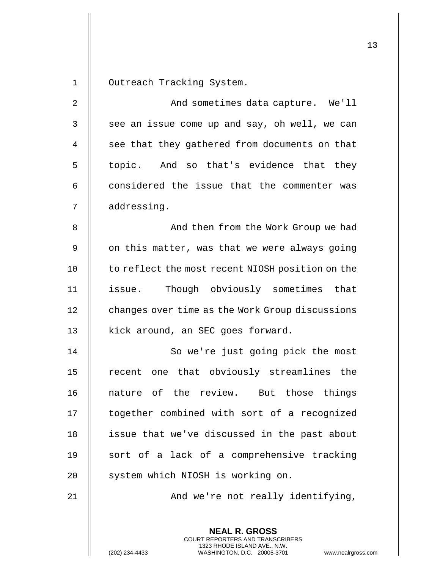**NEAL R. GROSS** COURT REPORTERS AND TRANSCRIBERS 1 | Outreach Tracking System. 2 | Robert And sometimes data capture. We'll  $3 \parallel$  see an issue come up and say, oh well, we can  $4$   $\parallel$  see that they gathered from documents on that  $5 \parallel$  topic. And so that's evidence that they  $6$   $\parallel$  considered the issue that the commenter was 7 addressing. 8 || And then from the Work Group we had  $9$  | on this matter, was that we were always going 10 | to reflect the most recent NIOSH position on the 11 issue. Though obviously sometimes that 12 | changes over time as the Work Group discussions 13 | kick around, an SEC goes forward. 14 || So we're just going pick the most 15 || recent one that obviously streamlines the 16 || nature of the review. But those things 17 || together combined with sort of a recognized 18 | issue that we've discussed in the past about 19  $\parallel$  sort of a lack of a comprehensive tracking 20 || system which NIOSH is working on. 21 || And we're not really identifying,

1323 RHODE ISLAND AVE., N.W.

(202) 234-4433 WASHINGTON, D.C. 20005-3701 www.nealrgross.com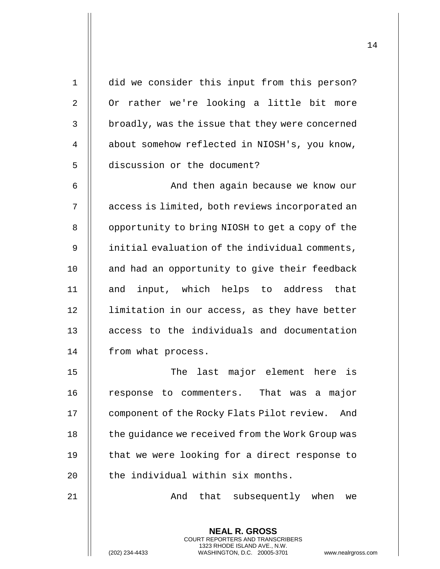| 1              | did we consider this input from this person?                                                                                              |
|----------------|-------------------------------------------------------------------------------------------------------------------------------------------|
| 2              | Or rather we're looking a little bit more                                                                                                 |
| 3              | broadly, was the issue that they were concerned                                                                                           |
| $\overline{4}$ | about somehow reflected in NIOSH's, you know,                                                                                             |
| 5              | discussion or the document?                                                                                                               |
| 6              | And then again because we know our                                                                                                        |
| 7              | access is limited, both reviews incorporated an                                                                                           |
| 8              | opportunity to bring NIOSH to get a copy of the                                                                                           |
| 9              | initial evaluation of the individual comments,                                                                                            |
| 10             | and had an opportunity to give their feedback                                                                                             |
| 11             | and input, which helps to address that                                                                                                    |
| 12             | limitation in our access, as they have better                                                                                             |
| 13             | access to the individuals and documentation                                                                                               |
| 14             | from what process.                                                                                                                        |
| 15             | The last major element here is                                                                                                            |
| 16             | response to commenters. That was a major                                                                                                  |
| 17             | component of the Rocky Flats Pilot review.<br>And                                                                                         |
| 18             | the guidance we received from the Work Group was                                                                                          |
| 19             | that we were looking for a direct response to                                                                                             |
| 20             | the individual within six months.                                                                                                         |
| 21             | And that subsequently when<br>we                                                                                                          |
|                | <b>NEAL R. GROSS</b>                                                                                                                      |
|                | <b>COURT REPORTERS AND TRANSCRIBERS</b><br>1323 RHODE ISLAND AVE., N.W.<br>WASHINGTON, D.C. 20005-3701<br>(202) 234-4433<br>www.nealrgros |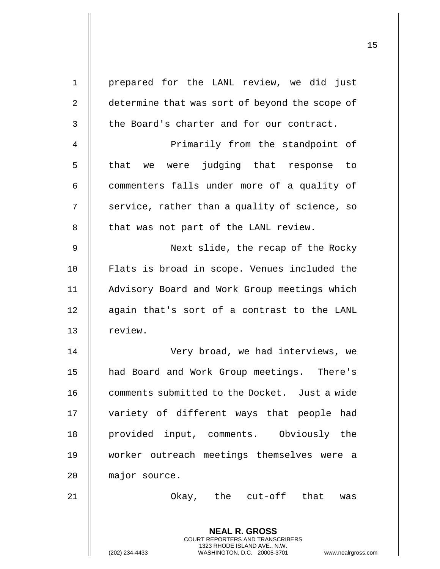| $\mathbf 1$ | prepared for the LANL review, we did just                                                                                                                          |
|-------------|--------------------------------------------------------------------------------------------------------------------------------------------------------------------|
| 2           | determine that was sort of beyond the scope of                                                                                                                     |
| 3           | the Board's charter and for our contract.                                                                                                                          |
| 4           | Primarily from the standpoint of                                                                                                                                   |
| 5           | that we were judging that response to                                                                                                                              |
| 6           | commenters falls under more of a quality of                                                                                                                        |
| 7           | service, rather than a quality of science, so                                                                                                                      |
| 8           | that was not part of the LANL review.                                                                                                                              |
| 9           | Next slide, the recap of the Rocky                                                                                                                                 |
| 10          | Flats is broad in scope. Venues included the                                                                                                                       |
| 11          | Advisory Board and Work Group meetings which                                                                                                                       |
| 12          | again that's sort of a contrast to the LANL                                                                                                                        |
| 13          | review.                                                                                                                                                            |
| 14          | Very broad, we had interviews, we                                                                                                                                  |
| 15          | had Board and Work Group meetings. There's                                                                                                                         |
| 16          | comments submitted to the Docket. Just a wide                                                                                                                      |
| 17          | variety of different ways that people had                                                                                                                          |
| 18          | provided input, comments. Obviously the                                                                                                                            |
| 19          | worker outreach meetings themselves were a                                                                                                                         |
| 20          | major source.                                                                                                                                                      |
| 21          | Okay, the cut-off that was                                                                                                                                         |
|             | <b>NEAL R. GROSS</b><br><b>COURT REPORTERS AND TRANSCRIBERS</b><br>1323 RHODE ISLAND AVE., N.W.<br>(202) 234-4433<br>WASHINGTON, D.C. 20005-3701<br>www.nealrgross |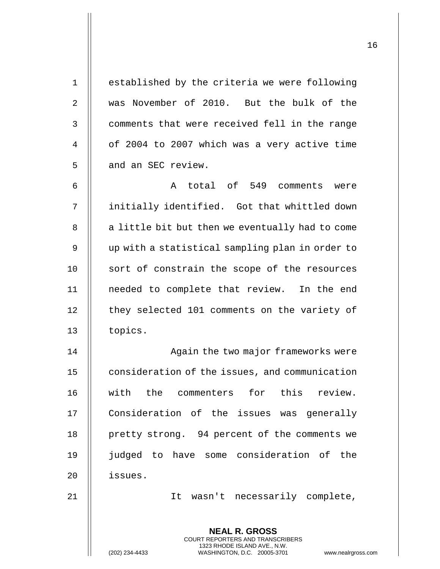| $\mathbf{1}$   | established by the criteria we were following                                                                                                                      |
|----------------|--------------------------------------------------------------------------------------------------------------------------------------------------------------------|
| $\overline{2}$ | was November of 2010. But the bulk of the                                                                                                                          |
| 3              | comments that were received fell in the range                                                                                                                      |
| 4              | of 2004 to 2007 which was a very active time                                                                                                                       |
| 5              | and an SEC review.                                                                                                                                                 |
| 6              | A total of 549 comments were                                                                                                                                       |
| 7              | initially identified. Got that whittled down                                                                                                                       |
| 8              | a little bit but then we eventually had to come                                                                                                                    |
| 9              | up with a statistical sampling plan in order to                                                                                                                    |
| 10             | sort of constrain the scope of the resources                                                                                                                       |
| 11             | needed to complete that review. In the end                                                                                                                         |
| 12             | they selected 101 comments on the variety of                                                                                                                       |
| 13             | topics.                                                                                                                                                            |
| 14             | Again the two major frameworks were                                                                                                                                |
| 15             | consideration of the issues, and communication                                                                                                                     |
| 16             | with the commenters for this review.                                                                                                                               |
| 17             | Consideration of the issues was generally                                                                                                                          |
| 18             | pretty strong. 94 percent of the comments we                                                                                                                       |
| 19             | judged to have some consideration of the                                                                                                                           |
| 20             | issues.                                                                                                                                                            |
| 21             | It wasn't necessarily complete,                                                                                                                                    |
|                | <b>NEAL R. GROSS</b><br><b>COURT REPORTERS AND TRANSCRIBERS</b><br>1323 RHODE ISLAND AVE., N.W.<br>WASHINGTON, D.C. 20005-3701<br>(202) 234-4433<br>www.nealrgross |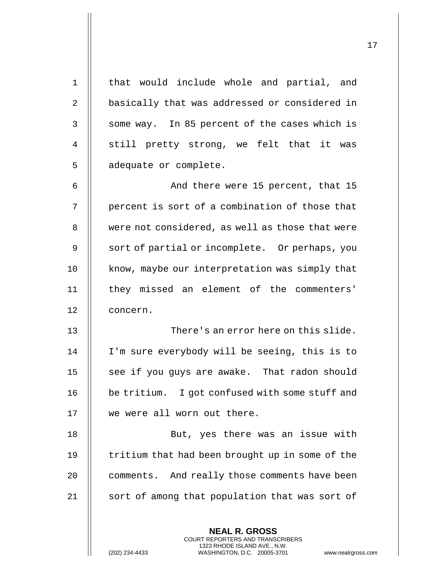| $\mathbf 1$    | that would include whole and partial, and                                                                                                                          |
|----------------|--------------------------------------------------------------------------------------------------------------------------------------------------------------------|
| $\overline{2}$ | basically that was addressed or considered in                                                                                                                      |
| 3              | some way. In 85 percent of the cases which is                                                                                                                      |
| 4              | still pretty strong, we felt that it was                                                                                                                           |
| 5              | adequate or complete.                                                                                                                                              |
| 6              | And there were 15 percent, that 15                                                                                                                                 |
| 7              | percent is sort of a combination of those that                                                                                                                     |
| 8              | were not considered, as well as those that were                                                                                                                    |
| 9              | sort of partial or incomplete. Or perhaps, you                                                                                                                     |
| 10             | know, maybe our interpretation was simply that                                                                                                                     |
| 11             | they missed an element of the commenters'                                                                                                                          |
| 12             | concern.                                                                                                                                                           |
| 13             | There's an error here on this slide.                                                                                                                               |
| 14             | I'm sure everybody will be seeing, this is to                                                                                                                      |
| 15             | see if you guys are awake. That radon should                                                                                                                       |
| 16             | be tritium. I got confused with some stuff and                                                                                                                     |
| 17             | we were all worn out there.                                                                                                                                        |
| 18             | But, yes there was an issue with                                                                                                                                   |
| 19             | tritium that had been brought up in some of the                                                                                                                    |
| 20             | comments. And really those comments have been                                                                                                                      |
| 21             | sort of among that population that was sort of                                                                                                                     |
|                | <b>NEAL R. GROSS</b><br><b>COURT REPORTERS AND TRANSCRIBERS</b><br>1323 RHODE ISLAND AVE., N.W.<br>(202) 234-4433<br>WASHINGTON, D.C. 20005-3701<br>www.nealrgross |

(202) 234-4433 WASHINGTON, D.C. 20005-3701 www.nealrgross.com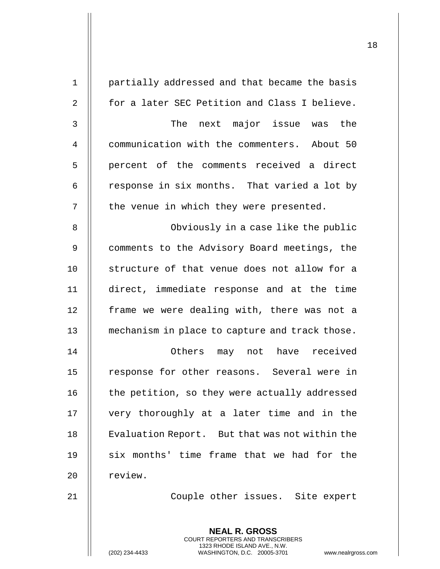| $\mathbf 1$    | partially addressed and that became the basis                                                                                                                      |
|----------------|--------------------------------------------------------------------------------------------------------------------------------------------------------------------|
| $\overline{2}$ | for a later SEC Petition and Class I believe.                                                                                                                      |
| 3              | The next major issue was the                                                                                                                                       |
| 4              | communication with the commenters. About 50                                                                                                                        |
| 5              | percent of the comments received a direct                                                                                                                          |
| 6              | response in six months. That varied a lot by                                                                                                                       |
| 7              | the venue in which they were presented.                                                                                                                            |
| 8              | Obviously in a case like the public                                                                                                                                |
| 9              | comments to the Advisory Board meetings, the                                                                                                                       |
| 10             | structure of that venue does not allow for a                                                                                                                       |
| 11             | direct, immediate response and at the time                                                                                                                         |
| 12             | frame we were dealing with, there was not a                                                                                                                        |
| 13             | mechanism in place to capture and track those.                                                                                                                     |
| 14             | Others<br>may not have<br>received                                                                                                                                 |
| 15             | response for other reasons. Several were in                                                                                                                        |
| 16             | the petition, so they were actually addressed                                                                                                                      |
| 17             | very thoroughly at a later time and in the                                                                                                                         |
| 18             | Evaluation Report. But that was not within the                                                                                                                     |
| 19             | six months' time frame that we had for the                                                                                                                         |
| 20             | review.                                                                                                                                                            |
| 21             | Couple other issues. Site expert                                                                                                                                   |
|                | <b>NEAL R. GROSS</b><br><b>COURT REPORTERS AND TRANSCRIBERS</b><br>1323 RHODE ISLAND AVE., N.W.<br>(202) 234-4433<br>WASHINGTON, D.C. 20005-3701<br>www.nealrgross |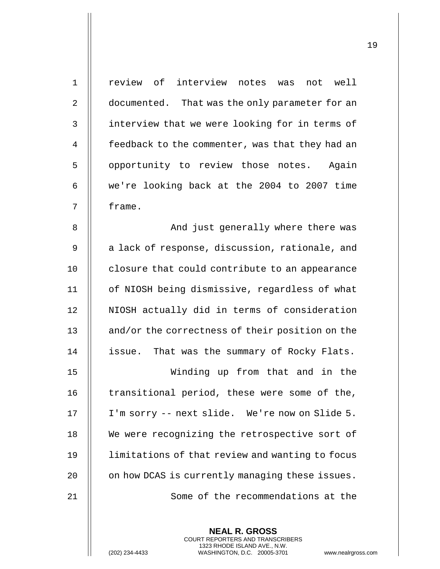| $\mathbf{1}$   | review of interview notes was not well          |
|----------------|-------------------------------------------------|
| $\overline{2}$ | documented. That was the only parameter for an  |
| 3              | interview that we were looking for in terms of  |
| 4              | feedback to the commenter, was that they had an |
| 5              | opportunity to review those notes. Again        |
| 6              | we're looking back at the 2004 to 2007 time     |
| 7              | frame.                                          |
| 8              | And just generally where there was              |
| 9              | a lack of response, discussion, rationale, and  |
| 10             | closure that could contribute to an appearance  |
| 11             | of NIOSH being dismissive, regardless of what   |
| 12             | NIOSH actually did in terms of consideration    |
| 13             | and/or the correctness of their position on the |
| 14             | issue. That was the summary of Rocky Flats.     |
| 15             | Winding up from that and in the                 |
| 16             | transitional period, these were some of the,    |
| 17             | I'm sorry -- next slide. We're now on Slide 5.  |
| 18             | We were recognizing the retrospective sort of   |
| 19             | limitations of that review and wanting to focus |
| 20             | on how DCAS is currently managing these issues. |
| 21             | Some of the recommendations at the              |
|                |                                                 |

**NEAL R. GROSS** COURT REPORTERS AND TRANSCRIBERS 1323 RHODE ISLAND AVE., N.W.

(202) 234-4433 WASHINGTON, D.C. 20005-3701 www.nealrgross.com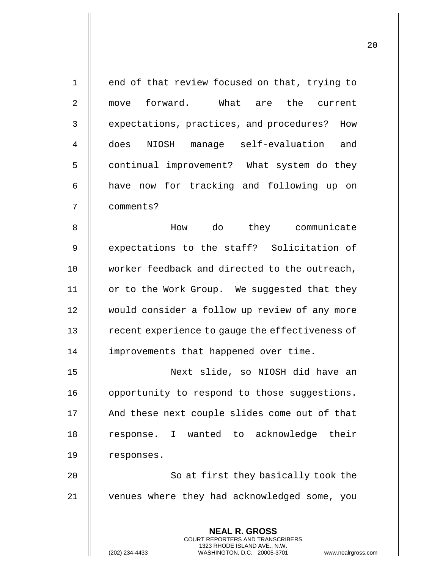| $\mathbf 1$    | end of that review focused on that, trying to                                                   |
|----------------|-------------------------------------------------------------------------------------------------|
| 2              | move forward. What are the current                                                              |
| $\mathbf{3}$   | expectations, practices, and procedures? How                                                    |
| $\overline{4}$ | does NIOSH manage self-evaluation and                                                           |
| 5              | continual improvement? What system do they                                                      |
| 6              | have now for tracking and following up on                                                       |
| 7              | comments?                                                                                       |
| 8              | How do they communicate                                                                         |
| $\mathsf 9$    | expectations to the staff? Solicitation of                                                      |
| 10             | worker feedback and directed to the outreach,                                                   |
| 11             | or to the Work Group. We suggested that they                                                    |
| 12             | would consider a follow up review of any more                                                   |
| 13             | recent experience to gauge the effectiveness of                                                 |
| 14             | improvements that happened over time.                                                           |
| 15             | Next slide, so NIOSH did have an                                                                |
| 16             | opportunity to respond to those suggestions.                                                    |
| 17             | And these next couple slides come out of that                                                   |
| 18             | response. I wanted to acknowledge their                                                         |
| 19             | responses.                                                                                      |
| 20             | So at first they basically took the                                                             |
| 21             | venues where they had acknowledged some, you                                                    |
|                | <b>NEAL R. GROSS</b><br><b>COURT REPORTERS AND TRANSCRIBERS</b>                                 |
|                | 1323 RHODE ISLAND AVE., N.W.<br>WASHINGTON, D.C. 20005-3701<br>(202) 234-4433<br>www.nealrgross |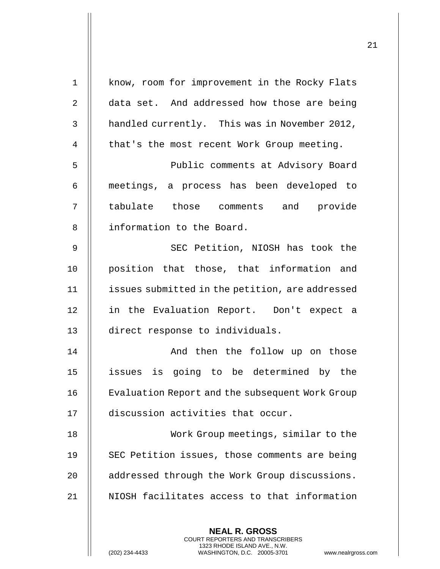| $\mathbf 1$    | know, room for improvement in the Rocky Flats                                                                                                                      |
|----------------|--------------------------------------------------------------------------------------------------------------------------------------------------------------------|
| $\overline{2}$ | data set. And addressed how those are being                                                                                                                        |
| 3              | handled currently. This was in November 2012,                                                                                                                      |
| 4              | that's the most recent Work Group meeting.                                                                                                                         |
| 5              | Public comments at Advisory Board                                                                                                                                  |
| 6              | meetings, a process has been developed to                                                                                                                          |
| 7              | tabulate those comments and provide                                                                                                                                |
| 8              | information to the Board.                                                                                                                                          |
| $\mathsf 9$    | SEC Petition, NIOSH has took the                                                                                                                                   |
| 10             | position that those, that information and                                                                                                                          |
| 11             | issues submitted in the petition, are addressed                                                                                                                    |
| 12             | in the Evaluation Report. Don't expect a                                                                                                                           |
| 13             | direct response to individuals.                                                                                                                                    |
| 14             | And then the follow up on those                                                                                                                                    |
| 15             | issues is going to be determined by the                                                                                                                            |
| 16             | Evaluation Report and the subsequent Work Group                                                                                                                    |
| 17             | discussion activities that occur.                                                                                                                                  |
| 18             | Work Group meetings, similar to the                                                                                                                                |
| 19             | SEC Petition issues, those comments are being                                                                                                                      |
| 20             | addressed through the Work Group discussions.                                                                                                                      |
| 21             | NIOSH facilitates access to that information                                                                                                                       |
|                |                                                                                                                                                                    |
|                | <b>NEAL R. GROSS</b><br><b>COURT REPORTERS AND TRANSCRIBERS</b><br>1323 RHODE ISLAND AVE., N.W.<br>(202) 234-4433<br>WASHINGTON, D.C. 20005-3701<br>www.nealrgross |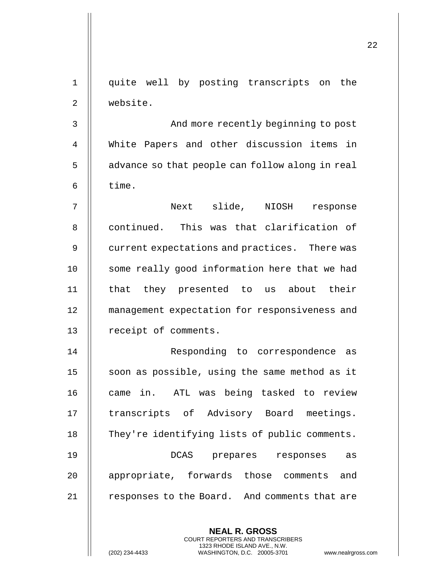| 1  | quite well by posting transcripts on the                                                                                                                           |
|----|--------------------------------------------------------------------------------------------------------------------------------------------------------------------|
| 2  | website.                                                                                                                                                           |
| 3  | And more recently beginning to post                                                                                                                                |
| 4  | White Papers and other discussion items in                                                                                                                         |
| 5  | advance so that people can follow along in real                                                                                                                    |
| 6  | time.                                                                                                                                                              |
| 7  | Next slide, NIOSH<br>response                                                                                                                                      |
| 8  | continued. This was that clarification of                                                                                                                          |
| 9  | current expectations and practices. There was                                                                                                                      |
| 10 | some really good information here that we had                                                                                                                      |
| 11 | that they presented to us about their                                                                                                                              |
| 12 | management expectation for responsiveness and                                                                                                                      |
| 13 | receipt of comments.                                                                                                                                               |
| 14 | Responding to correspondence<br>as                                                                                                                                 |
| 15 | soon as possible, using the same method as it                                                                                                                      |
| 16 | came in. ATL was being tasked to review                                                                                                                            |
| 17 | transcripts of Advisory Board meetings.                                                                                                                            |
| 18 | They're identifying lists of public comments.                                                                                                                      |
| 19 | DCAS prepares responses<br>as                                                                                                                                      |
| 20 | appropriate, forwards those comments and                                                                                                                           |
| 21 | responses to the Board. And comments that are                                                                                                                      |
|    | <b>NEAL R. GROSS</b><br><b>COURT REPORTERS AND TRANSCRIBERS</b><br>1323 RHODE ISLAND AVE., N.W.<br>WASHINGTON, D.C. 20005-3701<br>(202) 234-4433<br>www.nealrgross |

(202) 234-4433 WASHINGTON, D.C. 20005-3701 www.nealrgross.com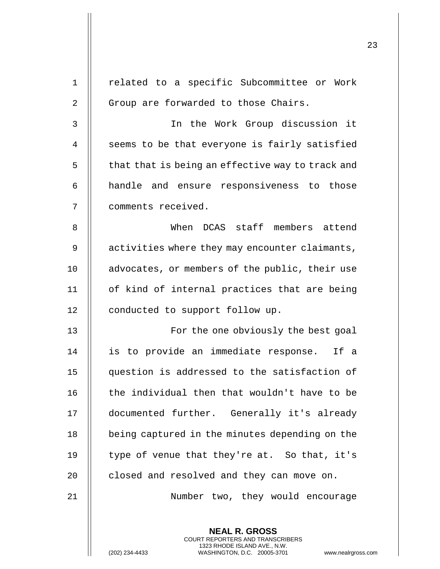| 1  | related to a specific Subcommittee or Work                                                                                                                         |
|----|--------------------------------------------------------------------------------------------------------------------------------------------------------------------|
| 2  | Group are forwarded to those Chairs.                                                                                                                               |
| 3  | In the Work Group discussion it                                                                                                                                    |
| 4  | seems to be that everyone is fairly satisfied                                                                                                                      |
| 5  | that that is being an effective way to track and                                                                                                                   |
| 6  | handle and ensure responsiveness to those                                                                                                                          |
| 7  | comments received.                                                                                                                                                 |
| 8  | When DCAS staff members attend                                                                                                                                     |
| 9  | activities where they may encounter claimants,                                                                                                                     |
| 10 | advocates, or members of the public, their use                                                                                                                     |
| 11 | of kind of internal practices that are being                                                                                                                       |
| 12 | conducted to support follow up.                                                                                                                                    |
| 13 | For the one obviously the best goal                                                                                                                                |
| 14 | is to provide an immediate response. If a                                                                                                                          |
| 15 | question is addressed to the satisfaction of                                                                                                                       |
| 16 | the individual then that wouldn't have to be                                                                                                                       |
| 17 | documented further. Generally it's already                                                                                                                         |
| 18 | being captured in the minutes depending on the                                                                                                                     |
| 19 | type of venue that they're at. So that, it's                                                                                                                       |
| 20 | closed and resolved and they can move on.                                                                                                                          |
| 21 | Number two, they would encourage                                                                                                                                   |
|    |                                                                                                                                                                    |
|    | <b>NEAL R. GROSS</b><br><b>COURT REPORTERS AND TRANSCRIBERS</b><br>1323 RHODE ISLAND AVE., N.W.<br>WASHINGTON, D.C. 20005-3701<br>(202) 234-4433<br>www.nealrgross |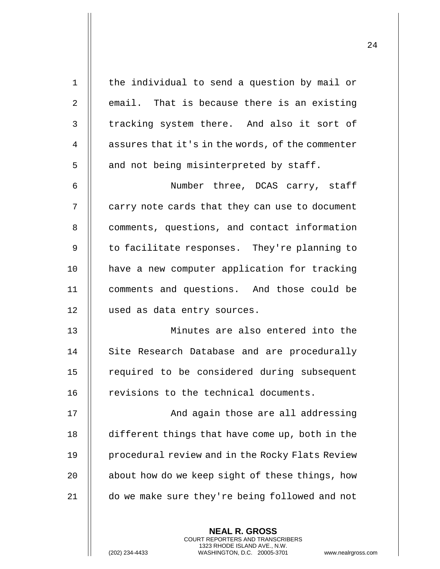| $\mathbf 1$    | the individual to send a question by mail or     |
|----------------|--------------------------------------------------|
| $\overline{2}$ | email. That is because there is an existing      |
| 3              | tracking system there. And also it sort of       |
| 4              | assures that it's in the words, of the commenter |
| 5              | and not being misinterpreted by staff.           |
| 6              | Number three, DCAS carry, staff                  |
| 7              | carry note cards that they can use to document   |
| 8              | comments, questions, and contact information     |
| 9              | to facilitate responses. They're planning to     |
| 10             | have a new computer application for tracking     |
| 11             | comments and questions. And those could be       |
| 12             | used as data entry sources.                      |
| 13             | Minutes are also entered into the                |
| 14             | Site Research Database and are procedurally      |
| 15             | required to be considered during subsequent      |
| 16             | revisions to the technical documents.            |
| 17             | And again those are all addressing               |
| 18             | different things that have come up, both in the  |
| 19             | procedural review and in the Rocky Flats Review  |
| 20             | about how do we keep sight of these things, how  |
| 21             | do we make sure they're being followed and not   |
|                |                                                  |
|                | <b>NEAL R. GROSS</b>                             |

COURT REPORTERS AND TRANSCRIBERS 1323 RHODE ISLAND AVE., N.W.

(202) 234-4433 WASHINGTON, D.C. 20005-3701 www.nealrgross.com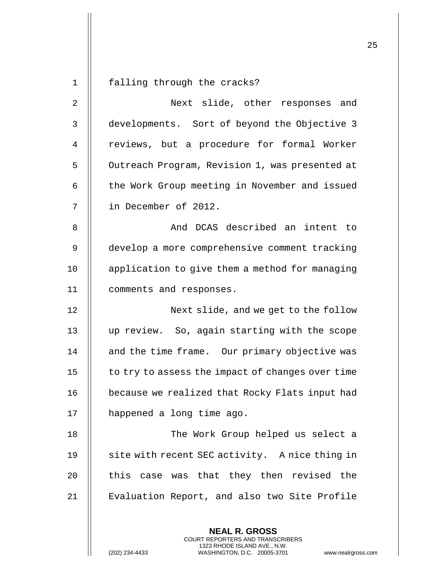**NEAL R. GROSS** COURT REPORTERS AND TRANSCRIBERS 1323 RHODE ISLAND AVE., N.W. 1 falling through the cracks? 2 || Next slide, other responses and 3 | developments. Sort of beyond the Objective 3 4 | reviews, but a procedure for formal Worker 5 | Outreach Program, Revision 1, was presented at 6 | the Work Group meeting in November and issued 7 in December of 2012. 8 And DCAS described an intent to 9 | develop a more comprehensive comment tracking 10 | application to give them a method for managing 11 comments and responses. 12 || Next slide, and we get to the follow 13 up review. So, again starting with the scope 14 || and the time frame. Our primary objective was  $15$  | to try to assess the impact of changes over time 16 | because we realized that Rocky Flats input had 17 happened a long time ago. 18 The Work Group helped us select a 19 || site with recent SEC activity. A nice thing in 20  $\parallel$  this case was that they then revised the 21 | Evaluation Report, and also two Site Profile

(202) 234-4433 WASHINGTON, D.C. 20005-3701 www.nealrgross.com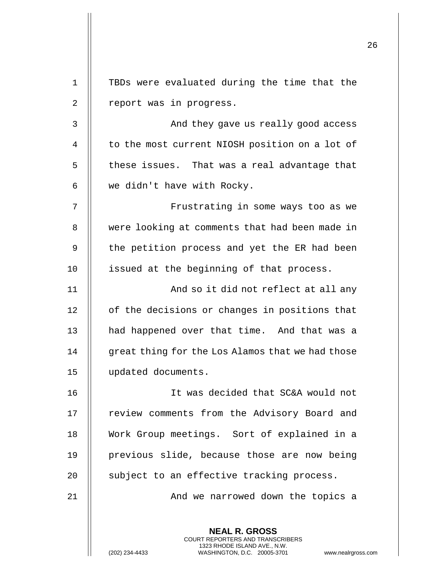| $\mathbf 1$    | TBDs were evaluated during the time that the                                                                                                                       |
|----------------|--------------------------------------------------------------------------------------------------------------------------------------------------------------------|
| 2              | report was in progress.                                                                                                                                            |
| $\mathsf{3}$   | And they gave us really good access                                                                                                                                |
| $\overline{4}$ | to the most current NIOSH position on a lot of                                                                                                                     |
| 5              | these issues. That was a real advantage that                                                                                                                       |
| 6              | we didn't have with Rocky.                                                                                                                                         |
| 7              | Frustrating in some ways too as we                                                                                                                                 |
| 8              | were looking at comments that had been made in                                                                                                                     |
| 9              | the petition process and yet the ER had been                                                                                                                       |
| 10             | issued at the beginning of that process.                                                                                                                           |
| 11             | And so it did not reflect at all any                                                                                                                               |
| 12             | of the decisions or changes in positions that                                                                                                                      |
| 13             | had happened over that time. And that was a                                                                                                                        |
| 14             | great thing for the Los Alamos that we had those                                                                                                                   |
| 15             | updated documents.                                                                                                                                                 |
| 16             | It was decided that SC&A would not                                                                                                                                 |
| 17             | review comments from the Advisory Board and                                                                                                                        |
| 18             | Work Group meetings. Sort of explained in a                                                                                                                        |
| 19             | previous slide, because those are now being                                                                                                                        |
| 20             | subject to an effective tracking process.                                                                                                                          |
| 21             | And we narrowed down the topics a                                                                                                                                  |
|                | <b>NEAL R. GROSS</b><br><b>COURT REPORTERS AND TRANSCRIBERS</b><br>1323 RHODE ISLAND AVE., N.W.<br>WASHINGTON, D.C. 20005-3701<br>(202) 234-4433<br>www.nealrgross |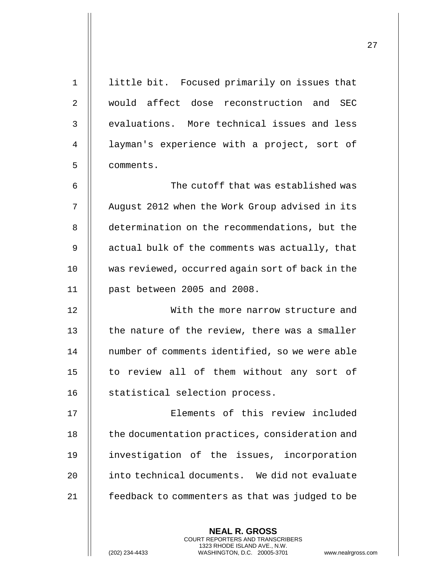| $\mathbf 1$    | little bit. Focused primarily on issues that             |
|----------------|----------------------------------------------------------|
| $\overline{2}$ | would affect dose reconstruction and SEC                 |
| 3              | evaluations. More technical issues and less              |
| 4              | layman's experience with a project, sort of              |
| 5              | comments.                                                |
| 6              | The cutoff that was established was                      |
| 7              | August 2012 when the Work Group advised in its           |
| 8              | determination on the recommendations, but the            |
| 9              | actual bulk of the comments was actually, that           |
| 10             | was reviewed, occurred again sort of back in the         |
| 11             | past between 2005 and 2008.                              |
| 12             | With the more narrow structure and                       |
| 13             | the nature of the review, there was a smaller            |
| 14             | number of comments identified, so we were able           |
| 15             | to review all of them without any sort of                |
| 16             | statistical selection process.                           |
| 17             | Elements of this review included                         |
| 18             | the documentation practices, consideration and           |
| 19             | investigation of the issues, incorporation               |
| 20             | into technical documents. We did not evaluate            |
| 21             | feedback to commenters as that was judged to be          |
|                |                                                          |
|                | <b>NEAL R. GROSS</b><br>COURT REPORTERS AND TRANSCRIBERS |

 $\prod$ 

(202) 234-4433 WASHINGTON, D.C. 20005-3701 www.nealrgross.com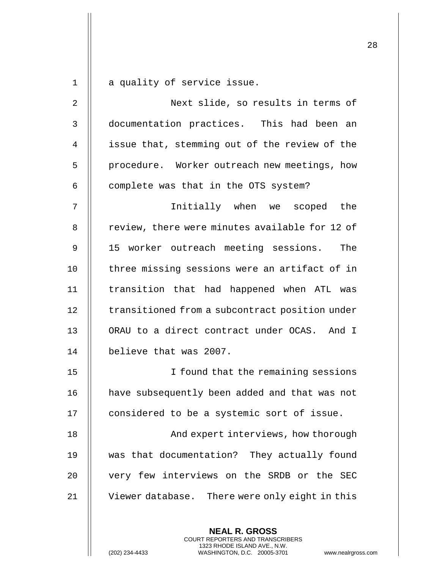|                |                                                                                                                                                                 | 28 |
|----------------|-----------------------------------------------------------------------------------------------------------------------------------------------------------------|----|
| 1              | a quality of service issue.                                                                                                                                     |    |
| 2              | Next slide, so results in terms of                                                                                                                              |    |
| 3              | documentation practices. This had been an                                                                                                                       |    |
| $\overline{4}$ | issue that, stemming out of the review of the                                                                                                                   |    |
| 5              | procedure. Worker outreach new meetings, how                                                                                                                    |    |
| 6              | complete was that in the OTS system?                                                                                                                            |    |
| 7              | Initially when we scoped the                                                                                                                                    |    |
| 8              | review, there were minutes available for 12 of                                                                                                                  |    |
| 9              | 15 worker outreach meeting sessions. The                                                                                                                        |    |
| 10             | three missing sessions were an artifact of in                                                                                                                   |    |
| 11             | transition that had happened when ATL was                                                                                                                       |    |
| 12             | transitioned from a subcontract position under                                                                                                                  |    |
| 13             | ORAU to a direct contract under OCAS. And I                                                                                                                     |    |
|                |                                                                                                                                                                 |    |
| 14             | believe that was 2007.                                                                                                                                          |    |
| 15             | I found that the remaining sessions                                                                                                                             |    |
| 16             | have subsequently been added and that was not                                                                                                                   |    |
| 17             | considered to be a systemic sort of issue.                                                                                                                      |    |
| 18             | And expert interviews, how thorough                                                                                                                             |    |
| 19             | was that documentation? They actually found                                                                                                                     |    |
| 20             | very few interviews on the SRDB or the SEC                                                                                                                      |    |
| 21             | Viewer database. There were only eight in this                                                                                                                  |    |
|                | <b>NEAL R. GROSS</b><br>COURT REPORTERS AND TRANSCRIBERS<br>1323 RHODE ISLAND AVE., N.W.<br>(202) 234-4433<br>WASHINGTON, D.C. 20005-3701<br>www.nealrgross.com |    |

 $\overline{1}$ 

 $\mathsf{I}$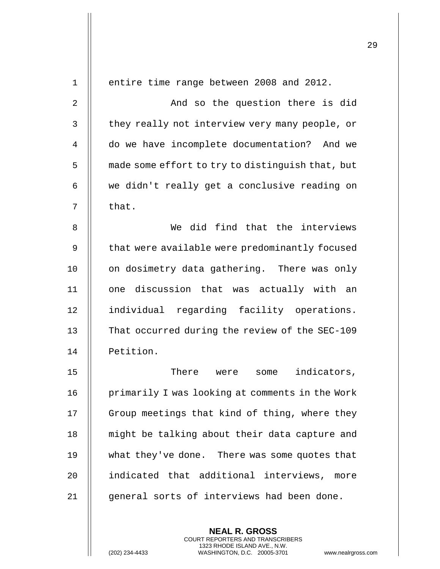| $\mathbf{1}$   | entire time range between 2008 and 2012.         |
|----------------|--------------------------------------------------|
| $\overline{2}$ | And so the question there is did                 |
| 3              | they really not interview very many people, or   |
| $\overline{4}$ | do we have incomplete documentation? And we      |
| 5              | made some effort to try to distinguish that, but |
| 6              | we didn't really get a conclusive reading on     |
| 7              | that.                                            |
| 8              | We did find that the interviews                  |
| 9              | that were available were predominantly focused   |
| 10             | on dosimetry data gathering. There was only      |
| 11             | one discussion that was actually with an         |
| 12             | individual regarding facility operations.        |
| 13             | That occurred during the review of the SEC-109   |
| 14             | Petition.                                        |
| 15             | There were<br>indicators,<br>some                |
| 16             | primarily I was looking at comments in the Work  |
| 17             | Group meetings that kind of thing, where they    |
| 18             | might be talking about their data capture and    |
| 19             | what they've done. There was some quotes that    |
| 20             | indicated that additional interviews,<br>more    |
| 21             | general sorts of interviews had been done.       |
|                |                                                  |

**NEAL R. GROSS** COURT REPORTERS AND TRANSCRIBERS 1323 RHODE ISLAND AVE., N.W.

(202) 234-4433 WASHINGTON, D.C. 20005-3701 www.nealrgross.com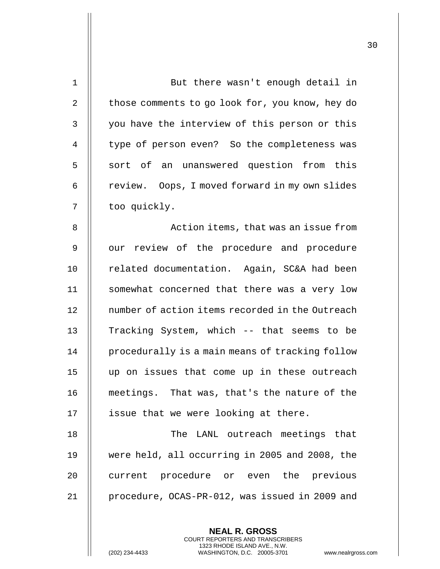| $\mathbf 1$    | But there wasn't enough detail in               |
|----------------|-------------------------------------------------|
| $\overline{2}$ | those comments to go look for, you know, hey do |
| 3              | you have the interview of this person or this   |
| 4              | type of person even? So the completeness was    |
| 5              | sort of an unanswered question from this        |
| 6              | review. Oops, I moved forward in my own slides  |
| 7              | too quickly.                                    |
| 8              | Action items, that was an issue from            |
| 9              | our review of the procedure and procedure       |
| 10             | related documentation. Again, SC&A had been     |
| 11             | somewhat concerned that there was a very low    |
| 12             | number of action items recorded in the Outreach |
| 13             | Tracking System, which -- that seems to be      |
| 14             | procedurally is a main means of tracking follow |
| 15             | up on issues that come up in these outreach     |
| 16             | meetings. That was, that's the nature of the    |
| 17             | issue that we were looking at there.            |
| 18             | The LANL outreach meetings that                 |
| 19             | were held, all occurring in 2005 and 2008, the  |
| 20             | current procedure or even the previous          |
| 21             | procedure, OCAS-PR-012, was issued in 2009 and  |
|                |                                                 |

**NEAL R. GROSS** COURT REPORTERS AND TRANSCRIBERS 1323 RHODE ISLAND AVE., N.W.

(202) 234-4433 WASHINGTON, D.C. 20005-3701 www.nealrgross.com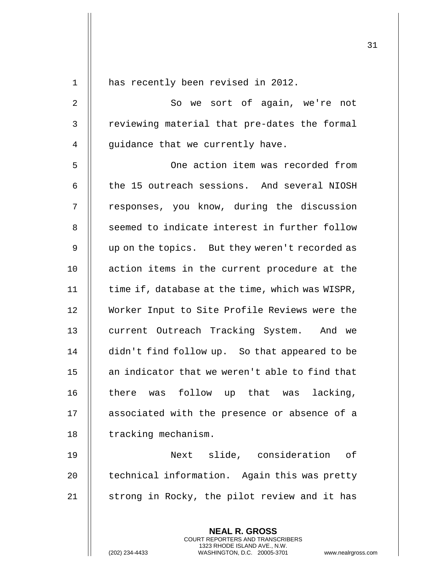| $\mathbf 1$    | has recently been revised in 2012.                                                       |
|----------------|------------------------------------------------------------------------------------------|
| $\overline{2}$ | So we sort of again, we're not                                                           |
| $\mathsf{3}$   | reviewing material that pre-dates the formal                                             |
| 4              | quidance that we currently have.                                                         |
| 5              | One action item was recorded from                                                        |
| 6              | the 15 outreach sessions. And several NIOSH                                              |
| 7              | responses, you know, during the discussion                                               |
| 8              | seemed to indicate interest in further follow                                            |
| 9              | up on the topics. But they weren't recorded as                                           |
| 10             | action items in the current procedure at the                                             |
| 11             | time if, database at the time, which was WISPR,                                          |
| 12             | Worker Input to Site Profile Reviews were the                                            |
| 13             | current Outreach Tracking System. And we                                                 |
| 14             | didn't find follow up. So that appeared to be                                            |
| 15             | an indicator that we weren't able to find that                                           |
| 16             | there was follow up that was lacking,                                                    |
| 17             | associated with the presence or absence of a                                             |
| 18             | tracking mechanism.                                                                      |
| 19             | Next slide, consideration of                                                             |
| 20             | technical information. Again this was pretty                                             |
| 21             | strong in Rocky, the pilot review and it has                                             |
|                |                                                                                          |
|                | <b>NEAL R. GROSS</b><br>COURT REPORTERS AND TRANSCRIBERS<br>1323 RHODE ISLAND AVE., N.W. |
|                | WASHINGTON, D.C. 20005-3701<br>(202) 234-4433<br>www.nealrgros                           |

(202) 234-4433 WASHINGTON, D.C. 20005-3701 www.nealrgross.com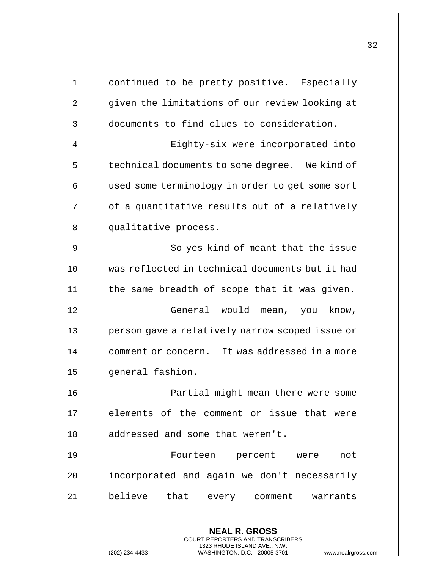|                |                                                 | 32 |
|----------------|-------------------------------------------------|----|
| $\mathbf 1$    | continued to be pretty positive. Especially     |    |
| $\overline{2}$ | given the limitations of our review looking at  |    |
| 3              | documents to find clues to consideration.       |    |
| 4              | Eighty-six were incorporated into               |    |
| 5              | technical documents to some degree. We kind of  |    |
| 6              | used some terminology in order to get some sort |    |
| 7              | of a quantitative results out of a relatively   |    |
| 8              | qualitative process.                            |    |
| 9              | So yes kind of meant that the issue             |    |
| 10             | was reflected in technical documents but it had |    |
| 11             | the same breadth of scope that it was given.    |    |
| 12             | General would mean, you know,                   |    |
| 13             | person gave a relatively narrow scoped issue or |    |
| 14             | comment or concern. It was addressed in a more  |    |
| 15             | general fashion.                                |    |
| 16             | Partial might mean there were some              |    |
| 17             | elements of the comment or issue that were      |    |
| 18             | addressed and some that weren't.                |    |
| 19             | Fourteen percent were<br>not                    |    |
| 20             | incorporated and again we don't necessarily     |    |
| 21             | believe that every comment warrants             |    |
|                | <b>NEAL R. GROSS</b>                            |    |

COURT REPORTERS AND TRANSCRIBERS 1323 RHODE ISLAND AVE., N.W.

 $\mathsf{II}$ 

(202) 234-4433 WASHINGTON, D.C. 20005-3701 www.nealrgross.com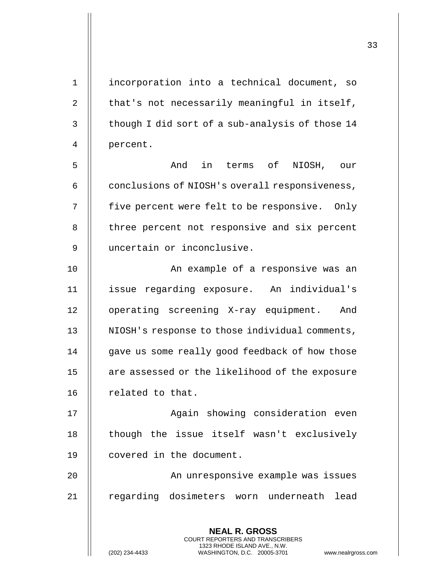**NEAL R. GROSS** COURT REPORTERS AND TRANSCRIBERS 1 || incorporation into a technical document, so 2  $\parallel$  that's not necessarily meaningful in itself,  $3 \parallel$  though I did sort of a sub-analysis of those 14 4 percent. 5 And in terms of NIOSH, our  $6$  | conclusions of NIOSH's overall responsiveness, 7 | five percent were felt to be responsive. Only 8 || three percent not responsive and six percent 9 uncertain or inconclusive. 10 An example of a responsive was an 11 issue regarding exposure. An individual's 12 || operating screening X-ray equipment. And 13 || NIOSH's response to those individual comments, 14 || qave us some really good feedback of how those 15 | are assessed or the likelihood of the exposure 16 | related to that. 17 || **Again showing consideration even** 18 || though the issue itself wasn't exclusively 19 covered in the document. 20 || An unresponsive example was issues 21 || regarding dosimeters worn underneath lead

1323 RHODE ISLAND AVE., N.W.

(202) 234-4433 WASHINGTON, D.C. 20005-3701 www.nealrgross.com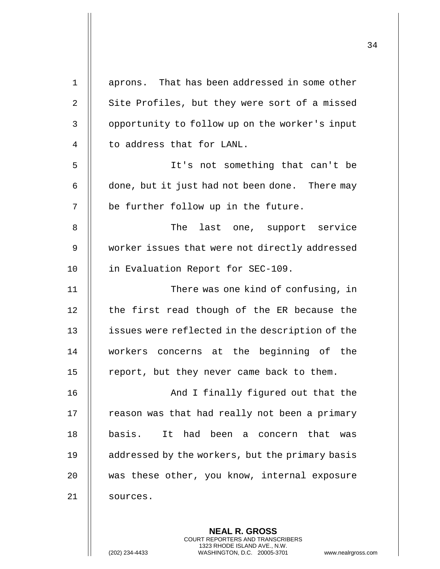| $\mathbf 1$    | aprons. That has been addressed in some other                                                                                                              |
|----------------|------------------------------------------------------------------------------------------------------------------------------------------------------------|
| $\overline{2}$ | Site Profiles, but they were sort of a missed                                                                                                              |
| 3              | opportunity to follow up on the worker's input                                                                                                             |
| 4              | to address that for LANL.                                                                                                                                  |
| 5              | It's not something that can't be                                                                                                                           |
| 6              | done, but it just had not been done. There may                                                                                                             |
| 7              | be further follow up in the future.                                                                                                                        |
| 8              | last one, support service<br>The                                                                                                                           |
| $\mathsf 9$    | worker issues that were not directly addressed                                                                                                             |
| 10             | in Evaluation Report for SEC-109.                                                                                                                          |
| 11             | There was one kind of confusing, in                                                                                                                        |
| 12             | the first read though of the ER because the                                                                                                                |
| 13             | issues were reflected in the description of the                                                                                                            |
| 14             | workers concerns at the beginning of the                                                                                                                   |
| $15$           | report, but they never came back to them.                                                                                                                  |
| 16             | And I finally figured out that the                                                                                                                         |
| 17             | reason was that had really not been a primary                                                                                                              |
| 18             | It had been a concern<br>basis.<br>that<br>was                                                                                                             |
| 19             | addressed by the workers, but the primary basis                                                                                                            |
| 20             | was these other, you know, internal exposure                                                                                                               |
| 21             | sources.                                                                                                                                                   |
|                |                                                                                                                                                            |
|                | <b>NEAL R. GROSS</b><br>COURT REPORTERS AND TRANSCRIBERS<br>1323 RHODE ISLAND AVE., N.W.<br>(202) 234-4433<br>WASHINGTON, D.C. 20005-3701<br>www.nealrgros |

(202) 234-4433 WASHINGTON, D.C. 20005-3701 www.nealrgross.com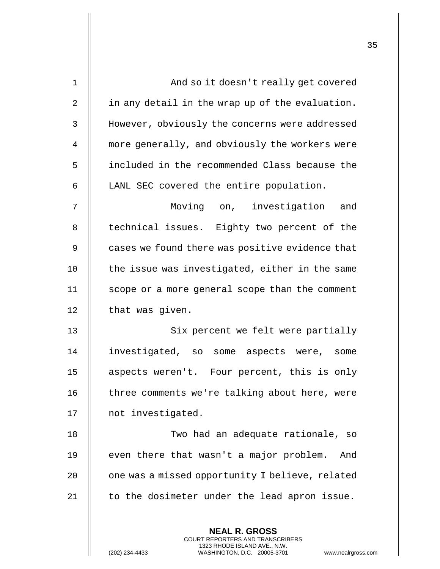| 1  | And so it doesn't really get covered                                                                                                    |
|----|-----------------------------------------------------------------------------------------------------------------------------------------|
| 2  | in any detail in the wrap up of the evaluation.                                                                                         |
| 3  | However, obviously the concerns were addressed                                                                                          |
| 4  | more generally, and obviously the workers were                                                                                          |
| 5  | included in the recommended Class because the                                                                                           |
| 6  | LANL SEC covered the entire population.                                                                                                 |
| 7  | Moving on, investigation and                                                                                                            |
| 8  | technical issues. Eighty two percent of the                                                                                             |
| 9  | cases we found there was positive evidence that                                                                                         |
| 10 | the issue was investigated, either in the same                                                                                          |
| 11 | scope or a more general scope than the comment                                                                                          |
| 12 | that was given.                                                                                                                         |
| 13 | Six percent we felt were partially                                                                                                      |
| 14 | investigated, so some aspects were, some                                                                                                |
| 15 | aspects weren't. Four percent, this is only                                                                                             |
| 16 | three comments we're talking about here, were                                                                                           |
| 17 | not investigated.                                                                                                                       |
| 18 | Two had an adequate rationale, so                                                                                                       |
| 19 | even there that wasn't a major problem. And                                                                                             |
| 20 | one was a missed opportunity I believe, related                                                                                         |
| 21 | to the dosimeter under the lead apron issue.                                                                                            |
|    | <b>NEAL R. GROSS</b>                                                                                                                    |
|    | COURT REPORTERS AND TRANSCRIBERS<br>1323 RHODE ISLAND AVE., N.W.<br>(202) 234-4433<br>WASHINGTON, D.C. 20005-3701<br>www.nealrgross.com |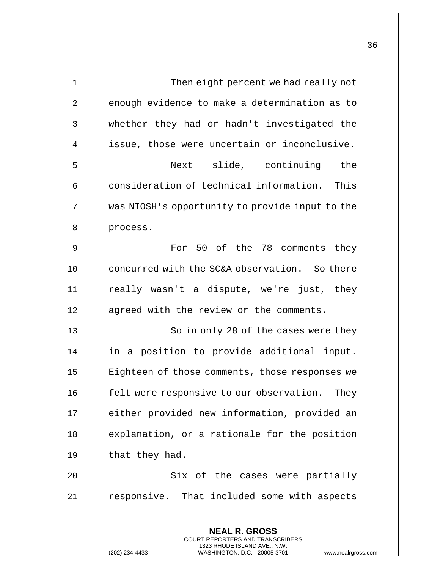| $\mathbf 1$    | Then eight percent we had really not                                                                                                                               |
|----------------|--------------------------------------------------------------------------------------------------------------------------------------------------------------------|
| $\overline{2}$ | enough evidence to make a determination as to                                                                                                                      |
| $\mathsf{3}$   | whether they had or hadn't investigated the                                                                                                                        |
| 4              | issue, those were uncertain or inconclusive.                                                                                                                       |
| 5              | Next slide, continuing the                                                                                                                                         |
| 6              | consideration of technical information. This                                                                                                                       |
| 7              | was NIOSH's opportunity to provide input to the                                                                                                                    |
| 8              | process.                                                                                                                                                           |
| 9              | For 50 of the 78 comments they                                                                                                                                     |
| 10             | concurred with the SC&A observation. So there                                                                                                                      |
| 11             | really wasn't a dispute, we're just, they                                                                                                                          |
| 12             | agreed with the review or the comments.                                                                                                                            |
| 13             | So in only 28 of the cases were they                                                                                                                               |
| 14             | in a position to provide additional input.                                                                                                                         |
| 15             | Eighteen of those comments, those responses we                                                                                                                     |
| 16             | felt were responsive to our observation. They                                                                                                                      |
| 17             | either provided new information, provided an                                                                                                                       |
| 18             | explanation, or a rationale for the position                                                                                                                       |
| 19             | that they had.                                                                                                                                                     |
| 20             | Six of the cases were partially                                                                                                                                    |
| 21             | responsive. That included some with aspects                                                                                                                        |
|                |                                                                                                                                                                    |
|                | <b>NEAL R. GROSS</b><br><b>COURT REPORTERS AND TRANSCRIBERS</b><br>1323 RHODE ISLAND AVE., N.W.<br>WASHINGTON, D.C. 20005-3701<br>(202) 234-4433<br>www.nealrgross |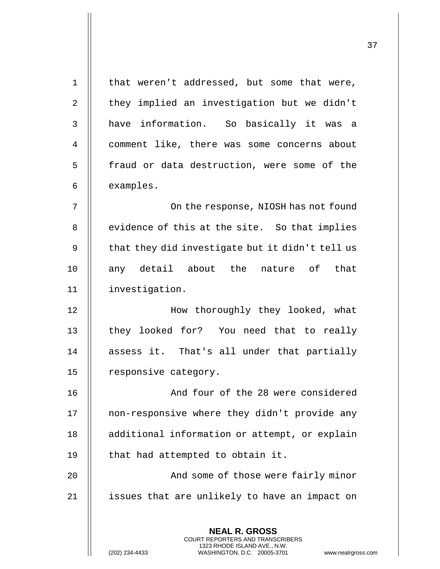| $\mathbf 1$    | that weren't addressed, but some that were,                                                     |
|----------------|-------------------------------------------------------------------------------------------------|
| 2              | they implied an investigation but we didn't                                                     |
| 3              | have information. So basically it was a                                                         |
| $\overline{4}$ | comment like, there was some concerns about                                                     |
| 5              | fraud or data destruction, were some of the                                                     |
| 6              | examples.                                                                                       |
| 7              | On the response, NIOSH has not found                                                            |
| 8              | evidence of this at the site. So that implies                                                   |
| 9              | that they did investigate but it didn't tell us                                                 |
| 10             | any detail about the nature of that                                                             |
| 11             | investigation.                                                                                  |
| 12             | How thoroughly they looked, what                                                                |
| 13             | they looked for? You need that to really                                                        |
| 14             | assess it. That's all under that partially                                                      |
| 15             | responsive category.                                                                            |
| 16             | And four of the 28 were considered                                                              |
| 17             | non-responsive where they didn't provide any                                                    |
| 18             | additional information or attempt, or explain                                                   |
| 19             | that had attempted to obtain it.                                                                |
| 20             | And some of those were fairly minor                                                             |
| 21             | issues that are unlikely to have an impact on                                                   |
|                |                                                                                                 |
|                | <b>NEAL R. GROSS</b><br><b>COURT REPORTERS AND TRANSCRIBERS</b><br>1323 RHODE ISLAND AVE., N.W. |
|                | (202) 234-4433<br>WASHINGTON, D.C. 20005-3701<br>www.nealrgross.com                             |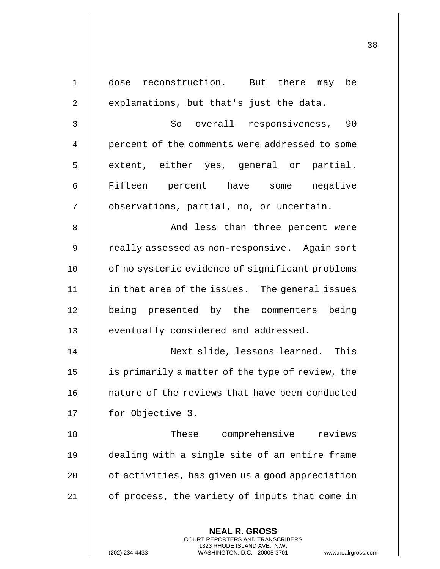| $\mathbf 1$ | dose reconstruction. But there may be                                                                                                                              |
|-------------|--------------------------------------------------------------------------------------------------------------------------------------------------------------------|
| 2           | explanations, but that's just the data.                                                                                                                            |
| 3           | So overall responsiveness, 90                                                                                                                                      |
| 4           | percent of the comments were addressed to some                                                                                                                     |
| 5           | extent, either yes, general or partial.                                                                                                                            |
| 6           | Fifteen percent have some negative                                                                                                                                 |
| 7           | observations, partial, no, or uncertain.                                                                                                                           |
| 8           | And less than three percent were                                                                                                                                   |
| 9           | really assessed as non-responsive. Again sort                                                                                                                      |
| 10          | of no systemic evidence of significant problems                                                                                                                    |
| 11          | in that area of the issues. The general issues                                                                                                                     |
| 12          | being presented by the commenters being                                                                                                                            |
| 13          | eventually considered and addressed.                                                                                                                               |
| 14          | Next slide, lessons learned. This                                                                                                                                  |
| 15          | is primarily a matter of the type of review, the                                                                                                                   |
| 16          | nature of the reviews that have been conducted                                                                                                                     |
| 17          | for Objective 3.                                                                                                                                                   |
| 18          | These<br>comprehensive<br>reviews                                                                                                                                  |
| 19          | dealing with a single site of an entire frame                                                                                                                      |
| 20          | of activities, has given us a good appreciation                                                                                                                    |
| 21          | of process, the variety of inputs that come in                                                                                                                     |
|             | <b>NEAL R. GROSS</b><br><b>COURT REPORTERS AND TRANSCRIBERS</b><br>1323 RHODE ISLAND AVE., N.W.<br>(202) 234-4433<br>www.nealrgross<br>WASHINGTON, D.C. 20005-3701 |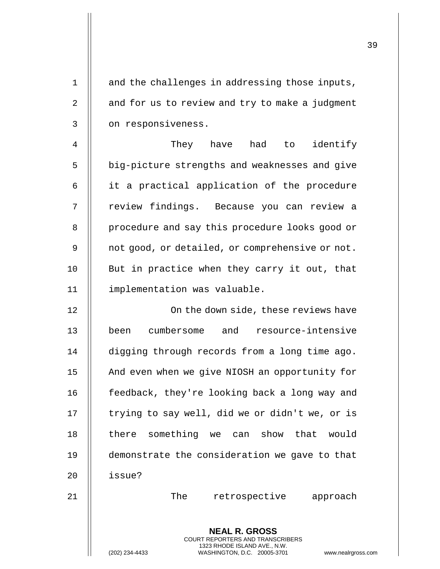**NEAL R. GROSS** COURT REPORTERS AND TRANSCRIBERS 1323 RHODE ISLAND AVE., N.W. 1 || and the challenges in addressing those inputs, 2  $\parallel$  and for us to review and try to make a judgment 3 | on responsiveness. 4 They have had to identify 5 | big-picture strengths and weaknesses and give 6 || it a practical application of the procedure 7 || review findings. Because you can review a 8 | procedure and say this procedure looks good or 9 | not good, or detailed, or comprehensive or not. 10 || But in practice when they carry it out, that 11 implementation was valuable. 12 || Con the down side, these reviews have 13 been cumbersome and resource-intensive 14 | digging through records from a long time ago. 15 | And even when we give NIOSH an opportunity for 16 | feedback, they're looking back a long way and 17 | trying to say well, did we or didn't we, or is 18 II there something we can show that would 19 demonstrate the consideration we gave to that 20 || issue? 21 The retrospective approach

(202) 234-4433 WASHINGTON, D.C. 20005-3701 www.nealrgross.com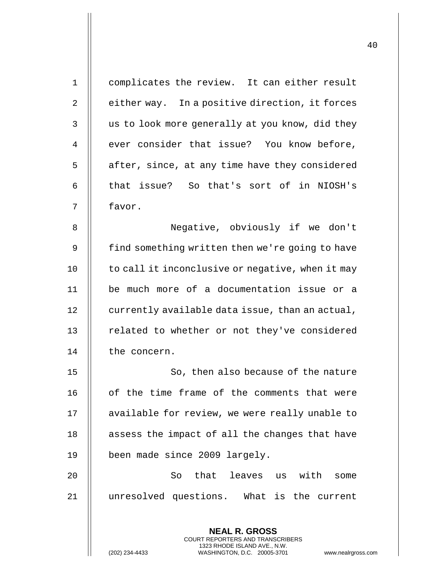| $\mathbf{1}$ | complicates the review. It can either result                                                    |
|--------------|-------------------------------------------------------------------------------------------------|
| 2            | either way. In a positive direction, it forces                                                  |
| 3            | us to look more generally at you know, did they                                                 |
| 4            | ever consider that issue? You know before,                                                      |
| 5            | after, since, at any time have they considered                                                  |
| 6            | that issue? So that's sort of in NIOSH's                                                        |
| 7            | favor.                                                                                          |
| 8            | Negative, obviously if we don't                                                                 |
| 9            | find something written then we're going to have                                                 |
| 10           | to call it inconclusive or negative, when it may                                                |
| 11           | be much more of a documentation issue or a                                                      |
| 12           | currently available data issue, than an actual,                                                 |
| 13           | related to whether or not they've considered                                                    |
| 14           | the concern.                                                                                    |
| 15           | So, then also because of the nature                                                             |
| 16           | of the time frame of the comments that were                                                     |
| 17           | available for review, we were really unable to                                                  |
| 18           | assess the impact of all the changes that have                                                  |
| 19           | been made since 2009 largely.                                                                   |
| 20           | So that leaves us with<br>some                                                                  |
| 21           | unresolved questions. What is the current                                                       |
|              |                                                                                                 |
|              | <b>NEAL R. GROSS</b><br><b>COURT REPORTERS AND TRANSCRIBERS</b><br>1323 RHODE ISLAND AVE., N.W. |
|              | WASHINGTON, D.C. 20005-3701<br>(202) 234-4433<br>www.nealrgross                                 |

(202) 234-4433 WASHINGTON, D.C. 20005-3701 www.nealrgross.com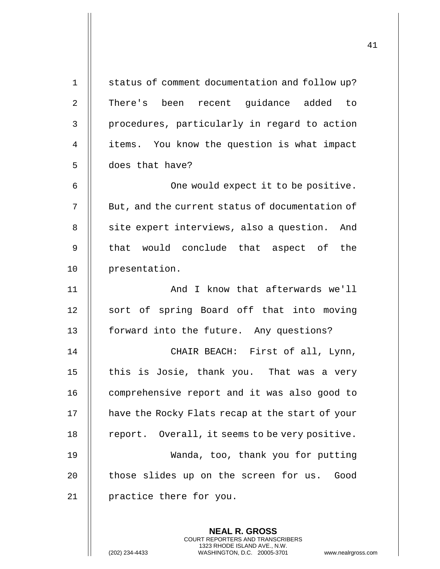| $\mathbf 1$    | status of comment documentation and follow up?                                                                                                                     |
|----------------|--------------------------------------------------------------------------------------------------------------------------------------------------------------------|
| $\overline{2}$ | There's been recent guidance added to                                                                                                                              |
| 3              | procedures, particularly in regard to action                                                                                                                       |
| $\overline{4}$ | items. You know the question is what impact                                                                                                                        |
| 5              | does that have?                                                                                                                                                    |
| 6              | One would expect it to be positive.                                                                                                                                |
| 7              | But, and the current status of documentation of                                                                                                                    |
| 8              | site expert interviews, also a question. And                                                                                                                       |
| 9              | that would conclude that aspect of the                                                                                                                             |
| 10             | presentation.                                                                                                                                                      |
| 11             | And I know that afterwards we'll                                                                                                                                   |
| 12             | sort of spring Board off that into moving                                                                                                                          |
| 13             | forward into the future. Any questions?                                                                                                                            |
| 14             | CHAIR BEACH: First of all, Lynn,                                                                                                                                   |
| 15             | this is Josie, thank you. That was a very                                                                                                                          |
| 16             | comprehensive report and it was also good to                                                                                                                       |
| 17             | have the Rocky Flats recap at the start of your                                                                                                                    |
| 18             | report. Overall, it seems to be very positive.                                                                                                                     |
| 19             | Wanda, too, thank you for putting                                                                                                                                  |
| 20             | those slides up on the screen for us. Good                                                                                                                         |
| 21             | practice there for you.                                                                                                                                            |
|                |                                                                                                                                                                    |
|                | <b>NEAL R. GROSS</b><br><b>COURT REPORTERS AND TRANSCRIBERS</b><br>1323 RHODE ISLAND AVE., N.W.<br>(202) 234-4433<br>WASHINGTON, D.C. 20005-3701<br>www.nealrgross |

(202) 234-4433 WASHINGTON, D.C. 20005-3701 www.nealrgross.com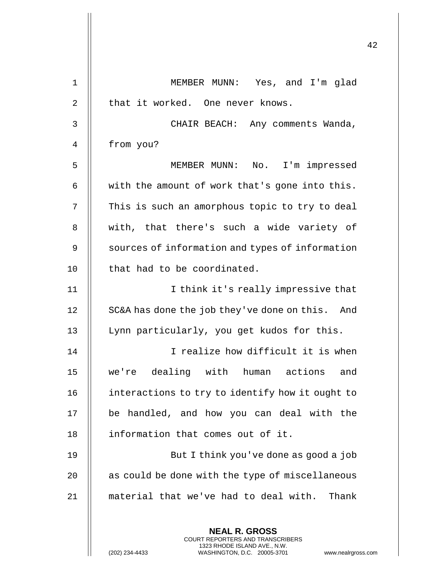| $\mathbf 1$    | MEMBER MUNN: Yes, and I'm glad                                                                                                                              |
|----------------|-------------------------------------------------------------------------------------------------------------------------------------------------------------|
| $\overline{2}$ | that it worked. One never knows.                                                                                                                            |
| 3              | CHAIR BEACH: Any comments Wanda,                                                                                                                            |
| 4              | from you?                                                                                                                                                   |
| 5              | MEMBER MUNN: No. I'm impressed                                                                                                                              |
| 6              | with the amount of work that's gone into this.                                                                                                              |
| 7              | This is such an amorphous topic to try to deal                                                                                                              |
| 8              | with, that there's such a wide variety of                                                                                                                   |
| 9              | sources of information and types of information                                                                                                             |
| 10             | that had to be coordinated.                                                                                                                                 |
| 11             | I think it's really impressive that                                                                                                                         |
| 12             | SC&A has done the job they've done on this. And                                                                                                             |
| 13             | Lynn particularly, you get kudos for this.                                                                                                                  |
| 14             | I realize how difficult it is when                                                                                                                          |
| 15             | we're dealing with human actions<br>and                                                                                                                     |
| 16             | interactions to try to identify how it ought to                                                                                                             |
| 17             | be handled, and how you can deal with the                                                                                                                   |
| 18             | information that comes out of it.                                                                                                                           |
| 19             | But I think you've done as good a job                                                                                                                       |
| 20             | as could be done with the type of miscellaneous                                                                                                             |
| 21             | material that we've had to deal with.<br>Thank                                                                                                              |
|                |                                                                                                                                                             |
|                | <b>NEAL R. GROSS</b><br>COURT REPORTERS AND TRANSCRIBERS<br>1323 RHODE ISLAND AVE., N.W.<br>(202) 234-4433<br>WASHINGTON, D.C. 20005-3701<br>www.nealrgross |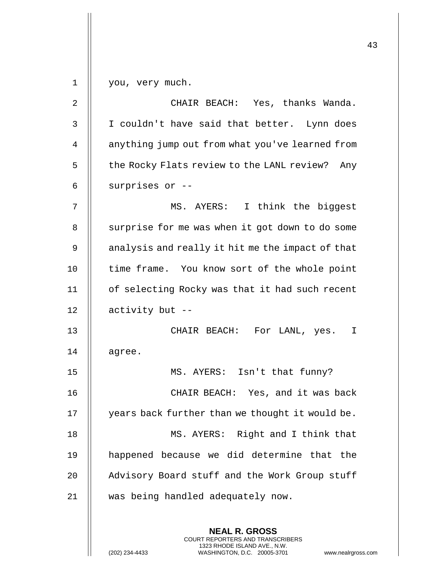**NEAL R. GROSS** COURT REPORTERS AND TRANSCRIBERS 1323 RHODE ISLAND AVE., N.W. 1 | you, very much. 2 CHAIR BEACH: Yes, thanks Wanda. 3 | I couldn't have said that better. Lynn does 4 | anything jump out from what you've learned from  $5$  | the Rocky Flats review to the LANL review? Any  $6$  || surprises or  $-$ -7 MS. AYERS: I think the biggest 8 | surprise for me was when it got down to do some 9 | analysis and really it hit me the impact of that 10 || time frame. You know sort of the whole point 11 of selecting Rocky was that it had such recent 12  $\parallel$  activity but --13 CHAIR BEACH: For LANL, yes. I  $14$  | agree. 15 MS. AYERS: Isn't that funny? 16 CHAIR BEACH: Yes, and it was back 17 | years back further than we thought it would be. 18 || MS. AYERS: Right and I think that 19 happened because we did determine that the 20 || Advisory Board stuff and the Work Group stuff 21 was being handled adequately now.

(202) 234-4433 WASHINGTON, D.C. 20005-3701 www.nealrgross.com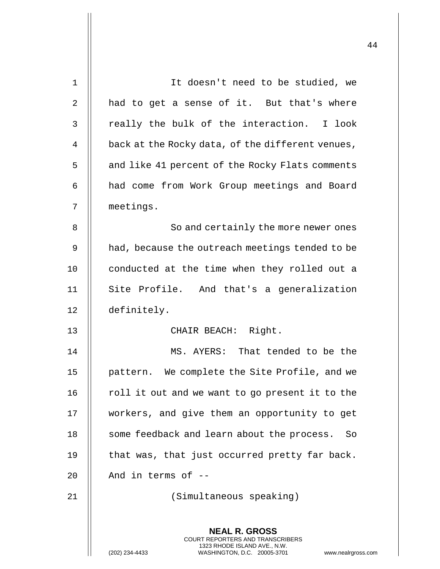| 1  | It doesn't need to be studied, we                                                                                                                               |
|----|-----------------------------------------------------------------------------------------------------------------------------------------------------------------|
| 2  | had to get a sense of it. But that's where                                                                                                                      |
| 3  | really the bulk of the interaction. I look                                                                                                                      |
| 4  | back at the Rocky data, of the different venues,                                                                                                                |
| 5  | and like 41 percent of the Rocky Flats comments                                                                                                                 |
| 6  | had come from Work Group meetings and Board                                                                                                                     |
| 7  | meetings.                                                                                                                                                       |
| 8  | So and certainly the more newer ones                                                                                                                            |
| 9  | had, because the outreach meetings tended to be                                                                                                                 |
| 10 | conducted at the time when they rolled out a                                                                                                                    |
| 11 | Site Profile. And that's a generalization                                                                                                                       |
| 12 | definitely.                                                                                                                                                     |
| 13 | CHAIR BEACH: Right.                                                                                                                                             |
| 14 | MS. AYERS: That tended to be the                                                                                                                                |
| 15 | pattern. We complete the Site Profile, and we                                                                                                                   |
| 16 | roll it out and we want to go present it to the                                                                                                                 |
| 17 | workers, and give them an opportunity to get                                                                                                                    |
| 18 | some feedback and learn about the process. So                                                                                                                   |
| 19 | that was, that just occurred pretty far back.                                                                                                                   |
| 20 | And in terms of $-$                                                                                                                                             |
| 21 | (Simultaneous speaking)                                                                                                                                         |
|    | <b>NEAL R. GROSS</b><br>COURT REPORTERS AND TRANSCRIBERS<br>1323 RHODE ISLAND AVE., N.W.<br>(202) 234-4433<br>WASHINGTON, D.C. 20005-3701<br>www.nealrgross.com |

 $\mathbf{L}$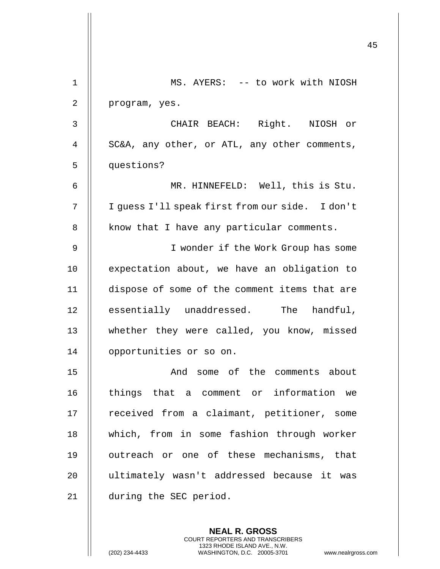|             |                                                 | 45 |
|-------------|-------------------------------------------------|----|
| $\mathbf 1$ | MS. AYERS: -- to work with NIOSH                |    |
| 2           | program, yes.                                   |    |
| 3           | CHAIR BEACH: Right. NIOSH or                    |    |
| 4           | SC&A, any other, or ATL, any other comments,    |    |
| 5           | questions?                                      |    |
| 6           | MR. HINNEFELD: Well, this is Stu.               |    |
| 7           | I guess I'll speak first from our side. I don't |    |
| 8           | know that I have any particular comments.       |    |
| 9           | I wonder if the Work Group has some             |    |
| 10          | expectation about, we have an obligation to     |    |
| 11          | dispose of some of the comment items that are   |    |
| 12          | essentially unaddressed. The handful,           |    |
| 13          | whether they were called, you know, missed      |    |
| 14          | opportunities or so on.                         |    |
| 15          | And some of the comments about                  |    |
| 16          | things that a comment or information we         |    |
| 17          | received from a claimant, petitioner, some      |    |
| 18          | which, from in some fashion through worker      |    |
| 19          | outreach or one of these mechanisms, that       |    |
| 20          | ultimately wasn't addressed because it was      |    |
| 21          | during the SEC period.                          |    |
|             |                                                 |    |

**NEAL R. GROSS** COURT REPORTERS AND TRANSCRIBERS 1323 RHODE ISLAND AVE., N.W.

 $\mathbf{1}$  $\mathsf{I}$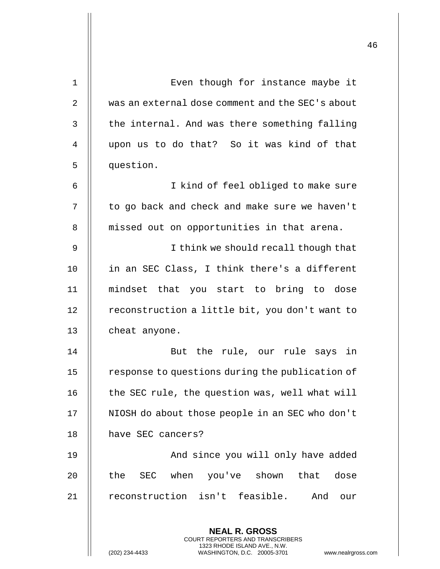| 1              | Even though for instance maybe it                                                                                                                                 |
|----------------|-------------------------------------------------------------------------------------------------------------------------------------------------------------------|
| $\overline{2}$ | was an external dose comment and the SEC's about                                                                                                                  |
| 3              | the internal. And was there something falling                                                                                                                     |
| 4              | upon us to do that? So it was kind of that                                                                                                                        |
| 5              | question.                                                                                                                                                         |
| 6              | I kind of feel obliged to make sure                                                                                                                               |
| 7              | to go back and check and make sure we haven't                                                                                                                     |
| 8              | missed out on opportunities in that arena.                                                                                                                        |
| 9              | I think we should recall though that                                                                                                                              |
| 10             | in an SEC Class, I think there's a different                                                                                                                      |
| 11             | mindset that you start to bring to dose                                                                                                                           |
| 12             | reconstruction a little bit, you don't want to                                                                                                                    |
| 13             | cheat anyone.                                                                                                                                                     |
| 14             | But the rule, our rule says in                                                                                                                                    |
| 15             | response to questions during the publication of                                                                                                                   |
| 16             | the SEC rule, the question was, well what will                                                                                                                    |
| 17             | NIOSH do about those people in an SEC who don't                                                                                                                   |
| 18             | have SEC cancers?                                                                                                                                                 |
| 19             | And since you will only have added                                                                                                                                |
| 20             | the SEC when you've shown that dose                                                                                                                               |
| 21             | reconstruction isn't feasible. And our                                                                                                                            |
|                |                                                                                                                                                                   |
|                | <b>NEAL R. GROSS</b><br><b>COURT REPORTERS AND TRANSCRIBERS</b><br>1323 RHODE ISLAND AVE., N.W.<br>(202) 234-4433<br>WASHINGTON, D.C. 20005-3701<br>www.nealrgros |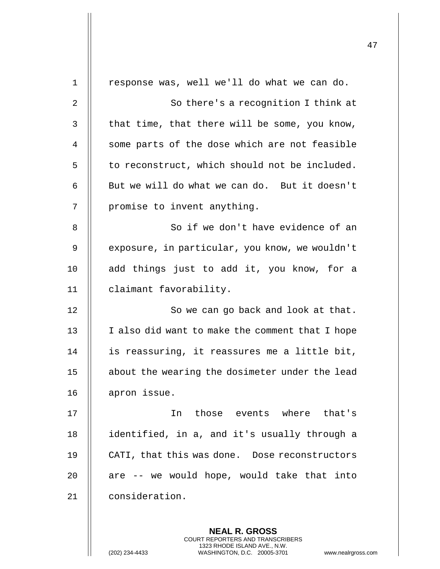|              |                                                 | 47 |
|--------------|-------------------------------------------------|----|
| $\mathbf{1}$ | response was, well we'll do what we can do.     |    |
| 2            | So there's a recognition I think at             |    |
| 3            | that time, that there will be some, you know,   |    |
| 4            | some parts of the dose which are not feasible   |    |
| 5            | to reconstruct, which should not be included.   |    |
| 6            | But we will do what we can do. But it doesn't   |    |
| 7            | promise to invent anything.                     |    |
| 8            | So if we don't have evidence of an              |    |
| 9            | exposure, in particular, you know, we wouldn't  |    |
| 10           | add things just to add it, you know, for a      |    |
| 11           | claimant favorability.                          |    |
| 12           | So we can go back and look at that.             |    |
| 13           | I also did want to make the comment that I hope |    |
| 14           | is reassuring, it reassures me a little bit,    |    |
| 15           | about the wearing the dosimeter under the lead  |    |
| 16           | apron issue.                                    |    |
| 17           | In those events where that's                    |    |
| 18           | identified, in a, and it's usually through a    |    |
| 19           | CATI, that this was done. Dose reconstructors   |    |
| 20           | are -- we would hope, would take that into      |    |
| 21           | consideration.                                  |    |
|              |                                                 |    |

**NEAL R. GROSS** COURT REPORTERS AND TRANSCRIBERS 1323 RHODE ISLAND AVE., N.W.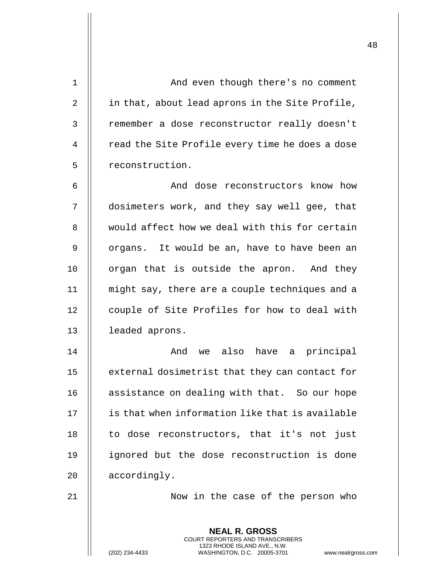| $\mathbf{1}$ | And even though there's no comment                                                                                                                                     |
|--------------|------------------------------------------------------------------------------------------------------------------------------------------------------------------------|
| 2            | in that, about lead aprons in the Site Profile,                                                                                                                        |
| 3            | remember a dose reconstructor really doesn't                                                                                                                           |
| 4            | read the Site Profile every time he does a dose                                                                                                                        |
| 5            | reconstruction.                                                                                                                                                        |
| 6            | And dose reconstructors know how                                                                                                                                       |
| 7            | dosimeters work, and they say well gee, that                                                                                                                           |
| 8            | would affect how we deal with this for certain                                                                                                                         |
| 9            | organs. It would be an, have to have been an                                                                                                                           |
| 10           | organ that is outside the apron. And they                                                                                                                              |
| 11           | might say, there are a couple techniques and a                                                                                                                         |
| 12           | couple of Site Profiles for how to deal with                                                                                                                           |
| 13           | leaded aprons.                                                                                                                                                         |
| 14           | we also have a principal<br>And                                                                                                                                        |
| 15           | external dosimetrist that they can contact for                                                                                                                         |
| 16           | assistance on dealing with that. So our hope                                                                                                                           |
| 17           | is that when information like that is available                                                                                                                        |
| 18           | to dose reconstructors, that it's not just                                                                                                                             |
| 19           | ignored but the dose reconstruction is done                                                                                                                            |
| 20           | accordingly.                                                                                                                                                           |
| 21           | Now in the case of the person who                                                                                                                                      |
|              | <b>NEAL R. GROSS</b><br><b>COURT REPORTERS AND TRANSCRIBERS</b><br>1323 RHODE ISLAND AVE., N.W.<br>WASHINGTON, D.C. 20005-3701<br>(202) 234-4433<br>www.nealrgross.com |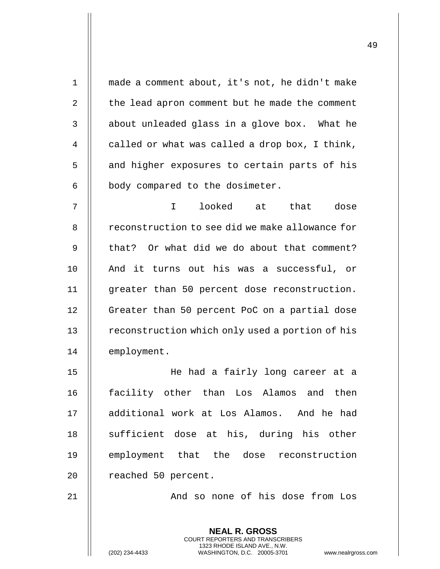**NEAL R. GROSS** COURT REPORTERS AND TRANSCRIBERS 1323 RHODE ISLAND AVE., N.W. 1 made a comment about, it's not, he didn't make 2  $\parallel$  the lead apron comment but he made the comment  $3$  | about unleaded glass in a glove box. What he 4  $\parallel$  called or what was called a drop box, I think, 5 || and higher exposures to certain parts of his  $6$  || body compared to the dosimeter. 7 I looked at that dose 8 | reconstruction to see did we make allowance for 9 || that? Or what did we do about that comment? 10 || And it turns out his was a successful, or 11 greater than 50 percent dose reconstruction. 12 | Greater than 50 percent PoC on a partial dose 13 | reconstruction which only used a portion of his 14 | employment. 15 He had a fairly long career at a 16 facility other than Los Alamos and then 17 additional work at Los Alamos. And he had 18 || sufficient dose at his, during his other 19 || employment that the dose reconstruction 20 | reached 50 percent. 21 || And so none of his dose from Los

(202) 234-4433 WASHINGTON, D.C. 20005-3701 www.nealrgross.com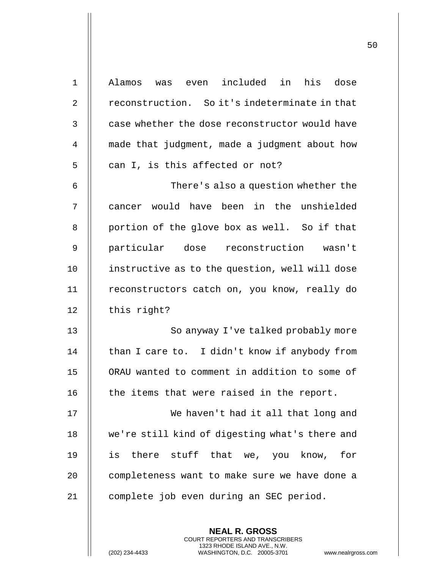| $\mathbf 1$    | Alamos was even included in his dose           |
|----------------|------------------------------------------------|
| $\overline{2}$ | reconstruction. So it's indeterminate in that  |
| 3              | case whether the dose reconstructor would have |
| 4              | made that judgment, made a judgment about how  |
| 5              | can I, is this affected or not?                |
| 6              | There's also a question whether the            |
| 7              | cancer would have been in the unshielded       |
| 8              | portion of the glove box as well. So if that   |
| 9              | particular dose reconstruction wasn't          |
| 10             | instructive as to the question, well will dose |
| 11             | reconstructors catch on, you know, really do   |
| 12             | this right?                                    |
| 13             | So anyway I've talked probably more            |
| 14             | than I care to. I didn't know if anybody from  |
| 15             | ORAU wanted to comment in addition to some of  |
| 16             | the items that were raised in the report.      |
| 17             | We haven't had it all that long and            |
| 18             | we're still kind of digesting what's there and |
| 19             | there stuff that we, you know,<br>is<br>for    |
| 20             | completeness want to make sure we have done a  |
| 21             | complete job even during an SEC period.        |
|                |                                                |

**NEAL R. GROSS** COURT REPORTERS AND TRANSCRIBERS 1323 RHODE ISLAND AVE., N.W.

(202) 234-4433 WASHINGTON, D.C. 20005-3701 www.nealrgross.com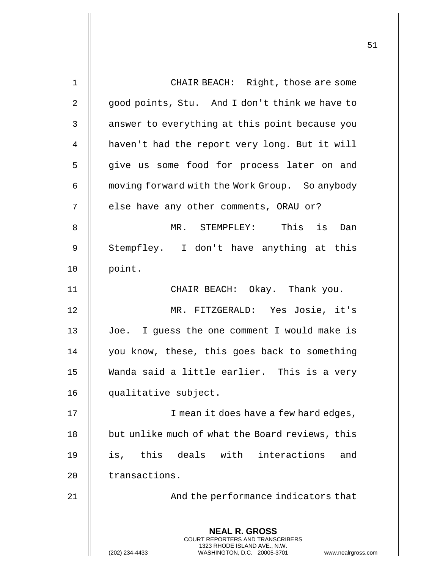| 1           | CHAIR BEACH: Right, those are some                                                                                                                              |  |
|-------------|-----------------------------------------------------------------------------------------------------------------------------------------------------------------|--|
| 2           | good points, Stu. And I don't think we have to                                                                                                                  |  |
| 3           | answer to everything at this point because you                                                                                                                  |  |
|             |                                                                                                                                                                 |  |
| 4           | haven't had the report very long. But it will                                                                                                                   |  |
| 5           | give us some food for process later on and                                                                                                                      |  |
| 6           | moving forward with the Work Group. So anybody                                                                                                                  |  |
| 7           | else have any other comments, ORAU or?                                                                                                                          |  |
| 8           | is<br>MR. STEMPFLEY: This<br>Dan                                                                                                                                |  |
| $\mathsf 9$ | Stempfley. I don't have anything at this                                                                                                                        |  |
| 10          | point.                                                                                                                                                          |  |
| 11          | CHAIR BEACH: Okay. Thank you.                                                                                                                                   |  |
| 12          | MR. FITZGERALD: Yes Josie, it's                                                                                                                                 |  |
| 13          | Joe. I guess the one comment I would make is                                                                                                                    |  |
| 14          | you know, these, this goes back to something                                                                                                                    |  |
| 15          | Wanda said a little earlier. This is a very                                                                                                                     |  |
| 16          | qualitative subject.                                                                                                                                            |  |
| 17          | I mean it does have a few hard edges,                                                                                                                           |  |
| 18          | but unlike much of what the Board reviews, this                                                                                                                 |  |
| 19          | is, this deals with<br>interactions<br>and                                                                                                                      |  |
| 20          | transactions.                                                                                                                                                   |  |
| 21          | And the performance indicators that                                                                                                                             |  |
|             | <b>NEAL R. GROSS</b><br>COURT REPORTERS AND TRANSCRIBERS<br>1323 RHODE ISLAND AVE., N.W.<br>(202) 234-4433<br>WASHINGTON, D.C. 20005-3701<br>www.nealrgross.com |  |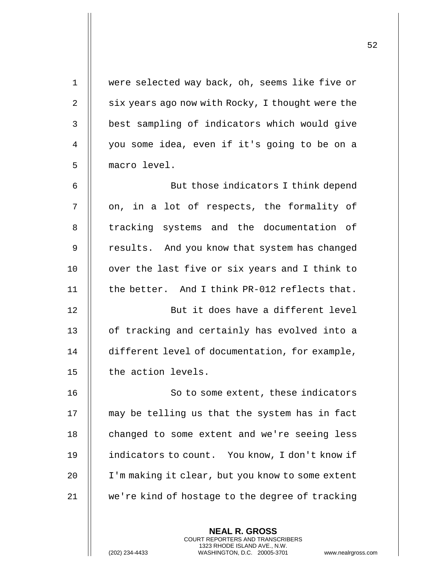| $\mathbf 1$ | were selected way back, oh, seems like five or   |
|-------------|--------------------------------------------------|
| 2           | six years ago now with Rocky, I thought were the |
| 3           | best sampling of indicators which would give     |
| 4           | you some idea, even if it's going to be on a     |
| 5           | macro level.                                     |
| 6           | But those indicators I think depend              |
| 7           | on, in a lot of respects, the formality of       |
| 8           | tracking systems and the documentation of        |
| 9           | results. And you know that system has changed    |
| 10          | over the last five or six years and I think to   |
| 11          | the better. And I think PR-012 reflects that.    |
| 12          | But it does have a different level               |
| 13          | of tracking and certainly has evolved into a     |
| 14          | different level of documentation, for example,   |
| 15          | the action levels.                               |
| 16          | So to some extent, these indicators              |
| 17          | may be telling us that the system has in fact    |
| 18          | changed to some extent and we're seeing less     |
| 19          | indicators to count. You know, I don't know if   |
| 20          | I'm making it clear, but you know to some extent |
| 21          | we're kind of hostage to the degree of tracking  |
|             |                                                  |

**NEAL R. GROSS** COURT REPORTERS AND TRANSCRIBERS 1323 RHODE ISLAND AVE., N.W.

(202) 234-4433 WASHINGTON, D.C. 20005-3701 www.nealrgross.com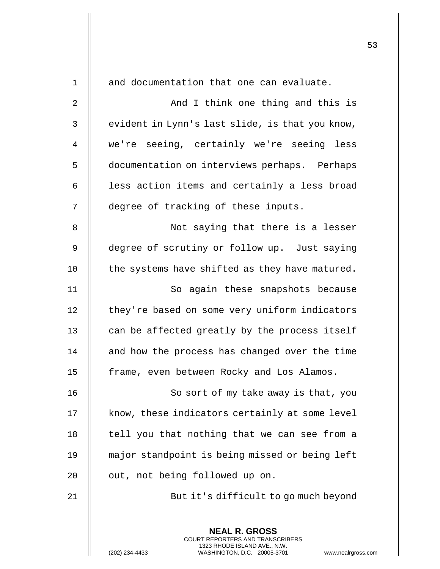| $\mathbf 1$    | and documentation that one can evaluate.                                                                                                                           |
|----------------|--------------------------------------------------------------------------------------------------------------------------------------------------------------------|
| $\overline{2}$ | And I think one thing and this is                                                                                                                                  |
| 3              | evident in Lynn's last slide, is that you know,                                                                                                                    |
| 4              | we're seeing, certainly we're seeing less                                                                                                                          |
| 5              | documentation on interviews perhaps. Perhaps                                                                                                                       |
| 6              | less action items and certainly a less broad                                                                                                                       |
| 7              | degree of tracking of these inputs.                                                                                                                                |
| 8              | Not saying that there is a lesser                                                                                                                                  |
| 9              | degree of scrutiny or follow up. Just saying                                                                                                                       |
| 10             | the systems have shifted as they have matured.                                                                                                                     |
| 11             | So again these snapshots because                                                                                                                                   |
| 12             | they're based on some very uniform indicators                                                                                                                      |
| 13             | can be affected greatly by the process itself                                                                                                                      |
| 14             | and how the process has changed over the time                                                                                                                      |
| 15             | frame, even between Rocky and Los Alamos.                                                                                                                          |
| 16             | So sort of my take away is that, you                                                                                                                               |
| 17             | know, these indicators certainly at some level                                                                                                                     |
| 18             | tell you that nothing that we can see from a                                                                                                                       |
| 19             | major standpoint is being missed or being left                                                                                                                     |
| 20             | out, not being followed up on.                                                                                                                                     |
| 21             | But it's difficult to go much beyond                                                                                                                               |
|                | <b>NEAL R. GROSS</b><br><b>COURT REPORTERS AND TRANSCRIBERS</b><br>1323 RHODE ISLAND AVE., N.W.<br>(202) 234-4433<br>WASHINGTON, D.C. 20005-3701<br>www.nealrgross |

 $\mathsf{I}$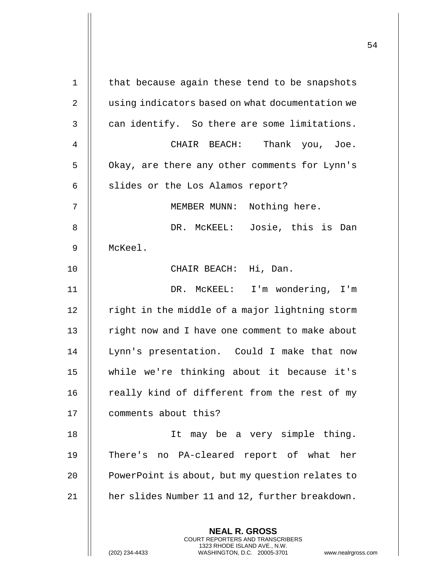| $\mathbf 1$  | that because again these tend to be snapshots                                                                                                                   |
|--------------|-----------------------------------------------------------------------------------------------------------------------------------------------------------------|
| 2            | using indicators based on what documentation we                                                                                                                 |
| $\mathsf{3}$ | can identify. So there are some limitations.                                                                                                                    |
| 4            | CHAIR BEACH: Thank you, Joe.                                                                                                                                    |
| 5            | Okay, are there any other comments for Lynn's                                                                                                                   |
| 6            | slides or the Los Alamos report?                                                                                                                                |
| 7            | MEMBER MUNN: Nothing here.                                                                                                                                      |
| 8            | DR. MCKEEL: Josie, this is Dan                                                                                                                                  |
| 9            | McKeel.                                                                                                                                                         |
| 10           | CHAIR BEACH: Hi, Dan.                                                                                                                                           |
| 11           | DR. MCKEEL: I'm wondering, I'm                                                                                                                                  |
| 12           | right in the middle of a major lightning storm                                                                                                                  |
| 13           | right now and I have one comment to make about                                                                                                                  |
| 14           | Lynn's presentation. Could I make that now                                                                                                                      |
| $15\,$       | while we're thinking about it because it's                                                                                                                      |
| 16           | really kind of different from the rest of my                                                                                                                    |
| 17           | comments about this?                                                                                                                                            |
| 18           | It may be a very simple thing.                                                                                                                                  |
| 19           | There's no PA-cleared report of what her                                                                                                                        |
| 20           | PowerPoint is about, but my question relates to                                                                                                                 |
| 21           | her slides Number 11 and 12, further breakdown.                                                                                                                 |
|              |                                                                                                                                                                 |
|              | <b>NEAL R. GROSS</b><br>COURT REPORTERS AND TRANSCRIBERS<br>1323 RHODE ISLAND AVE., N.W.<br>(202) 234-4433<br>WASHINGTON, D.C. 20005-3701<br>www.nealrgross.com |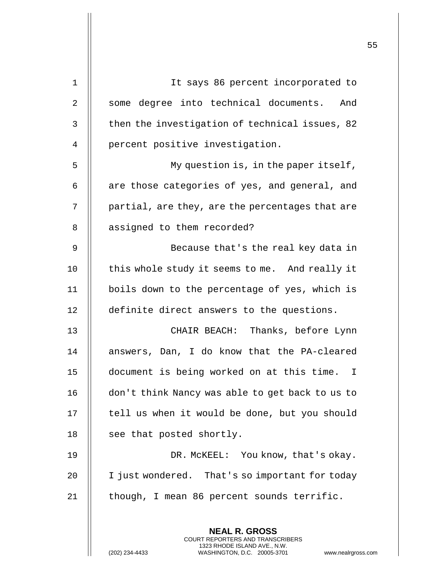|    |                                                                                                                                                                 | 55 |
|----|-----------------------------------------------------------------------------------------------------------------------------------------------------------------|----|
| 1  | It says 86 percent incorporated to                                                                                                                              |    |
| 2  | some degree into technical documents. And                                                                                                                       |    |
| 3  | then the investigation of technical issues, 82                                                                                                                  |    |
| 4  | percent positive investigation.                                                                                                                                 |    |
| 5  | My question is, in the paper itself,                                                                                                                            |    |
| 6  | are those categories of yes, and general, and                                                                                                                   |    |
|    |                                                                                                                                                                 |    |
| 7  | partial, are they, are the percentages that are                                                                                                                 |    |
| 8  | assigned to them recorded?                                                                                                                                      |    |
| 9  | Because that's the real key data in                                                                                                                             |    |
| 10 | this whole study it seems to me. And really it                                                                                                                  |    |
| 11 | boils down to the percentage of yes, which is                                                                                                                   |    |
| 12 | definite direct answers to the questions.                                                                                                                       |    |
| 13 | CHAIR BEACH: Thanks, before Lynn                                                                                                                                |    |
| 14 | answers, Dan, I do know that the PA-cleared                                                                                                                     |    |
| 15 | document is being worked on at this time. I                                                                                                                     |    |
| 16 | don't think Nancy was able to get back to us to                                                                                                                 |    |
| 17 | tell us when it would be done, but you should                                                                                                                   |    |
| 18 | see that posted shortly.                                                                                                                                        |    |
| 19 | DR. MCKEEL: You know, that's okay.                                                                                                                              |    |
| 20 | I just wondered. That's so important for today                                                                                                                  |    |
| 21 | though, I mean 86 percent sounds terrific.                                                                                                                      |    |
|    | <b>NEAL R. GROSS</b><br>COURT REPORTERS AND TRANSCRIBERS<br>1323 RHODE ISLAND AVE., N.W.<br>WASHINGTON, D.C. 20005-3701<br>(202) 234-4433<br>www.nealrgross.com |    |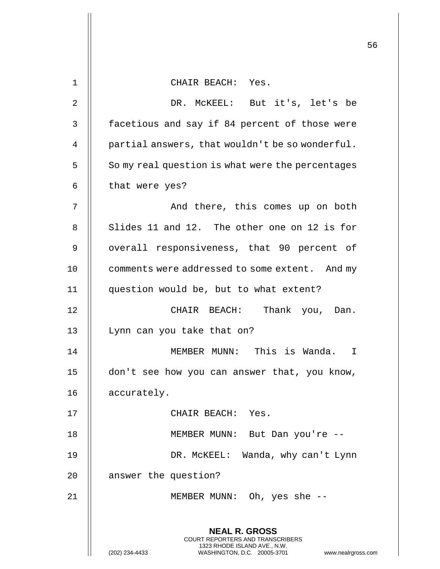|             |                                                                                                                                                                        | 56 |
|-------------|------------------------------------------------------------------------------------------------------------------------------------------------------------------------|----|
| $\mathbf 1$ | CHAIR BEACH: Yes.                                                                                                                                                      |    |
| 2           | DR. MCKEEL: But it's, let's be                                                                                                                                         |    |
| 3           | facetious and say if 84 percent of those were                                                                                                                          |    |
| 4           | partial answers, that wouldn't be so wonderful.                                                                                                                        |    |
| 5           | So my real question is what were the percentages                                                                                                                       |    |
| 6           | that were yes?                                                                                                                                                         |    |
| 7           | And there, this comes up on both                                                                                                                                       |    |
| 8           | Slides 11 and 12. The other one on 12 is for                                                                                                                           |    |
| 9           | overall responsiveness, that 90 percent of                                                                                                                             |    |
| 10          | comments were addressed to some extent. And my                                                                                                                         |    |
| 11          | question would be, but to what extent?                                                                                                                                 |    |
| 12          | CHAIR BEACH: Thank you, Dan.                                                                                                                                           |    |
| 13          | Lynn can you take that on?                                                                                                                                             |    |
| 14          | MEMBER MUNN: This is Wanda.<br>T                                                                                                                                       |    |
| 15          | don't see how you can answer that, you know,                                                                                                                           |    |
| 16          | accurately.                                                                                                                                                            |    |
| 17          | CHAIR BEACH: Yes.                                                                                                                                                      |    |
| 18          | MEMBER MUNN: But Dan you're --                                                                                                                                         |    |
| 19          | DR. MCKEEL: Wanda, why can't Lynn                                                                                                                                      |    |
| 20          | answer the question?                                                                                                                                                   |    |
| 21          | MEMBER MUNN: Oh, yes she --                                                                                                                                            |    |
|             | <b>NEAL R. GROSS</b><br><b>COURT REPORTERS AND TRANSCRIBERS</b><br>1323 RHODE ISLAND AVE., N.W.<br>(202) 234-4433<br>WASHINGTON, D.C. 20005-3701<br>www.nealrgross.com |    |

 $\overline{1}$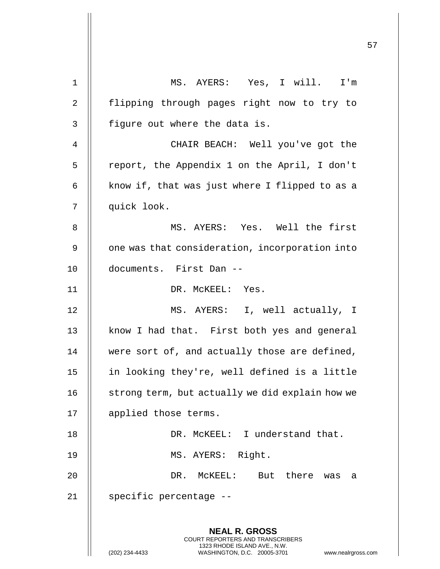|             |                                                                                                     | 57 |
|-------------|-----------------------------------------------------------------------------------------------------|----|
| $\mathbf 1$ | MS. AYERS: Yes, I will. I'm                                                                         |    |
| 2           | flipping through pages right now to try to                                                          |    |
| 3           | figure out where the data is.                                                                       |    |
| 4           | CHAIR BEACH: Well you've got the                                                                    |    |
| 5           | report, the Appendix 1 on the April, I don't                                                        |    |
| 6           | know if, that was just where I flipped to as a                                                      |    |
| 7           | quick look.                                                                                         |    |
| 8           | MS. AYERS: Yes. Well the first                                                                      |    |
| 9           | one was that consideration, incorporation into                                                      |    |
| 10          | documents. First Dan --                                                                             |    |
| 11          | DR. MCKEEL: Yes.                                                                                    |    |
| 12          | MS. AYERS: I, well actually, I                                                                      |    |
| 13          | know I had that. First both yes and general                                                         |    |
| 14          | were sort of, and actually those are defined,                                                       |    |
| 15          | in looking they're, well defined is a little                                                        |    |
| 16          | strong term, but actually we did explain how we                                                     |    |
| 17          | applied those terms.                                                                                |    |
| 18          | DR. MCKEEL: I understand that.                                                                      |    |
| 19          | MS. AYERS: Right.                                                                                   |    |
| 20          | DR.<br>MCKEEL:<br>But there<br>was<br>a                                                             |    |
| 21          | specific percentage --                                                                              |    |
|             |                                                                                                     |    |
|             | <b>NEAL R. GROSS</b><br>COURT REPORTERS AND TRANSCRIBERS                                            |    |
|             | 1323 RHODE ISLAND AVE., N.W.<br>(202) 234-4433<br>WASHINGTON, D.C. 20005-3701<br>www.nealrgross.com |    |

 $\overline{1}$ 

 $\mathsf{I}$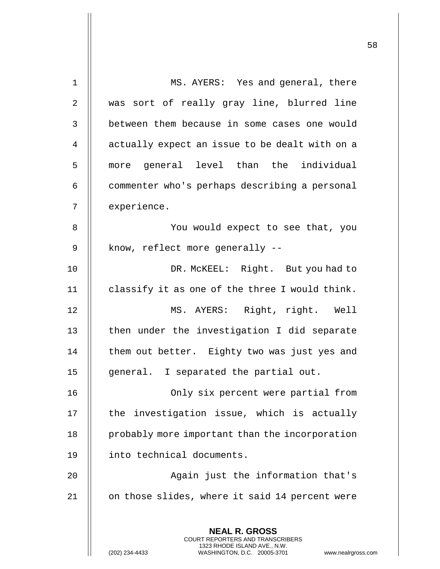| $\mathbf 1$    | MS. AYERS: Yes and general, there                                                               |
|----------------|-------------------------------------------------------------------------------------------------|
| $\overline{2}$ | was sort of really gray line, blurred line                                                      |
| 3              | between them because in some cases one would                                                    |
| 4              | actually expect an issue to be dealt with on a                                                  |
| 5              | more general level than the individual                                                          |
| 6              | commenter who's perhaps describing a personal                                                   |
| 7              | experience.                                                                                     |
| 8              | You would expect to see that, you                                                               |
| 9              | know, reflect more generally --                                                                 |
| 10             | DR. MCKEEL: Right. But you had to                                                               |
| 11             | classify it as one of the three I would think.                                                  |
| 12             | MS. AYERS: Right, right. Well                                                                   |
| 13             | then under the investigation I did separate                                                     |
| 14             | them out better. Eighty two was just yes and                                                    |
| 15             | general. I separated the partial out.                                                           |
| 16             | Only six percent were partial from                                                              |
| 17             | the investigation issue, which is actually                                                      |
| 18             | probably more important than the incorporation                                                  |
| 19             | into technical documents.                                                                       |
| 20             | Again just the information that's                                                               |
| 21             | on those slides, where it said 14 percent were                                                  |
|                |                                                                                                 |
|                | <b>NEAL R. GROSS</b><br><b>COURT REPORTERS AND TRANSCRIBERS</b><br>1323 RHODE ISLAND AVE., N.W. |
|                | (202) 234-4433<br>WASHINGTON, D.C. 20005-3701<br>www.nealrgross.com                             |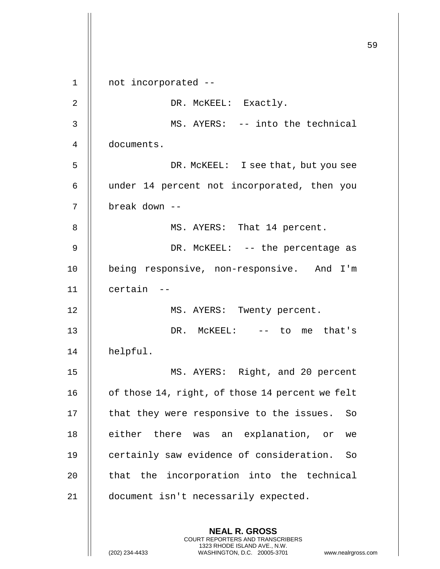|             |                                                                                                                                                                        | 59 |
|-------------|------------------------------------------------------------------------------------------------------------------------------------------------------------------------|----|
| $\mathbf 1$ | not incorporated --                                                                                                                                                    |    |
| 2           | DR. MCKEEL: Exactly.                                                                                                                                                   |    |
| 3           | MS. AYERS: -- into the technical                                                                                                                                       |    |
| 4           | documents.                                                                                                                                                             |    |
| 5           | DR. MCKEEL: I see that, but you see                                                                                                                                    |    |
| 6           | under 14 percent not incorporated, then you                                                                                                                            |    |
| 7           | break down --                                                                                                                                                          |    |
| 8           | MS. AYERS: That 14 percent.                                                                                                                                            |    |
| 9           | DR. MCKEEL: -- the percentage as                                                                                                                                       |    |
| 10          | being responsive, non-responsive. And I'm                                                                                                                              |    |
| 11          | certain --                                                                                                                                                             |    |
| 12          | MS. AYERS: Twenty percent.                                                                                                                                             |    |
| 13          | DR. MCKEEL: -- to me that's                                                                                                                                            |    |
| 14          | helpful.                                                                                                                                                               |    |
| 15          | MS. AYERS: Right, and 20 percent                                                                                                                                       |    |
| 16          | of those 14, right, of those 14 percent we felt                                                                                                                        |    |
| 17          | that they were responsive to the issues.<br>So                                                                                                                         |    |
| 18          | either there was an explanation, or<br>we                                                                                                                              |    |
| 19          | certainly saw evidence of consideration.<br>So                                                                                                                         |    |
| 20          | that the incorporation into the technical                                                                                                                              |    |
| 21          | document isn't necessarily expected.                                                                                                                                   |    |
|             | <b>NEAL R. GROSS</b><br><b>COURT REPORTERS AND TRANSCRIBERS</b><br>1323 RHODE ISLAND AVE., N.W.<br>(202) 234-4433<br>WASHINGTON, D.C. 20005-3701<br>www.nealrgross.com |    |

 $\mathbf{I}$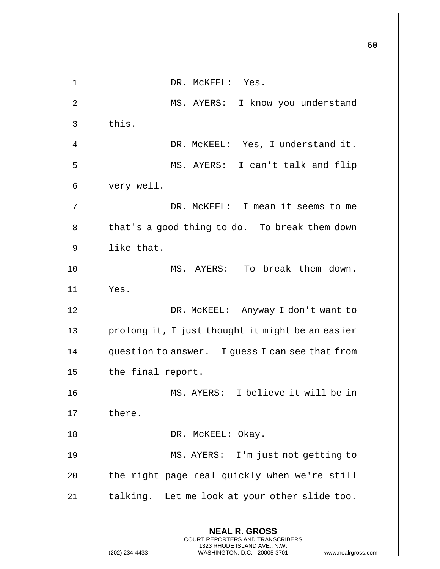|                |                                                                                                                                                                        | 60 |
|----------------|------------------------------------------------------------------------------------------------------------------------------------------------------------------------|----|
| $\mathbf 1$    | DR. MCKEEL: Yes.                                                                                                                                                       |    |
| $\overline{2}$ | MS. AYERS: I know you understand                                                                                                                                       |    |
| 3              | this.                                                                                                                                                                  |    |
| 4              | DR. MCKEEL: Yes, I understand it.                                                                                                                                      |    |
| 5              | MS. AYERS: I can't talk and flip                                                                                                                                       |    |
| 6              | very well.                                                                                                                                                             |    |
| 7              | DR. MCKEEL: I mean it seems to me                                                                                                                                      |    |
| 8              | that's a good thing to do. To break them down                                                                                                                          |    |
| $\mathsf 9$    | like that.                                                                                                                                                             |    |
| 10             | MS. AYERS: To break them down.                                                                                                                                         |    |
| 11             | Yes.                                                                                                                                                                   |    |
| 12             | DR. MCKEEL: Anyway I don't want to                                                                                                                                     |    |
| 13             | prolong it, I just thought it might be an easier                                                                                                                       |    |
| 14             | question to answer. I guess I can see that from                                                                                                                        |    |
| 15             | the final report.                                                                                                                                                      |    |
| 16             | MS. AYERS: I believe it will be in                                                                                                                                     |    |
| 17             | there.                                                                                                                                                                 |    |
| 18             | DR. MCKEEL: Okay.                                                                                                                                                      |    |
| 19             | MS. AYERS: I'm just not getting to                                                                                                                                     |    |
| 20             | the right page real quickly when we're still                                                                                                                           |    |
| 21             | talking. Let me look at your other slide too.                                                                                                                          |    |
|                | <b>NEAL R. GROSS</b><br><b>COURT REPORTERS AND TRANSCRIBERS</b><br>1323 RHODE ISLAND AVE., N.W.<br>(202) 234-4433<br>WASHINGTON, D.C. 20005-3701<br>www.nealrgross.com |    |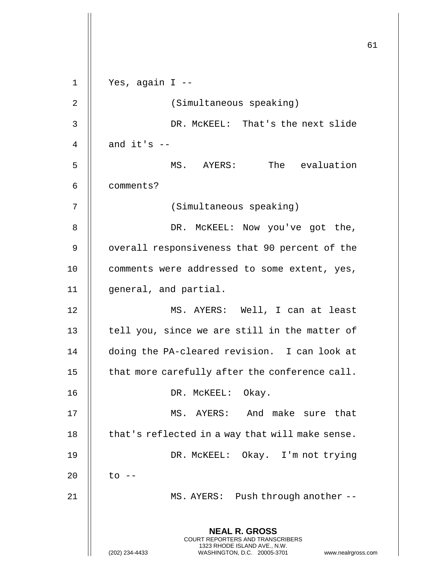**NEAL R. GROSS** COURT REPORTERS AND TRANSCRIBERS 1323 RHODE ISLAND AVE., N.W. (202) 234-4433 WASHINGTON, D.C. 20005-3701 www.nealrgross.com  $1 \parallel$  Yes, again I --2 || (Simultaneous speaking) DR. McKEEL: That's the next slide  $\parallel$  and it's  $-$  MS. AYERS: The evaluation comments? (Simultaneous speaking) DR. McKEEL: Now you've got the, 9 | overall responsiveness that 90 percent of the 10 || comments were addressed to some extent, yes, general, and partial. MS. AYERS: Well, I can at least  $\parallel$  tell you, since we are still in the matter of doing the PA-cleared revision. I can look at 15  $\parallel$  that more carefully after the conference call. 16 || DR. McKEEL: Okay. MS. AYERS: And make sure that || that's reflected in a way that will make sense. DR. McKEEL: Okay. I'm not trying || to  $-$ MS. AYERS: Push through another --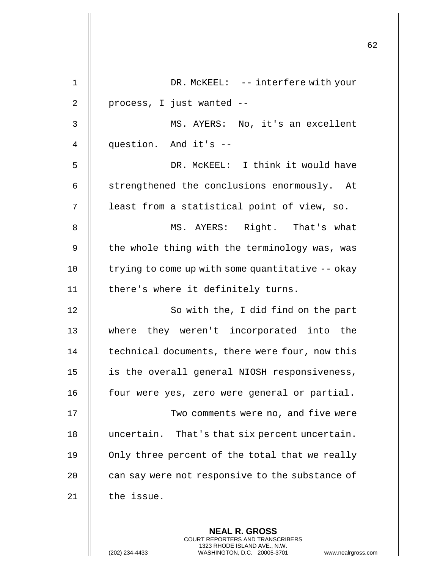|             |                                                  | 62 |
|-------------|--------------------------------------------------|----|
| $\mathbf 1$ | DR. MCKEEL: -- interfere with your               |    |
| 2           | process, I just wanted --                        |    |
| 3           | MS. AYERS: No, it's an excellent                 |    |
| 4           | question. And it's --                            |    |
| 5           | DR. MCKEEL: I think it would have                |    |
| 6           | strengthened the conclusions enormously. At      |    |
| 7           | least from a statistical point of view, so.      |    |
| 8           | MS. AYERS: Right. That's what                    |    |
| 9           | the whole thing with the terminology was, was    |    |
| 10          | trying to come up with some quantitative -- okay |    |
| 11          | there's where it definitely turns.               |    |
| 12          | So with the, I did find on the part              |    |
| 13          | where they weren't incorporated into the         |    |
| 14          | technical documents, there were four, now this   |    |
| 15          | is the overall general NIOSH responsiveness,     |    |
| 16          | four were yes, zero were general or partial.     |    |
| 17          | Two comments were no, and five were              |    |
| 18          | uncertain. That's that six percent uncertain.    |    |
| 19          | Only three percent of the total that we really   |    |
| 20          | can say were not responsive to the substance of  |    |
| 21          | the issue.                                       |    |
|             |                                                  |    |
|             | <b>NEAL R. GROSS</b>                             |    |

COURT REPORTERS AND TRANSCRIBERS 1323 RHODE ISLAND AVE., N.W.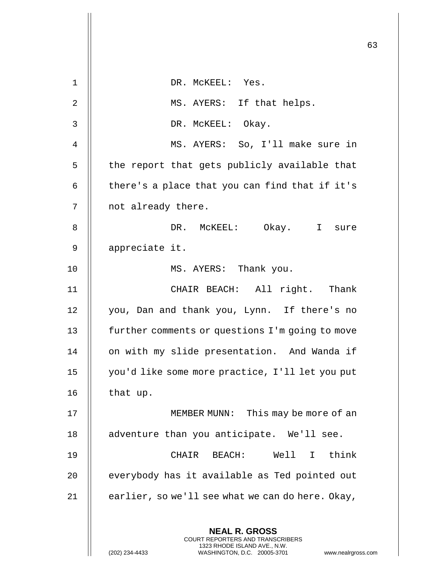|                |                                                                                                                                                                        | 63 |
|----------------|------------------------------------------------------------------------------------------------------------------------------------------------------------------------|----|
| $\mathbf 1$    | DR. MCKEEL: Yes.                                                                                                                                                       |    |
| $\overline{2}$ | MS. AYERS: If that helps.                                                                                                                                              |    |
| 3              | DR. MCKEEL: Okay.                                                                                                                                                      |    |
| 4              | MS. AYERS: So, I'll make sure in                                                                                                                                       |    |
| 5              | the report that gets publicly available that                                                                                                                           |    |
| 6              | there's a place that you can find that if it's                                                                                                                         |    |
| 7              | not already there.                                                                                                                                                     |    |
| 8              | DR. MCKEEL: Okay. I sure                                                                                                                                               |    |
| 9              | appreciate it.                                                                                                                                                         |    |
| 10             | MS. AYERS: Thank you.                                                                                                                                                  |    |
| 11             | CHAIR BEACH: All right. Thank                                                                                                                                          |    |
| 12             | you, Dan and thank you, Lynn. If there's no                                                                                                                            |    |
| 13             | further comments or questions I'm going to move                                                                                                                        |    |
| 14             | on with my slide presentation. And Wanda if                                                                                                                            |    |
| 15             | you'd like some more practice, I'll let you put                                                                                                                        |    |
| 16             | that up.                                                                                                                                                               |    |
| 17             | MEMBER MUNN: This may be more of an                                                                                                                                    |    |
| 18             | adventure than you anticipate. We'll see.                                                                                                                              |    |
| 19             | CHAIR BEACH: Well I think                                                                                                                                              |    |
| 20             | everybody has it available as Ted pointed out                                                                                                                          |    |
| 21             | earlier, so we'll see what we can do here. Okay,                                                                                                                       |    |
|                | <b>NEAL R. GROSS</b><br><b>COURT REPORTERS AND TRANSCRIBERS</b><br>1323 RHODE ISLAND AVE., N.W.<br>(202) 234-4433<br>WASHINGTON, D.C. 20005-3701<br>www.nealrgross.com |    |

 $\mathbf{1}$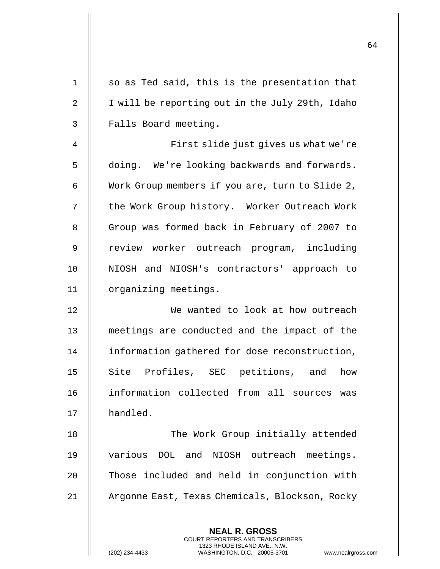| $\mathbf 1$ | so as Ted said, this is the presentation that                                                                                                                          |
|-------------|------------------------------------------------------------------------------------------------------------------------------------------------------------------------|
| 2           | I will be reporting out in the July 29th, Idaho                                                                                                                        |
| 3           | Falls Board meeting.                                                                                                                                                   |
| 4           | First slide just gives us what we're                                                                                                                                   |
| 5           | doing. We're looking backwards and forwards.                                                                                                                           |
| 6           | Work Group members if you are, turn to Slide 2,                                                                                                                        |
| 7           | the Work Group history. Worker Outreach Work                                                                                                                           |
| 8           | Group was formed back in February of 2007 to                                                                                                                           |
| 9           | review worker outreach program, including                                                                                                                              |
| 10          | NIOSH and NIOSH's contractors' approach to                                                                                                                             |
| 11          | organizing meetings.                                                                                                                                                   |
| 12          | We wanted to look at how outreach                                                                                                                                      |
| 13          | meetings are conducted and the impact of the                                                                                                                           |
| 14          | information gathered for dose reconstruction,                                                                                                                          |
| 15          | Site Profiles, SEC<br>petitions, and<br>how                                                                                                                            |
| 16          | information collected from all sources was                                                                                                                             |
| 17          | handled.                                                                                                                                                               |
| 18          | The Work Group initially attended                                                                                                                                      |
| 19          | various DOL and NIOSH outreach meetings.                                                                                                                               |
| 20          | Those included and held in conjunction with                                                                                                                            |
| 21          | Argonne East, Texas Chemicals, Blockson, Rocky                                                                                                                         |
|             |                                                                                                                                                                        |
|             | <b>NEAL R. GROSS</b><br><b>COURT REPORTERS AND TRANSCRIBERS</b><br>1323 RHODE ISLAND AVE., N.W.<br>(202) 234-4433<br>WASHINGTON, D.C. 20005-3701<br>www.nealrgross.com |

 $\mathbf{I}$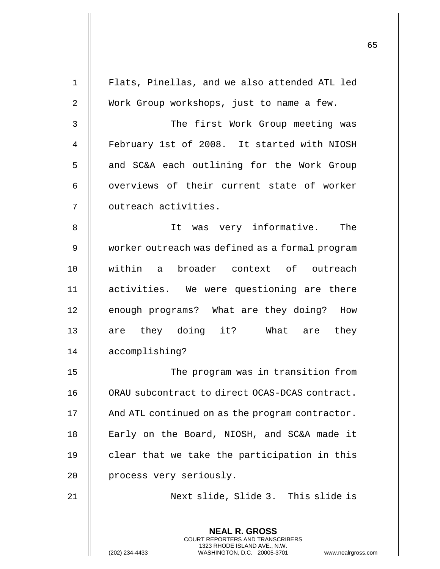|             |                                                                                                                                                                        | 65 |
|-------------|------------------------------------------------------------------------------------------------------------------------------------------------------------------------|----|
| $\mathbf 1$ | Flats, Pinellas, and we also attended ATL led                                                                                                                          |    |
| 2           | Work Group workshops, just to name a few.                                                                                                                              |    |
|             |                                                                                                                                                                        |    |
| 3           | The first Work Group meeting was                                                                                                                                       |    |
| 4           | February 1st of 2008. It started with NIOSH                                                                                                                            |    |
| 5           | and SC&A each outlining for the Work Group                                                                                                                             |    |
| 6           | overviews of their current state of worker                                                                                                                             |    |
| 7           | outreach activities.                                                                                                                                                   |    |
| 8           | It was very informative. The                                                                                                                                           |    |
| 9           | worker outreach was defined as a formal program                                                                                                                        |    |
| 10          | within a broader context of outreach                                                                                                                                   |    |
| 11          | activities. We were questioning are there                                                                                                                              |    |
| 12          | enough programs? What are they doing? How                                                                                                                              |    |
| 13          | are they doing it? What are they                                                                                                                                       |    |
| 14          | accomplishing?                                                                                                                                                         |    |
| 15          | The program was in transition from                                                                                                                                     |    |
| 16          | ORAU subcontract to direct OCAS-DCAS contract.                                                                                                                         |    |
| 17          | And ATL continued on as the program contractor.                                                                                                                        |    |
| 18          | Early on the Board, NIOSH, and SC&A made it                                                                                                                            |    |
| 19          | clear that we take the participation in this                                                                                                                           |    |
| 20          | process very seriously.                                                                                                                                                |    |
| 21          | Next slide, Slide 3. This slide is                                                                                                                                     |    |
|             | <b>NEAL R. GROSS</b><br><b>COURT REPORTERS AND TRANSCRIBERS</b><br>1323 RHODE ISLAND AVE., N.W.<br>WASHINGTON, D.C. 20005-3701<br>(202) 234-4433<br>www.nealrgross.com |    |

 $\overline{\phantom{a}}$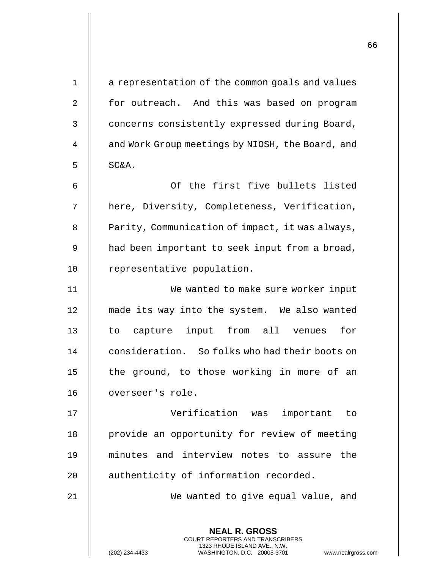| $\mathbf 1$    | a representation of the common goals and values                                                                                                            |
|----------------|------------------------------------------------------------------------------------------------------------------------------------------------------------|
| $\overline{2}$ | for outreach. And this was based on program                                                                                                                |
| 3              | concerns consistently expressed during Board,                                                                                                              |
| 4              | and Work Group meetings by NIOSH, the Board, and                                                                                                           |
| 5              | SC&A.                                                                                                                                                      |
| 6              | Of the first five bullets listed                                                                                                                           |
| 7              | here, Diversity, Completeness, Verification,                                                                                                               |
| 8              | Parity, Communication of impact, it was always,                                                                                                            |
| 9              | had been important to seek input from a broad,                                                                                                             |
| 10             | representative population.                                                                                                                                 |
| 11             | We wanted to make sure worker input                                                                                                                        |
| 12             | made its way into the system. We also wanted                                                                                                               |
| 13             | to capture input from all venues<br>for                                                                                                                    |
| 14             | consideration. So folks who had their boots on                                                                                                             |
| 15             | the ground, to those working in more of an                                                                                                                 |
| 16             | overseer's role.                                                                                                                                           |
| 17             | Verification was<br>important to                                                                                                                           |
| 18             | provide an opportunity for review of meeting                                                                                                               |
| 19             | minutes and interview notes to assure<br>the                                                                                                               |
| 20             | authenticity of information recorded.                                                                                                                      |
| 21             | We wanted to give equal value, and                                                                                                                         |
|                |                                                                                                                                                            |
|                | <b>NEAL R. GROSS</b><br>COURT REPORTERS AND TRANSCRIBERS<br>1323 RHODE ISLAND AVE., N.W.<br>(202) 234-4433<br>WASHINGTON, D.C. 20005-3701<br>www.nealrgros |

(202) 234-4433 WASHINGTON, D.C. 20005-3701 www.nealrgross.com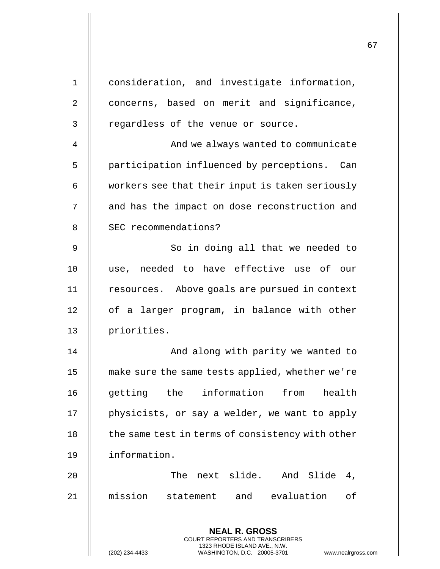| $\mathbf 1$    | consideration, and investigate information,                                                     |
|----------------|-------------------------------------------------------------------------------------------------|
| $\overline{2}$ | concerns, based on merit and significance,                                                      |
| 3              | regardless of the venue or source.                                                              |
| 4              | And we always wanted to communicate                                                             |
| 5              | participation influenced by perceptions. Can                                                    |
| 6              | workers see that their input is taken seriously                                                 |
| 7              | and has the impact on dose reconstruction and                                                   |
| 8              | SEC recommendations?                                                                            |
| 9              | So in doing all that we needed to                                                               |
| 10             | use, needed to have effective use of our                                                        |
| 11             | resources. Above goals are pursued in context                                                   |
| 12             | of a larger program, in balance with other                                                      |
| 13             | priorities.                                                                                     |
| 14             | And along with parity we wanted to                                                              |
| 15             | make sure the same tests applied, whether we're                                                 |
| 16             | getting the information from health                                                             |
| 17             | physicists, or say a welder, we want to apply                                                   |
| 18             | the same test in terms of consistency with other                                                |
| 19             | information.                                                                                    |
| 20             | The next slide. And Slide<br>4,                                                                 |
| 21             | mission<br>statement and evaluation<br>of                                                       |
|                |                                                                                                 |
|                | <b>NEAL R. GROSS</b><br><b>COURT REPORTERS AND TRANSCRIBERS</b><br>1323 RHODE ISLAND AVE., N.W. |
|                | WASHINGTON, D.C. 20005-3701<br>(202) 234-4433<br>www.nealrgros                                  |

(202) 234-4433 WASHINGTON, D.C. 20005-3701 www.nealrgross.com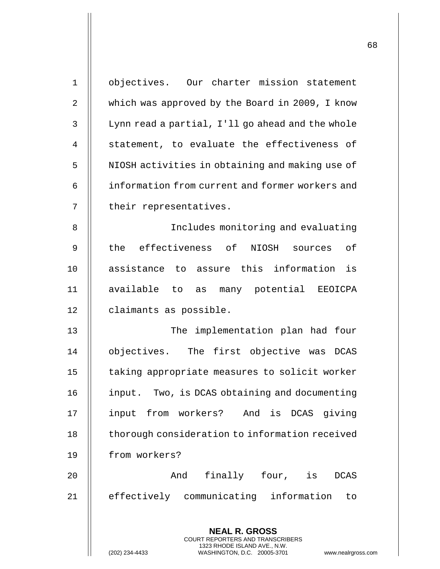| $\mathbf 1$    | objectives. Our charter mission statement                                                           |
|----------------|-----------------------------------------------------------------------------------------------------|
| 2              | which was approved by the Board in 2009, I know                                                     |
| 3              | Lynn read a partial, I'll go ahead and the whole                                                    |
| $\overline{4}$ | statement, to evaluate the effectiveness of                                                         |
| 5              | NIOSH activities in obtaining and making use of                                                     |
| 6              | information from current and former workers and                                                     |
| 7              | their representatives.                                                                              |
| 8              | Includes monitoring and evaluating                                                                  |
| 9              | the effectiveness of<br>NIOSH sources of                                                            |
| 10             | assistance to assure this information is                                                            |
| 11             | available to as many potential EEOICPA                                                              |
| 12             | claimants as possible.                                                                              |
| 13             | The implementation plan had four                                                                    |
| 14             | objectives. The first objective was DCAS                                                            |
| 15             | taking appropriate measures to solicit worker                                                       |
| 16             | input. Two, is DCAS obtaining and documenting                                                       |
| 17             | input from workers? And is DCAS giving                                                              |
| 18             | thorough consideration to information received                                                      |
| 19             | from workers?                                                                                       |
| 20             | finally four, is<br>And<br><b>DCAS</b>                                                              |
| 21             | effectively communicating information<br>to                                                         |
|                |                                                                                                     |
|                | <b>NEAL R. GROSS</b><br><b>COURT REPORTERS AND TRANSCRIBERS</b>                                     |
|                | 1323 RHODE ISLAND AVE., N.W.<br>(202) 234-4433<br>WASHINGTON, D.C. 20005-3701<br>www.nealrgross.com |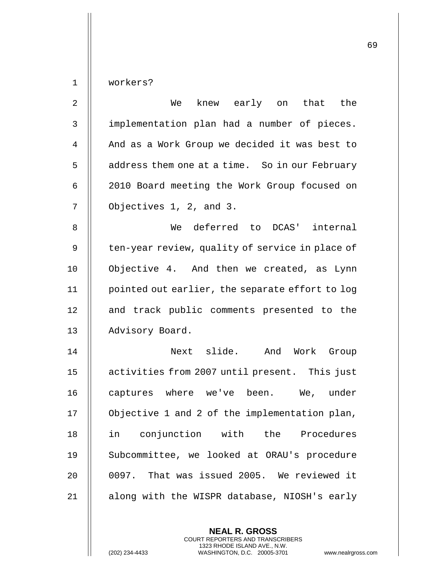workers?

| $\overline{2}$ | knew early on that<br>the<br>We                 |
|----------------|-------------------------------------------------|
| $\mathsf{3}$   | implementation plan had a number of pieces.     |
| 4              | And as a Work Group we decided it was best to   |
| 5              | address them one at a time. So in our February  |
| 6              | 2010 Board meeting the Work Group focused on    |
| 7              | Objectives 1, 2, and 3.                         |
| 8              | deferred to DCAS' internal<br>We                |
| 9              | ten-year review, quality of service in place of |
| 10             | Objective 4. And then we created, as Lynn       |
| 11             | pointed out earlier, the separate effort to log |
| 12             | and track public comments presented to the      |
| 13             | Advisory Board.                                 |
| 14             | Next slide.<br>And<br>Work<br>Group             |
| 15             | activities from 2007 until present. This just   |
| 16             | captures where we've been.<br>We, under         |
| 17             | Objective 1 and 2 of the implementation plan,   |
| 18             | in conjunction with the Procedures              |
| 19             | Subcommittee, we looked at ORAU's procedure     |
| 20             | 0097. That was issued 2005. We reviewed it      |
| 21             | along with the WISPR database, NIOSH's early    |

**NEAL R. GROSS** COURT REPORTERS AND TRANSCRIBERS 1323 RHODE ISLAND AVE., N.W.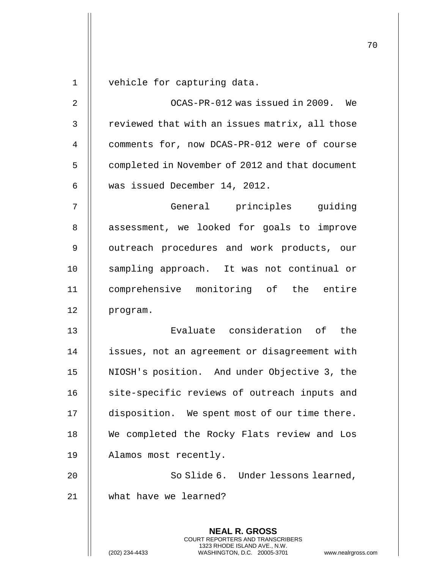**NEAL R. GROSS** COURT REPORTERS AND TRANSCRIBERS 1323 RHODE ISLAND AVE., N.W. 1 vehicle for capturing data. 2 OCAS-PR-012 was issued in 2009. We  $3$   $\parallel$  reviewed that with an issues matrix, all those 4 comments for, now DCAS-PR-012 were of course 5 | completed in November of 2012 and that document 6 was issued December 14, 2012. 7 General principles guiding 8 || assessment, we looked for goals to improve 9 || outreach procedures and work products, our 10 || sampling approach. It was not continual or 11 comprehensive monitoring of the entire 12 | program. 13 Evaluate consideration of the 14 | issues, not an agreement or disagreement with 15 NIOSH's position. And under Objective 3, the 16 || site-specific reviews of outreach inputs and 17 disposition. We spent most of our time there. 18 || We completed the Rocky Flats review and Los 19 Alamos most recently. 20 || So Slide 6. Under lessons learned, 21 what have we learned?

(202) 234-4433 WASHINGTON, D.C. 20005-3701 www.nealrgross.com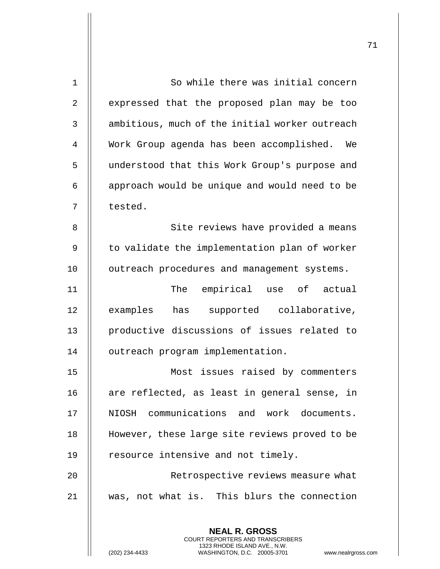| $\mathbf 1$    | So while there was initial concern                                                                                                                                |
|----------------|-------------------------------------------------------------------------------------------------------------------------------------------------------------------|
| $\overline{2}$ | expressed that the proposed plan may be too                                                                                                                       |
| 3              | ambitious, much of the initial worker outreach                                                                                                                    |
| 4              | Work Group agenda has been accomplished. We                                                                                                                       |
| 5              | understood that this Work Group's purpose and                                                                                                                     |
| 6              | approach would be unique and would need to be                                                                                                                     |
| 7              | tested.                                                                                                                                                           |
| 8              | Site reviews have provided a means                                                                                                                                |
| 9              | to validate the implementation plan of worker                                                                                                                     |
| 10             | outreach procedures and management systems.                                                                                                                       |
| 11             | empirical use of actual<br>The                                                                                                                                    |
| 12             | has supported collaborative,<br>examples                                                                                                                          |
| 13             | productive discussions of issues related to                                                                                                                       |
| 14             | outreach program implementation.                                                                                                                                  |
| 15             | Most issues raised by commenters                                                                                                                                  |
| 16             | are reflected, as least in general sense, in                                                                                                                      |
| 17             | NIOSH communications and work documents.                                                                                                                          |
| 18             | However, these large site reviews proved to be                                                                                                                    |
| 19             | resource intensive and not timely.                                                                                                                                |
| 20             | Retrospective reviews measure what                                                                                                                                |
| 21             | was, not what is. This blurs the connection                                                                                                                       |
|                |                                                                                                                                                                   |
|                | <b>NEAL R. GROSS</b><br><b>COURT REPORTERS AND TRANSCRIBERS</b><br>1323 RHODE ISLAND AVE., N.W.<br>(202) 234-4433<br>WASHINGTON, D.C. 20005-3701<br>www.nealrgros |

(202) 234-4433 WASHINGTON, D.C. 20005-3701 www.nealrgross.com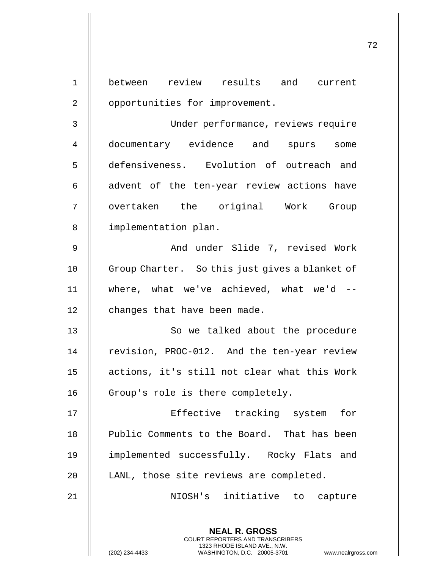**NEAL R. GROSS** COURT REPORTERS AND TRANSCRIBERS 1323 RHODE ISLAND AVE., N.W. 1 between review results and current 2 | opportunities for improvement. 3 Under performance, reviews require 4 documentary evidence and spurs some 5 defensiveness. Evolution of outreach and  $6$   $\parallel$  advent of the ten-year review actions have 7 || overtaken the original Work Group 8 || implementation plan. 9 And under Slide 7, revised Work 10 || Group Charter. So this just gives a blanket of 11 where, what we've achieved, what we'd -- 12 | changes that have been made. 13 || So we talked about the procedure 14 | revision, PROC-012. And the ten-year review 15 actions, it's still not clear what this Work 16 | Group's role is there completely. 17 Effective tracking system for 18 || Public Comments to the Board. That has been 19 implemented successfully. Rocky Flats and 20 | LANL, those site reviews are completed. 21 NIOSH's initiative to capture

(202) 234-4433 WASHINGTON, D.C. 20005-3701 www.nealrgross.com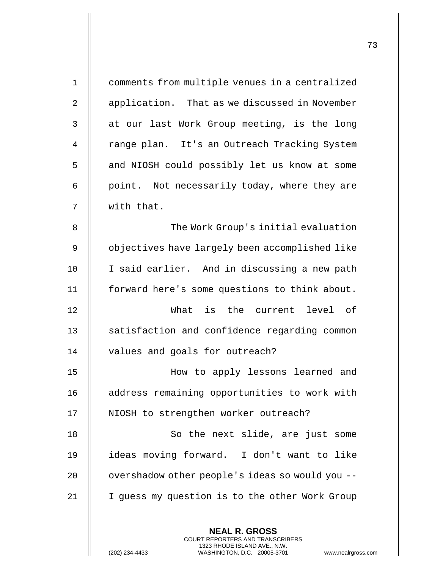| $\mathbf 1$ | comments from multiple venues in a centralized                                                                                                                     |
|-------------|--------------------------------------------------------------------------------------------------------------------------------------------------------------------|
| 2           | application. That as we discussed in November                                                                                                                      |
| 3           | at our last Work Group meeting, is the long                                                                                                                        |
| 4           | range plan. It's an Outreach Tracking System                                                                                                                       |
| 5           | and NIOSH could possibly let us know at some                                                                                                                       |
| 6           | point. Not necessarily today, where they are                                                                                                                       |
| 7           | with that.                                                                                                                                                         |
| 8           | The Work Group's initial evaluation                                                                                                                                |
| $\mathsf 9$ | objectives have largely been accomplished like                                                                                                                     |
| 10          | I said earlier. And in discussing a new path                                                                                                                       |
| 11          | forward here's some questions to think about.                                                                                                                      |
| 12          | What is the current level of                                                                                                                                       |
| 13          | satisfaction and confidence regarding common                                                                                                                       |
| 14          | values and goals for outreach?                                                                                                                                     |
| 15          | How to apply lessons learned and                                                                                                                                   |
| 16          | address remaining opportunities to work with                                                                                                                       |
| 17          | NIOSH to strengthen worker outreach?                                                                                                                               |
| 18          | So the next slide, are just some                                                                                                                                   |
| 19          | ideas moving forward. I don't want to like                                                                                                                         |
| 20          | overshadow other people's ideas so would you --                                                                                                                    |
| 21          | I guess my question is to the other Work Group                                                                                                                     |
|             |                                                                                                                                                                    |
|             | <b>NEAL R. GROSS</b><br><b>COURT REPORTERS AND TRANSCRIBERS</b><br>1323 RHODE ISLAND AVE., N.W.<br>(202) 234-4433<br>WASHINGTON, D.C. 20005-3701<br>www.nealrgross |

(202) 234-4433 WASHINGTON, D.C. 20005-3701 www.nealrgross.com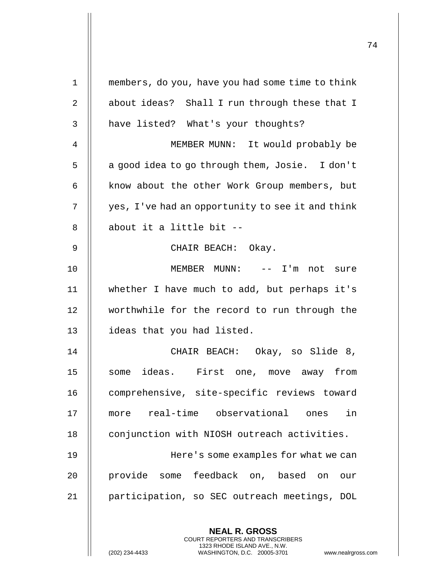| 1              | members, do you, have you had some time to think |
|----------------|--------------------------------------------------|
| $\overline{2}$ | about ideas? Shall I run through these that I    |
| 3              | have listed? What's your thoughts?               |
| 4              | MEMBER MUNN: It would probably be                |
| 5              | a good idea to go through them, Josie. I don't   |
| 6              | know about the other Work Group members, but     |
| 7              | yes, I've had an opportunity to see it and think |
| 8              | about it a little bit --                         |
| 9              | CHAIR BEACH: Okay.                               |
| 10             | MEMBER MUNN: -- I'm not sure                     |
| 11             | whether I have much to add, but perhaps it's     |
| 12             | worthwhile for the record to run through the     |
| 13             | ideas that you had listed.                       |
| 14             | CHAIR BEACH: Okay, so Slide 8,                   |
| 15             | some ideas. First one, move away from            |
| 16             | comprehensive, site-specific reviews toward      |
| 17             | real-time observational ones<br>in<br>more       |
| 18             | conjunction with NIOSH outreach activities.      |
| 19             | Here's some examples for what we can             |
| 20             | provide some feedback on, based on<br>our        |
| 21             | participation, so SEC outreach meetings, DOL     |
|                | <b>NEAL R. GROSS</b>                             |
|                |                                                  |

COURT REPORTERS AND TRANSCRIBERS 1323 RHODE ISLAND AVE., N.W.

 $\mathsf{II}$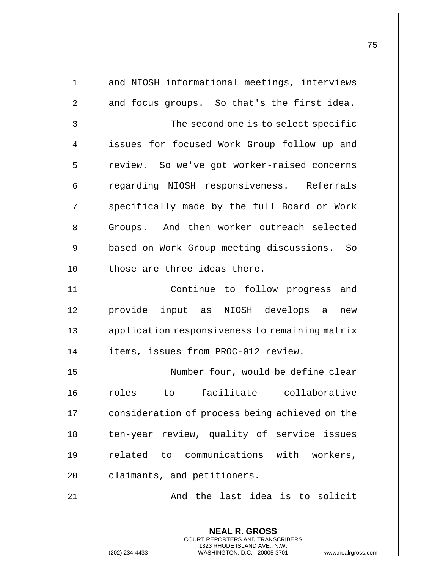| $\mathbf 1$    | and NIOSH informational meetings, interviews                                                                                                                |
|----------------|-------------------------------------------------------------------------------------------------------------------------------------------------------------|
| $\overline{2}$ | and focus groups. So that's the first idea.                                                                                                                 |
| 3              | The second one is to select specific                                                                                                                        |
| 4              | issues for focused Work Group follow up and                                                                                                                 |
| 5              | review. So we've got worker-raised concerns                                                                                                                 |
| 6              | regarding NIOSH responsiveness. Referrals                                                                                                                   |
| 7              | specifically made by the full Board or Work                                                                                                                 |
| 8              | Groups. And then worker outreach selected                                                                                                                   |
| 9              | based on Work Group meeting discussions. So                                                                                                                 |
| 10             | those are three ideas there.                                                                                                                                |
| 11             | Continue to follow progress and                                                                                                                             |
| 12             | provide input as NIOSH develops a<br>new                                                                                                                    |
| 13             | application responsiveness to remaining matrix                                                                                                              |
| 14             | items, issues from PROC-012 review.                                                                                                                         |
| $15$           | Number four, would be define clear                                                                                                                          |
| 16             | facilitate collaborative<br>roles<br>to                                                                                                                     |
| 17             | consideration of process being achieved on the                                                                                                              |
| 18             | ten-year review, quality of service issues                                                                                                                  |
| 19             | related to communications with workers,                                                                                                                     |
| 20             | claimants, and petitioners.                                                                                                                                 |
| 21             | And the last idea is to solicit                                                                                                                             |
|                | <b>NEAL R. GROSS</b><br>COURT REPORTERS AND TRANSCRIBERS<br>1323 RHODE ISLAND AVE., N.W.<br>(202) 234-4433<br>WASHINGTON, D.C. 20005-3701<br>www.nealrgross |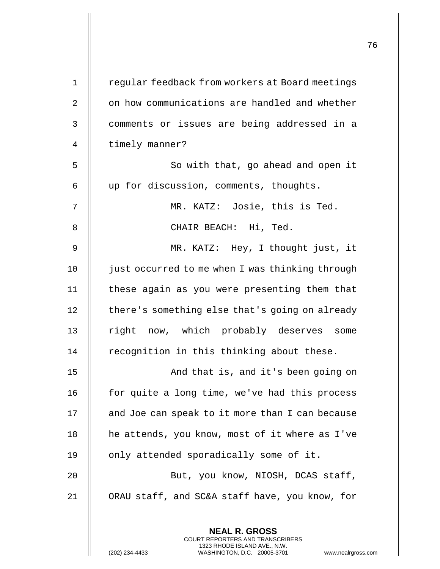|             |                                                                                                                                                                 | 76 |
|-------------|-----------------------------------------------------------------------------------------------------------------------------------------------------------------|----|
| $\mathbf 1$ | regular feedback from workers at Board meetings                                                                                                                 |    |
| 2           | on how communications are handled and whether                                                                                                                   |    |
| 3           | comments or issues are being addressed in a                                                                                                                     |    |
| 4           | timely manner?                                                                                                                                                  |    |
| 5           | So with that, go ahead and open it                                                                                                                              |    |
|             |                                                                                                                                                                 |    |
| 6           | up for discussion, comments, thoughts.                                                                                                                          |    |
| 7           | MR. KATZ: Josie, this is Ted.                                                                                                                                   |    |
| 8           | CHAIR BEACH: Hi, Ted.                                                                                                                                           |    |
| 9           | MR. KATZ: Hey, I thought just, it                                                                                                                               |    |
| 10          | just occurred to me when I was thinking through                                                                                                                 |    |
| 11          | these again as you were presenting them that                                                                                                                    |    |
| 12          | there's something else that's going on already                                                                                                                  |    |
| 13          | right now, which probably deserves some                                                                                                                         |    |
| 14          | recognition in this thinking about these.                                                                                                                       |    |
| 15          | And that is, and it's been going on                                                                                                                             |    |
| 16          | for quite a long time, we've had this process                                                                                                                   |    |
| 17          | and Joe can speak to it more than I can because                                                                                                                 |    |
| 18          | he attends, you know, most of it where as I've                                                                                                                  |    |
| 19          | only attended sporadically some of it.                                                                                                                          |    |
| 20          | But, you know, NIOSH, DCAS staff,                                                                                                                               |    |
| 21          | ORAU staff, and SC&A staff have, you know, for                                                                                                                  |    |
|             | <b>NEAL R. GROSS</b><br>COURT REPORTERS AND TRANSCRIBERS<br>1323 RHODE ISLAND AVE., N.W.<br>(202) 234-4433<br>WASHINGTON, D.C. 20005-3701<br>www.nealrgross.com |    |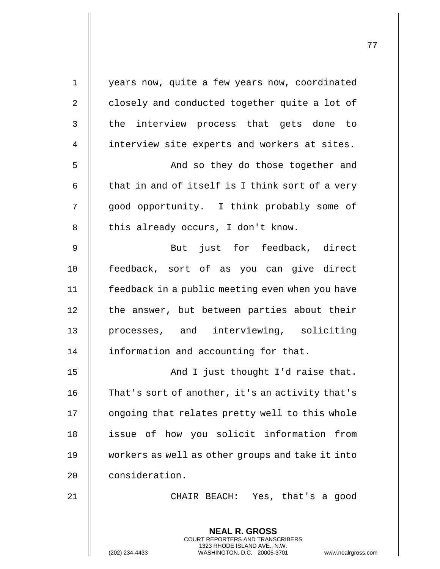| $\mathbf 1$    | years now, quite a few years now, coordinated                                                                                                                      |
|----------------|--------------------------------------------------------------------------------------------------------------------------------------------------------------------|
| $\sqrt{2}$     | closely and conducted together quite a lot of                                                                                                                      |
| 3              | the interview process that gets done to                                                                                                                            |
| $\overline{4}$ | interview site experts and workers at sites.                                                                                                                       |
| 5              | And so they do those together and                                                                                                                                  |
| 6              | that in and of itself is I think sort of a very                                                                                                                    |
| 7              | good opportunity. I think probably some of                                                                                                                         |
| 8              | this already occurs, I don't know.                                                                                                                                 |
| 9              | But just for feedback, direct                                                                                                                                      |
| 10             | feedback, sort of as you can give direct                                                                                                                           |
| 11             | feedback in a public meeting even when you have                                                                                                                    |
| 12             | the answer, but between parties about their                                                                                                                        |
| 13             | processes, and interviewing, soliciting                                                                                                                            |
| 14             | information and accounting for that.                                                                                                                               |
| 15             | And I just thought I'd raise that.                                                                                                                                 |
| 16             | That's sort of another, it's an activity that's                                                                                                                    |
| 17             | ongoing that relates pretty well to this whole                                                                                                                     |
| 18             | issue of how you solicit information<br>from                                                                                                                       |
| 19             | workers as well as other groups and take it into                                                                                                                   |
| 20             | consideration.                                                                                                                                                     |
| 21             | CHAIR BEACH: Yes, that's a good                                                                                                                                    |
|                | <b>NEAL R. GROSS</b><br><b>COURT REPORTERS AND TRANSCRIBERS</b><br>1323 RHODE ISLAND AVE., N.W.<br>(202) 234-4433<br>WASHINGTON, D.C. 20005-3701<br>www.nealrgross |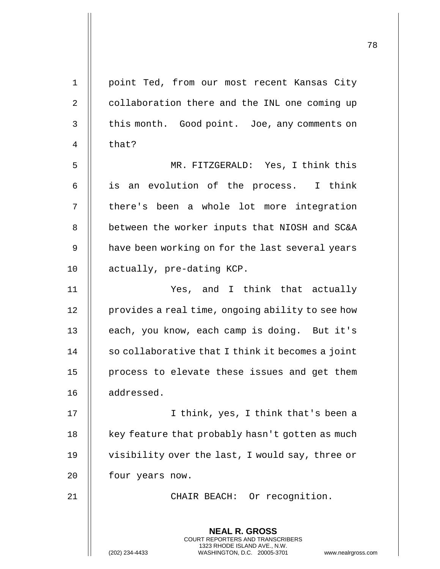**NEAL R. GROSS** COURT REPORTERS AND TRANSCRIBERS 1323 RHODE ISLAND AVE., N.W. 1 || point Ted, from our most recent Kansas City 2 | collaboration there and the INL one coming up  $3 \parallel$  this month. Good point. Joe, any comments on 4 || that? 5 MR. FITZGERALD: Yes, I think this 6 || is an evolution of the process. I think 7 || there's been a whole lot more integration 8 | between the worker inputs that NIOSH and SC&A 9 | have been working on for the last several years 10 | actually, pre-dating KCP. 11 Yes, and I think that actually 12 | provides a real time, ongoing ability to see how 13 || each, you know, each camp is doing. But it's 14 | so collaborative that I think it becomes a joint 15 || process to elevate these issues and get them 16 | addressed. 17 || I think, yes, I think that's been a 18  $\parallel$  key feature that probably hasn't gotten as much 19 || visibility over the last, I would say, three or 20 | four years now. 21 || CHAIR BEACH: Or recognition.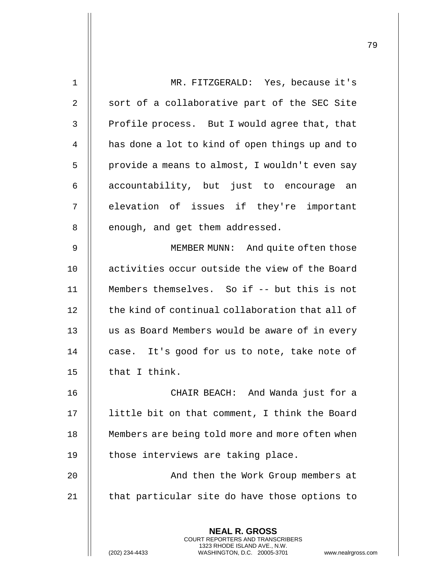| $\mathbf 1$    | MR. FITZGERALD: Yes, because it's                                                                                                                                  |
|----------------|--------------------------------------------------------------------------------------------------------------------------------------------------------------------|
| $\overline{2}$ | sort of a collaborative part of the SEC Site                                                                                                                       |
| 3              | Profile process. But I would agree that, that                                                                                                                      |
| 4              | has done a lot to kind of open things up and to                                                                                                                    |
| 5              | provide a means to almost, I wouldn't even say                                                                                                                     |
| 6              | accountability, but just to encourage an                                                                                                                           |
| 7              | elevation of issues if they're important                                                                                                                           |
| 8              | enough, and get them addressed.                                                                                                                                    |
| 9              | MEMBER MUNN: And quite often those                                                                                                                                 |
| 10             | activities occur outside the view of the Board                                                                                                                     |
| 11             | Members themselves. So if -- but this is not                                                                                                                       |
| 12             | the kind of continual collaboration that all of                                                                                                                    |
| 13             | us as Board Members would be aware of in every                                                                                                                     |
| 14             | case. It's good for us to note, take note of                                                                                                                       |
| 15             | that I think.                                                                                                                                                      |
| 16             | CHAIR BEACH: And Wanda just for a                                                                                                                                  |
| 17             | little bit on that comment, I think the Board                                                                                                                      |
| 18             | Members are being told more and more often when                                                                                                                    |
| 19             | those interviews are taking place.                                                                                                                                 |
| 20             | And then the Work Group members at                                                                                                                                 |
| 21             | that particular site do have those options to                                                                                                                      |
|                |                                                                                                                                                                    |
|                | <b>NEAL R. GROSS</b><br><b>COURT REPORTERS AND TRANSCRIBERS</b><br>1323 RHODE ISLAND AVE., N.W.<br>WASHINGTON, D.C. 20005-3701<br>(202) 234-4433<br>www.nealrgross |

 $\mathbf{I}$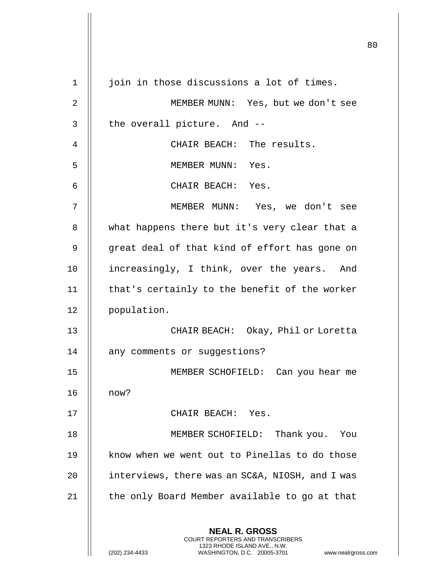|                |                                                                                                                                                                 | 80 |
|----------------|-----------------------------------------------------------------------------------------------------------------------------------------------------------------|----|
|                |                                                                                                                                                                 |    |
| 1              | join in those discussions a lot of times.                                                                                                                       |    |
| $\overline{2}$ | MEMBER MUNN: Yes, but we don't see                                                                                                                              |    |
| 3              | the overall picture. And --                                                                                                                                     |    |
| 4              | CHAIR BEACH: The results.                                                                                                                                       |    |
| 5              | MEMBER MUNN: Yes.                                                                                                                                               |    |
| 6              | CHAIR BEACH: Yes.                                                                                                                                               |    |
| 7              | MEMBER MUNN: Yes, we don't see                                                                                                                                  |    |
| 8              | what happens there but it's very clear that a                                                                                                                   |    |
| 9              | great deal of that kind of effort has gone on                                                                                                                   |    |
| 10             | increasingly, I think, over the years. And                                                                                                                      |    |
| 11             | that's certainly to the benefit of the worker                                                                                                                   |    |
| 12             | population.                                                                                                                                                     |    |
| 13             | Okay, Phil or Loretta<br>CHAIR BEACH:                                                                                                                           |    |
| 14             | any comments or suggestions?                                                                                                                                    |    |
| 15             | MEMBER SCHOFIELD: Can you hear me                                                                                                                               |    |
| 16             | now?                                                                                                                                                            |    |
| 17             | CHAIR BEACH: Yes.                                                                                                                                               |    |
| 18             | MEMBER SCHOFIELD:<br>Thank you. You                                                                                                                             |    |
| 19             | know when we went out to Pinellas to do those                                                                                                                   |    |
| 20             | interviews, there was an SC&A, NIOSH, and I was                                                                                                                 |    |
| 21             | the only Board Member available to go at that                                                                                                                   |    |
|                | <b>NEAL R. GROSS</b><br>COURT REPORTERS AND TRANSCRIBERS<br>1323 RHODE ISLAND AVE., N.W.<br>(202) 234-4433<br>WASHINGTON, D.C. 20005-3701<br>www.nealrgross.com |    |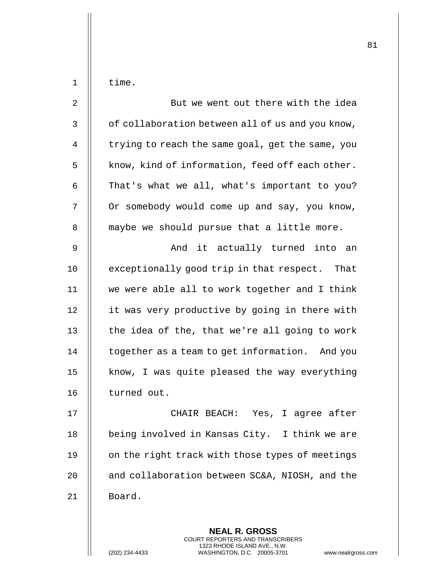| $\mathbf 1$    | time.                                            |
|----------------|--------------------------------------------------|
| $\overline{2}$ | But we went out there with the idea              |
| $\mathsf{3}$   | of collaboration between all of us and you know, |
| 4              | trying to reach the same goal, get the same, you |
| 5              | know, kind of information, feed off each other.  |
| 6              | That's what we all, what's important to you?     |
| 7              | Or somebody would come up and say, you know,     |
| 8              | maybe we should pursue that a little more.       |
| 9              | And it actually turned into an                   |
| 10             | exceptionally good trip in that respect. That    |
| 11             | we were able all to work together and I think    |
| 12             | it was very productive by going in there with    |
| 13             | the idea of the, that we're all going to work    |
| 14             | together as a team to get information. And you   |
| 15             | know, I was quite pleased the way everything     |
| 16             | turned out.                                      |
| 17             | CHAIR BEACH: Yes, I agree after                  |
| 18             | being involved in Kansas City. I think we are    |
| 19             | on the right track with those types of meetings  |
| 20             | and collaboration between SC&A, NIOSH, and the   |
| 21             | Board.                                           |
|                |                                                  |

**NEAL R. GROSS** COURT REPORTERS AND TRANSCRIBERS 1323 RHODE ISLAND AVE., N.W.

(202) 234-4433 WASHINGTON, D.C. 20005-3701 www.nealrgross.com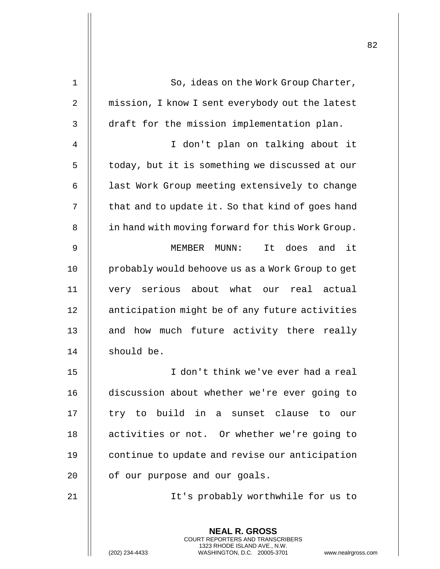| 1              | So, ideas on the Work Group Charter,                                                                                                                               |
|----------------|--------------------------------------------------------------------------------------------------------------------------------------------------------------------|
| 2              | mission, I know I sent everybody out the latest                                                                                                                    |
| 3              | draft for the mission implementation plan.                                                                                                                         |
| $\overline{4}$ | I don't plan on talking about it                                                                                                                                   |
| 5              | today, but it is something we discussed at our                                                                                                                     |
| 6              | last Work Group meeting extensively to change                                                                                                                      |
| 7              | that and to update it. So that kind of goes hand                                                                                                                   |
| 8              | in hand with moving forward for this Work Group.                                                                                                                   |
| 9              | does and it<br>MEMBER MUNN:<br>It                                                                                                                                  |
| 10             | probably would behoove us as a Work Group to get                                                                                                                   |
| 11             | very serious about what our real actual                                                                                                                            |
| 12             | anticipation might be of any future activities                                                                                                                     |
| 13             | and how much future activity there really                                                                                                                          |
| 14             | should be.                                                                                                                                                         |
| 15             | I don't think we've ever had a real                                                                                                                                |
| 16             | discussion about whether we're ever going to                                                                                                                       |
| 17             | try to build in a sunset clause to<br>our                                                                                                                          |
| 18             | activities or not. Or whether we're going to                                                                                                                       |
| 19             | continue to update and revise our anticipation                                                                                                                     |
| 20             | of our purpose and our goals.                                                                                                                                      |
| 21             | It's probably worthwhile for us to                                                                                                                                 |
|                | <b>NEAL R. GROSS</b><br><b>COURT REPORTERS AND TRANSCRIBERS</b><br>1323 RHODE ISLAND AVE., N.W.<br>WASHINGTON, D.C. 20005-3701<br>(202) 234-4433<br>www.nealrgross |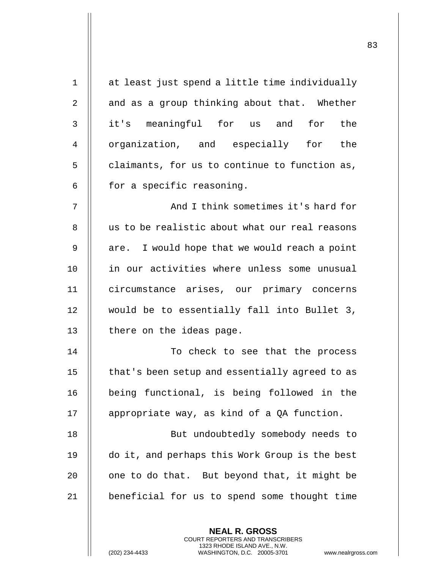| $\mathbf 1$    | at least just spend a little time individually |
|----------------|------------------------------------------------|
| $\overline{2}$ | and as a group thinking about that. Whether    |
| 3              | it's meaningful for us and for the             |
| 4              | organization, and especially for the           |
| 5              | claimants, for us to continue to function as,  |
| 6              | for a specific reasoning.                      |
| 7              | And I think sometimes it's hard for            |
| 8              | us to be realistic about what our real reasons |
| $\mathsf 9$    | are. I would hope that we would reach a point  |
| 10             | in our activities where unless some unusual    |
| 11             | circumstance arises, our primary concerns      |
| 12             | would be to essentially fall into Bullet 3,    |
| 13             | there on the ideas page.                       |
| 14             | To check to see that the process               |
| 15             | that's been setup and essentially agreed to as |
| 16             | being functional, is being followed in the     |
| 17             | appropriate way, as kind of a QA function.     |
| 18             | But undoubtedly somebody needs to              |
| 19             | do it, and perhaps this Work Group is the best |
| 20             | one to do that. But beyond that, it might be   |
| 21             | beneficial for us to spend some thought time   |
|                |                                                |
|                | <b>NEAL R. GROSS</b>                           |

COURT REPORTERS AND TRANSCRIBERS 1323 RHODE ISLAND AVE., N.W.

 $\prod$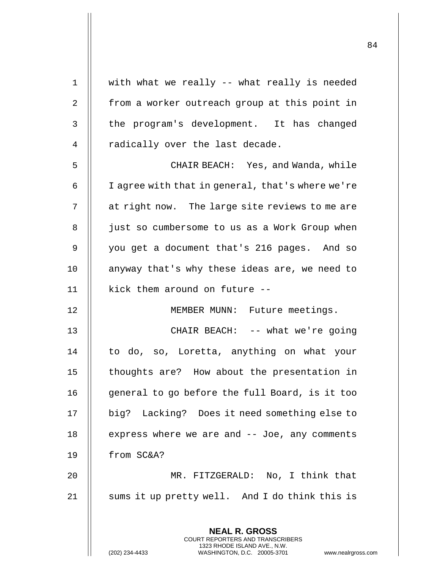| $\mathbf 1$  | with what we really -- what really is needed                                                    |
|--------------|-------------------------------------------------------------------------------------------------|
| 2            | from a worker outreach group at this point in                                                   |
| $\mathsf{3}$ | the program's development. It has changed                                                       |
| 4            | radically over the last decade.                                                                 |
| 5            | CHAIR BEACH: Yes, and Wanda, while                                                              |
| 6            | I agree with that in general, that's where we're                                                |
| 7            | at right now. The large site reviews to me are                                                  |
| 8            | just so cumbersome to us as a Work Group when                                                   |
| 9            | you get a document that's 216 pages. And so                                                     |
| 10           | anyway that's why these ideas are, we need to                                                   |
| 11           | kick them around on future --                                                                   |
| 12           | MEMBER MUNN: Future meetings.                                                                   |
| 13           | CHAIR BEACH: -- what we're going                                                                |
| 14           | to do, so, Loretta, anything on what your                                                       |
| 15           | thoughts are? How about the presentation in                                                     |
| 16           | general to go before the full Board, is it too                                                  |
| 17           | big? Lacking? Does it need something else to                                                    |
| 18           | express where we are and $-$ - Joe, any comments                                                |
| 19           | from SC&A?                                                                                      |
| 20           | MR. FITZGERALD: No, I think that                                                                |
| 21           | sums it up pretty well. And I do think this is                                                  |
|              |                                                                                                 |
|              | <b>NEAL R. GROSS</b><br><b>COURT REPORTERS AND TRANSCRIBERS</b><br>1323 RHODE ISLAND AVE., N.W. |
|              | (202) 234-4433<br>WASHINGTON, D.C. 20005-3701<br>www.nealrgross.com                             |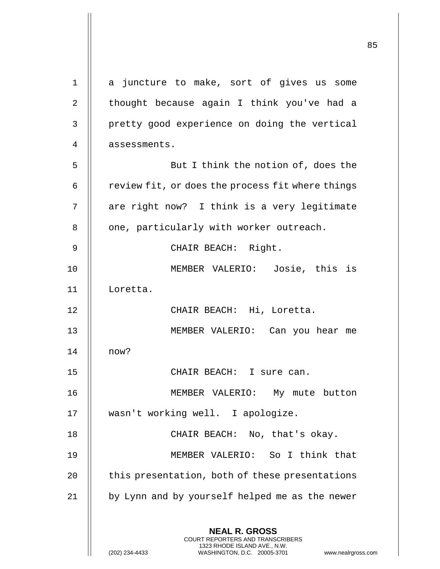**NEAL R. GROSS** COURT REPORTERS AND TRANSCRIBERS 1323 RHODE ISLAND AVE., N.W. (202) 234-4433 WASHINGTON, D.C. 20005-3701 www.nealrgross.com 1 || a juncture to make, sort of gives us some 2  $\parallel$  thought because again I think you've had a 3 | pretty good experience on doing the vertical 4 | assessments. 5 || But I think the notion of, does the  $6$  | review fit, or does the process fit where things 7 || are right now? I think is a very legitimate  $8$   $\parallel$  one, particularly with worker outreach. 9 || CHAIR BEACH: Right. 10 MEMBER VALERIO: Josie, this is 11 Loretta. 12 || CHAIR BEACH: Hi, Loretta. 13 MEMBER VALERIO: Can you hear me 14 now? 15 CHAIR BEACH: I sure can. 16 MEMBER VALERIO: My mute button 17 wasn't working well. I apologize. 18 || CHAIR BEACH: No, that's okay. 19 MEMBER VALERIO: So I think that 20 | this presentation, both of these presentations 21 || by Lynn and by yourself helped me as the newer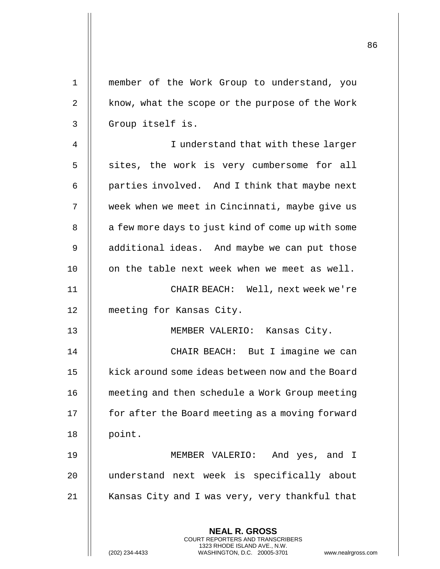| $\mathbf 1$ | member of the Work Group to understand, you                                                                                               |
|-------------|-------------------------------------------------------------------------------------------------------------------------------------------|
| $\sqrt{2}$  | know, what the scope or the purpose of the Work                                                                                           |
| 3           | Group itself is.                                                                                                                          |
| 4           | I understand that with these larger                                                                                                       |
| 5           | sites, the work is very cumbersome for all                                                                                                |
| 6           | parties involved. And I think that maybe next                                                                                             |
| 7           | week when we meet in Cincinnati, maybe give us                                                                                            |
| 8           | a few more days to just kind of come up with some                                                                                         |
| 9           | additional ideas. And maybe we can put those                                                                                              |
| 10          | on the table next week when we meet as well.                                                                                              |
| 11          | CHAIR BEACH: Well, next week we're                                                                                                        |
| 12          | meeting for Kansas City.                                                                                                                  |
| 13          | MEMBER VALERIO: Kansas City.                                                                                                              |
| 14          | CHAIR BEACH: But I imagine we can                                                                                                         |
| 15          | kick around some ideas between now and the Board                                                                                          |
| 16          | meeting and then schedule a Work Group meeting                                                                                            |
| 17          | for after the Board meeting as a moving forward                                                                                           |
| 18          | point.                                                                                                                                    |
| 19          | And yes, and I<br>MEMBER VALERIO:                                                                                                         |
| 20          | understand next week is specifically about                                                                                                |
| 21          | Kansas City and I was very, very thankful that                                                                                            |
|             | <b>NEAL R. GROSS</b>                                                                                                                      |
|             | <b>COURT REPORTERS AND TRANSCRIBERS</b><br>1323 RHODE ISLAND AVE., N.W.<br>(202) 234-4433<br>WASHINGTON, D.C. 20005-3701<br>www.nealrgros |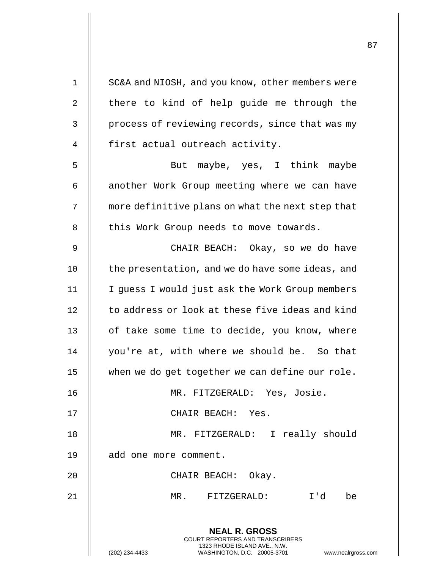| $\mathbf 1$    | SC&A and NIOSH, and you know, other members were                                                                                                           |
|----------------|------------------------------------------------------------------------------------------------------------------------------------------------------------|
| $\overline{2}$ | there to kind of help guide me through the                                                                                                                 |
| $\mathfrak{Z}$ | process of reviewing records, since that was my                                                                                                            |
| $\overline{4}$ | first actual outreach activity.                                                                                                                            |
| 5              | But maybe, yes, I think maybe                                                                                                                              |
| 6              | another Work Group meeting where we can have                                                                                                               |
| 7              | more definitive plans on what the next step that                                                                                                           |
| 8              | this Work Group needs to move towards.                                                                                                                     |
| $\mathsf 9$    | CHAIR BEACH: Okay, so we do have                                                                                                                           |
| 10             | the presentation, and we do have some ideas, and                                                                                                           |
| 11             | I guess I would just ask the Work Group members                                                                                                            |
| 12             | to address or look at these five ideas and kind                                                                                                            |
| 13             | of take some time to decide, you know, where                                                                                                               |
| 14             | you're at, with where we should be. So that                                                                                                                |
| 15             | when we do get together we can define our role.                                                                                                            |
| 16             | MR. FITZGERALD: Yes, Josie.                                                                                                                                |
| 17             | CHAIR BEACH: Yes.                                                                                                                                          |
| 18             | MR. FITZGERALD: I really should                                                                                                                            |
| 19             | add one more comment.                                                                                                                                      |
| 20             | CHAIR BEACH: Okay.                                                                                                                                         |
| 21             | MR. FITZGERALD:<br>I'd<br>be                                                                                                                               |
|                |                                                                                                                                                            |
|                | <b>NEAL R. GROSS</b><br>COURT REPORTERS AND TRANSCRIBERS<br>1323 RHODE ISLAND AVE., N.W.<br>(202) 234-4433<br>WASHINGTON, D.C. 20005-3701<br>www.nealrgros |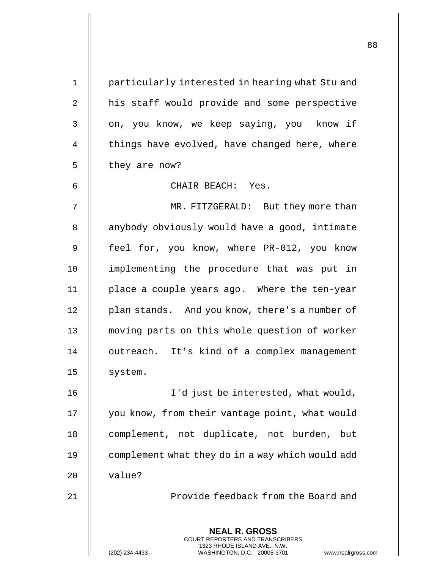| $\mathbf 1$  | particularly interested in hearing what Stu and                                                                                                                   |
|--------------|-------------------------------------------------------------------------------------------------------------------------------------------------------------------|
| $\sqrt{2}$   | his staff would provide and some perspective                                                                                                                      |
| $\mathsf{3}$ | on, you know, we keep saying, you know if                                                                                                                         |
| 4            | things have evolved, have changed here, where                                                                                                                     |
| 5            | they are now?                                                                                                                                                     |
| 6            | CHAIR BEACH: Yes.                                                                                                                                                 |
| 7            | MR. FITZGERALD: But they more than                                                                                                                                |
| 8            | anybody obviously would have a good, intimate                                                                                                                     |
| 9            | feel for, you know, where PR-012, you know                                                                                                                        |
| 10           | implementing the procedure that was put in                                                                                                                        |
| 11           | place a couple years ago. Where the ten-year                                                                                                                      |
| 12           | plan stands. And you know, there's a number of                                                                                                                    |
| 13           | moving parts on this whole question of worker                                                                                                                     |
| 14           | outreach. It's kind of a complex management                                                                                                                       |
| 15           | system.                                                                                                                                                           |
| 16           | I'd just be interested, what would,                                                                                                                               |
| 17           | you know, from their vantage point, what would                                                                                                                    |
| 18           | complement, not duplicate, not burden,<br>but                                                                                                                     |
| 19           | complement what they do in a way which would add                                                                                                                  |
| 20           | value?                                                                                                                                                            |
| 21           | Provide feedback from the Board and                                                                                                                               |
|              | <b>NEAL R. GROSS</b><br><b>COURT REPORTERS AND TRANSCRIBERS</b><br>1323 RHODE ISLAND AVE., N.W.<br>WASHINGTON, D.C. 20005-3701<br>(202) 234-4433<br>www.nealrgros |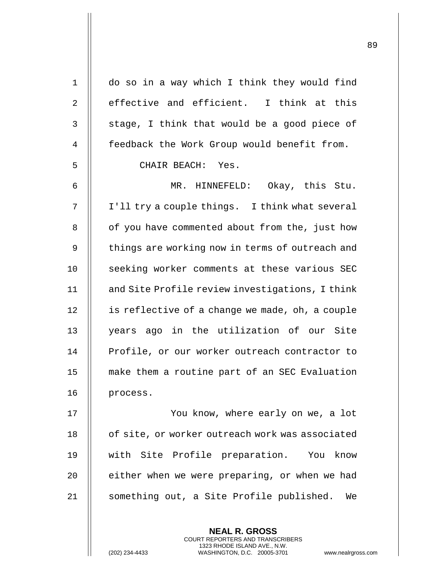| $\mathbf 1$ | do so in a way which I think they would find    |
|-------------|-------------------------------------------------|
| 2           | effective and efficient. I think at this        |
| 3           | stage, I think that would be a good piece of    |
| 4           | feedback the Work Group would benefit from.     |
| 5           | CHAIR BEACH: Yes.                               |
| 6           | MR. HINNEFELD: Okay, this Stu.                  |
| 7           | I'll try a couple things. I think what several  |
| 8           | of you have commented about from the, just how  |
| 9           | things are working now in terms of outreach and |
| 10          | seeking worker comments at these various SEC    |
| 11          | and Site Profile review investigations, I think |
| 12          | is reflective of a change we made, oh, a couple |
| 13          | years ago in the utilization of our Site        |
| 14          | Profile, or our worker outreach contractor to   |
| 15          | make them a routine part of an SEC Evaluation   |
| 16          | process.                                        |
| 17          | You know, where early on we, a lot              |
| 18          | of site, or worker outreach work was associated |
| 19          | with Site Profile preparation. You know         |
| 20          | either when we were preparing, or when we had   |
| 21          | something out, a Site Profile published.<br>We  |

**NEAL R. GROSS** COURT REPORTERS AND TRANSCRIBERS 1323 RHODE ISLAND AVE., N.W.

(202) 234-4433 WASHINGTON, D.C. 20005-3701 www.nealrgross.com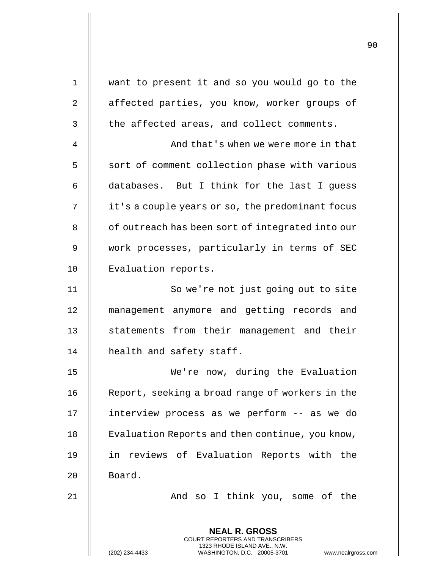| 1              | want to present it and so you would go to the                                                                                           |
|----------------|-----------------------------------------------------------------------------------------------------------------------------------------|
| $\overline{2}$ | affected parties, you know, worker groups of                                                                                            |
| $\mathsf{3}$   | the affected areas, and collect comments.                                                                                               |
| 4              | And that's when we were more in that                                                                                                    |
| 5              | sort of comment collection phase with various                                                                                           |
| 6              | databases. But I think for the last I guess                                                                                             |
| 7              | it's a couple years or so, the predominant focus                                                                                        |
| 8              | of outreach has been sort of integrated into our                                                                                        |
| 9              | work processes, particularly in terms of SEC                                                                                            |
| 10             | Evaluation reports.                                                                                                                     |
| 11             | So we're not just going out to site                                                                                                     |
| 12             | management anymore and getting records and                                                                                              |
| 13             | statements from their management and their                                                                                              |
| 14             | health and safety staff.                                                                                                                |
| 15             | We're now, during the Evaluation                                                                                                        |
| 16             | Report, seeking a broad range of workers in the                                                                                         |
| 17             | interview process as we perform -- as we do                                                                                             |
| 18             | Evaluation Reports and then continue, you know,                                                                                         |
| 19             | in reviews of Evaluation Reports with the                                                                                               |
| 20             | Board.                                                                                                                                  |
| 21             | And so I think you, some of the                                                                                                         |
|                | <b>NEAL R. GROSS</b>                                                                                                                    |
|                | COURT REPORTERS AND TRANSCRIBERS<br>1323 RHODE ISLAND AVE., N.W.<br>(202) 234-4433<br>WASHINGTON, D.C. 20005-3701<br>www.nealrgross.com |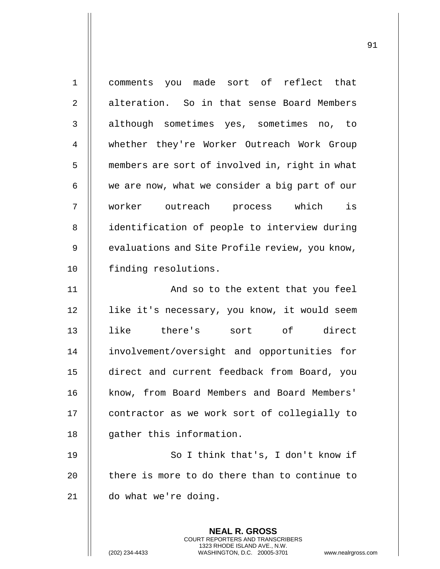| $\mathbf{1}$   | comments you made sort of reflect that                                                                                                                     |
|----------------|------------------------------------------------------------------------------------------------------------------------------------------------------------|
| $\overline{2}$ | alteration. So in that sense Board Members                                                                                                                 |
| 3              | although sometimes yes, sometimes no, to                                                                                                                   |
| 4              | whether they're Worker Outreach Work Group                                                                                                                 |
| 5              | members are sort of involved in, right in what                                                                                                             |
| 6              | we are now, what we consider a big part of our                                                                                                             |
| 7              | worker outreach process which is                                                                                                                           |
| 8              | identification of people to interview during                                                                                                               |
| $\mathsf 9$    | evaluations and Site Profile review, you know,                                                                                                             |
| 10             | finding resolutions.                                                                                                                                       |
| 11             | And so to the extent that you feel                                                                                                                         |
| 12             | like it's necessary, you know, it would seem                                                                                                               |
| 13             | like there's sort of direct                                                                                                                                |
| 14             | involvement/oversight and opportunities for                                                                                                                |
| 15             | direct and current feedback from Board, you                                                                                                                |
| 16             | know, from Board Members and Board Members'                                                                                                                |
| 17             | contractor as we work sort of collegially to                                                                                                               |
| 18             | gather this information.                                                                                                                                   |
| 19             | So I think that's, I don't know if                                                                                                                         |
| 20             | there is more to do there than to continue to                                                                                                              |
| 21             | do what we're doing.                                                                                                                                       |
|                |                                                                                                                                                            |
|                | <b>NEAL R. GROSS</b><br>COURT REPORTERS AND TRANSCRIBERS<br>1323 RHODE ISLAND AVE., N.W.<br>(202) 234-4433<br>WASHINGTON, D.C. 20005-3701<br>www.nealrgros |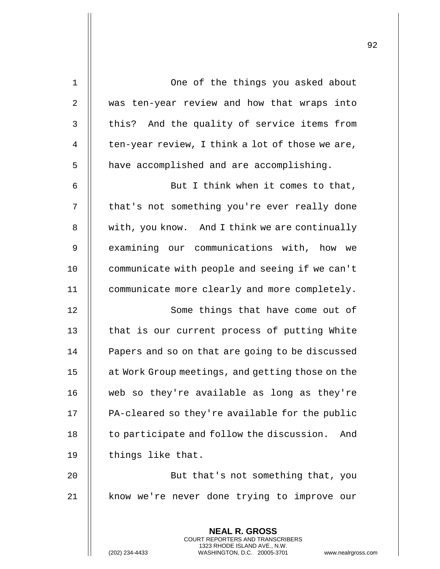| $\mathbf 1$    | One of the things you asked about                |
|----------------|--------------------------------------------------|
| $\overline{2}$ | was ten-year review and how that wraps into      |
| 3              | this? And the quality of service items from      |
| 4              | ten-year review, I think a lot of those we are,  |
| 5              | have accomplished and are accomplishing.         |
| 6              | But I think when it comes to that,               |
| 7              | that's not something you're ever really done     |
| 8              | with, you know. And I think we are continually   |
| 9              | examining our communications with, how we        |
| 10             | communicate with people and seeing if we can't   |
| 11             | communicate more clearly and more completely.    |
| 12             | Some things that have come out of                |
| 13             | that is our current process of putting White     |
| 14             | Papers and so on that are going to be discussed  |
| 15             | at Work Group meetings, and getting those on the |
| 16             | web so they're available as long as they're      |
| 17             | PA-cleared so they're available for the public   |
| 18             | to participate and follow the discussion.<br>And |
| 19             | things like that.                                |
| 20             | But that's not something that, you               |
| 21             | know we're never done trying to improve our      |
|                |                                                  |
|                | <b>NEAL R. GROSS</b>                             |

COURT REPORTERS AND TRANSCRIBERS 1323 RHODE ISLAND AVE., N.W.

 $\prod$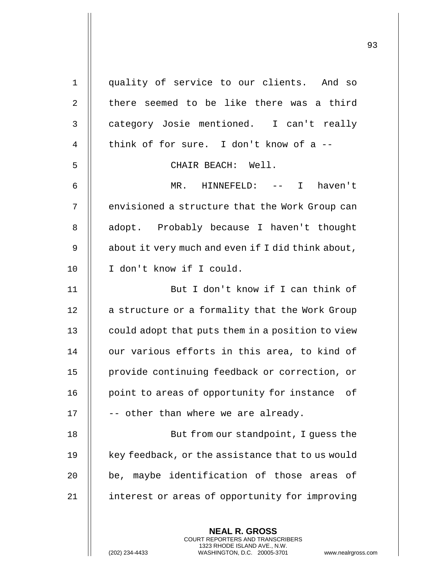| $\mathbf 1$ | quality of service to our clients. And so                                                                                                                   |
|-------------|-------------------------------------------------------------------------------------------------------------------------------------------------------------|
| 2           | there seemed to be like there was a third                                                                                                                   |
| 3           | category Josie mentioned. I can't really                                                                                                                    |
| 4           | think of for sure. I don't know of a --                                                                                                                     |
| 5           | CHAIR BEACH: Well.                                                                                                                                          |
| 6           | MR. HINNEFELD: -- I haven't                                                                                                                                 |
| 7           | envisioned a structure that the Work Group can                                                                                                              |
| 8           | adopt. Probably because I haven't thought                                                                                                                   |
| 9           | about it very much and even if I did think about,                                                                                                           |
| 10          | I don't know if I could.                                                                                                                                    |
| 11          | But I don't know if I can think of                                                                                                                          |
| 12          | a structure or a formality that the Work Group                                                                                                              |
| 13          | could adopt that puts them in a position to view                                                                                                            |
| 14          | our various efforts in this area, to kind of                                                                                                                |
| 15          | provide continuing feedback or correction, or                                                                                                               |
| 16          | point to areas of opportunity for instance of                                                                                                               |
| 17          | -- other than where we are already.                                                                                                                         |
| 18          | But from our standpoint, I guess the                                                                                                                        |
| 19          | key feedback, or the assistance that to us would                                                                                                            |
| 20          | be, maybe identification of those areas of                                                                                                                  |
| 21          | interest or areas of opportunity for improving                                                                                                              |
|             |                                                                                                                                                             |
|             | <b>NEAL R. GROSS</b><br>COURT REPORTERS AND TRANSCRIBERS<br>1323 RHODE ISLAND AVE., N.W.<br>(202) 234-4433<br>WASHINGTON, D.C. 20005-3701<br>www.nealrgross |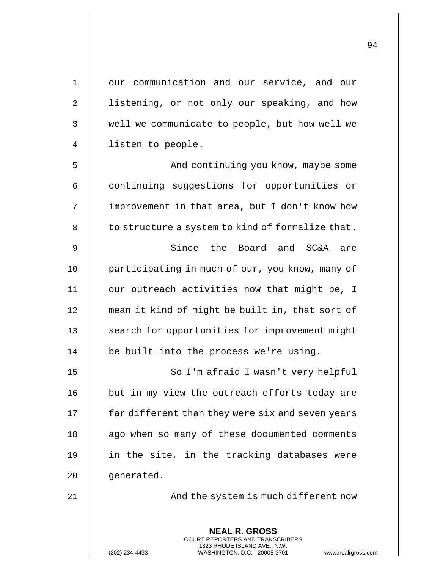| 1  | our communication and our service, and our                                                                                                                         |
|----|--------------------------------------------------------------------------------------------------------------------------------------------------------------------|
| 2  | listening, or not only our speaking, and how                                                                                                                       |
| 3  | well we communicate to people, but how well we                                                                                                                     |
| 4  | listen to people.                                                                                                                                                  |
| 5  | And continuing you know, maybe some                                                                                                                                |
| 6  | continuing suggestions for opportunities or                                                                                                                        |
| 7  | improvement in that area, but I don't know how                                                                                                                     |
| 8  | to structure a system to kind of formalize that.                                                                                                                   |
| 9  | Since the Board and SC&A are                                                                                                                                       |
| 10 | participating in much of our, you know, many of                                                                                                                    |
| 11 | our outreach activities now that might be, I                                                                                                                       |
| 12 | mean it kind of might be built in, that sort of                                                                                                                    |
| 13 | search for opportunities for improvement might                                                                                                                     |
| 14 | be built into the process we're using.                                                                                                                             |
| 15 | So I'm afraid I wasn't very helpful                                                                                                                                |
| 16 | but in my view the outreach efforts today are                                                                                                                      |
| 17 | far different than they were six and seven years                                                                                                                   |
| 18 | ago when so many of these documented comments                                                                                                                      |
| 19 | in the site, in the tracking databases were                                                                                                                        |
| 20 | generated.                                                                                                                                                         |
| 21 | And the system is much different now                                                                                                                               |
|    | <b>NEAL R. GROSS</b><br><b>COURT REPORTERS AND TRANSCRIBERS</b><br>1323 RHODE ISLAND AVE., N.W.<br>(202) 234-4433<br>WASHINGTON, D.C. 20005-3701<br>www.nealrgross |

<sup>(202) 234-4433</sup> WASHINGTON, D.C. 20005-3701 www.nealrgross.com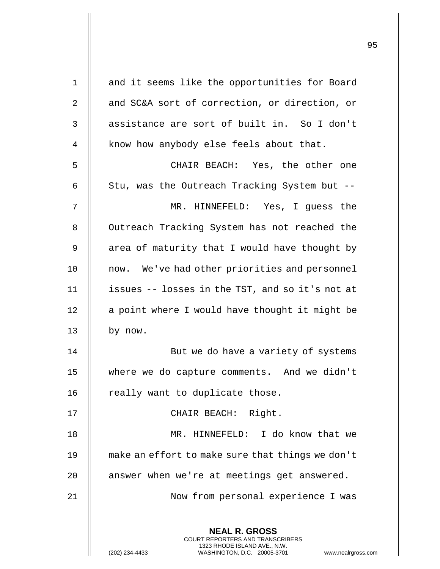| $\mathbf 1$ | and it seems like the opportunities for Board                                                                                                                          |
|-------------|------------------------------------------------------------------------------------------------------------------------------------------------------------------------|
| 2           | and SC&A sort of correction, or direction, or                                                                                                                          |
| 3           | assistance are sort of built in. So I don't                                                                                                                            |
| 4           | know how anybody else feels about that.                                                                                                                                |
| 5           | CHAIR BEACH: Yes, the other one                                                                                                                                        |
| 6           | Stu, was the Outreach Tracking System but --                                                                                                                           |
| 7           | MR. HINNEFELD: Yes, I guess the                                                                                                                                        |
| 8           | Outreach Tracking System has not reached the                                                                                                                           |
| 9           | area of maturity that I would have thought by                                                                                                                          |
| 10          | now. We've had other priorities and personnel                                                                                                                          |
| 11          | issues -- losses in the TST, and so it's not at                                                                                                                        |
| 12          | a point where I would have thought it might be                                                                                                                         |
| 13          | by now.                                                                                                                                                                |
| 14          | But we do have a variety of systems                                                                                                                                    |
| 15          | where we do capture comments. And we didn't                                                                                                                            |
| 16          | really want to duplicate those.                                                                                                                                        |
| 17          | CHAIR BEACH: Right.                                                                                                                                                    |
| 18          | MR. HINNEFELD: I do know that we                                                                                                                                       |
| 19          | make an effort to make sure that things we don't                                                                                                                       |
| 20          | answer when we're at meetings get answered.                                                                                                                            |
| 21          | Now from personal experience I was                                                                                                                                     |
|             |                                                                                                                                                                        |
|             | <b>NEAL R. GROSS</b><br><b>COURT REPORTERS AND TRANSCRIBERS</b><br>1323 RHODE ISLAND AVE., N.W.<br>(202) 234-4433<br>WASHINGTON, D.C. 20005-3701<br>www.nealrgross.com |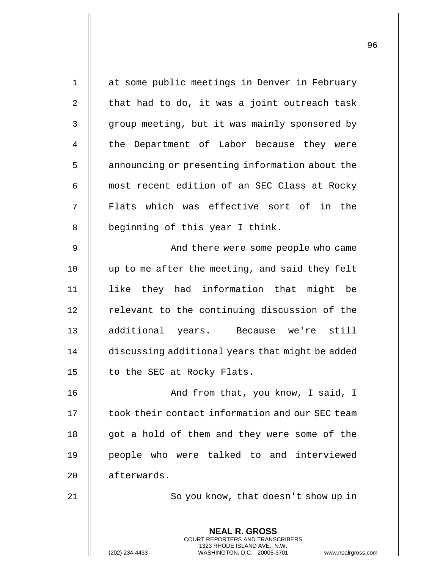| $\mathbf 1$    | at some public meetings in Denver in February                                                                                                                     |
|----------------|-------------------------------------------------------------------------------------------------------------------------------------------------------------------|
| $\overline{2}$ | that had to do, it was a joint outreach task                                                                                                                      |
| 3              | group meeting, but it was mainly sponsored by                                                                                                                     |
| 4              | the Department of Labor because they were                                                                                                                         |
| 5              | announcing or presenting information about the                                                                                                                    |
| 6              | most recent edition of an SEC Class at Rocky                                                                                                                      |
| 7              | Flats which was effective sort of in the                                                                                                                          |
| 8              | beginning of this year I think.                                                                                                                                   |
| 9              | And there were some people who came                                                                                                                               |
| 10             | up to me after the meeting, and said they felt                                                                                                                    |
| 11             | like they had information that might be                                                                                                                           |
| 12             | relevant to the continuing discussion of the                                                                                                                      |
| 13             | additional years. Because we're still                                                                                                                             |
| 14             | discussing additional years that might be added                                                                                                                   |
| 15             | to the SEC at Rocky Flats.                                                                                                                                        |
| 16             | And from that, you know, I said, I                                                                                                                                |
| 17             | took their contact information and our SEC team                                                                                                                   |
| 18             | got a hold of them and they were some of the                                                                                                                      |
| 19             | people who were talked to and interviewed                                                                                                                         |
| 20             | afterwards.                                                                                                                                                       |
| 21             | So you know, that doesn't show up in                                                                                                                              |
|                | <b>NEAL R. GROSS</b><br><b>COURT REPORTERS AND TRANSCRIBERS</b><br>1323 RHODE ISLAND AVE., N.W.<br>WASHINGTON, D.C. 20005-3701<br>(202) 234-4433<br>www.nealrgros |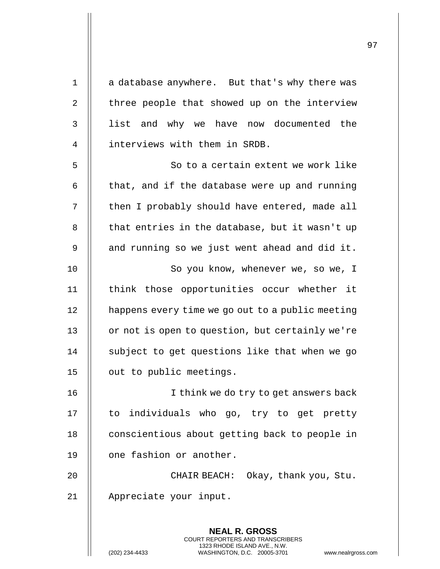| $\mathbf 1$ | a database anywhere. But that's why there was                                                   |
|-------------|-------------------------------------------------------------------------------------------------|
| 2           | three people that showed up on the interview                                                    |
| 3           | list and why we have now documented the                                                         |
| 4           | interviews with them in SRDB.                                                                   |
| 5           | So to a certain extent we work like                                                             |
| 6           | that, and if the database were up and running                                                   |
| 7           | then I probably should have entered, made all                                                   |
| 8           | that entries in the database, but it wasn't up                                                  |
| 9           | and running so we just went ahead and did it.                                                   |
| 10          | So you know, whenever we, so we, I                                                              |
| 11          | think those opportunities occur whether it                                                      |
| 12          | happens every time we go out to a public meeting                                                |
| 13          | or not is open to question, but certainly we're                                                 |
| 14          | subject to get questions like that when we go                                                   |
| 15          | out to public meetings.                                                                         |
| 16          | I think we do try to get answers back                                                           |
| 17          | to individuals who go, try to get pretty                                                        |
| 18          | conscientious about getting back to people in                                                   |
| 19          | one fashion or another.                                                                         |
| 20          | CHAIR BEACH: Okay, thank you, Stu.                                                              |
| 21          | Appreciate your input.                                                                          |
|             |                                                                                                 |
|             | <b>NEAL R. GROSS</b><br><b>COURT REPORTERS AND TRANSCRIBERS</b>                                 |
|             | 1323 RHODE ISLAND AVE., N.W.<br>WASHINGTON, D.C. 20005-3701<br>(202) 234-4433<br>www.nealrgross |

(202) 234-4433 WASHINGTON, D.C. 20005-3701 www.nealrgross.com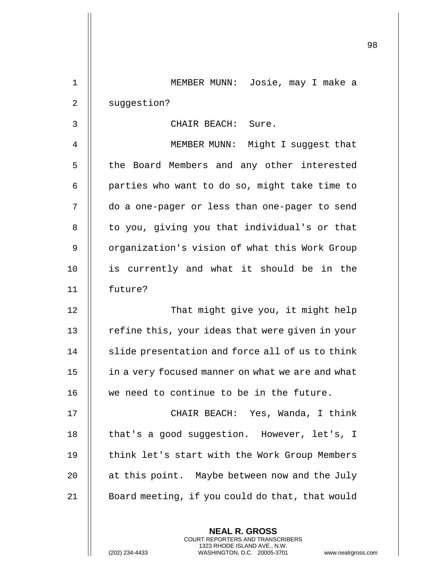| $\mathbf{1}$   | MEMBER MUNN: Josie, may I make a                 |
|----------------|--------------------------------------------------|
| 2              | suggestion?                                      |
| 3              | CHAIR BEACH: Sure.                               |
| $\overline{4}$ | MEMBER MUNN: Might I suggest that                |
| 5              | the Board Members and any other interested       |
| 6              | parties who want to do so, might take time to    |
| 7              | do a one-pager or less than one-pager to send    |
| 8              | to you, giving you that individual's or that     |
| 9              | organization's vision of what this Work Group    |
| 10             | is currently and what it should be in the        |
| 11             | future?                                          |
| 12             | That might give you, it might help               |
| 13             | refine this, your ideas that were given in your  |
| 14             | slide presentation and force all of us to think  |
| 15             | in a very focused manner on what we are and what |
| 16             | we need to continue to be in the future.         |
| 17             | CHAIR BEACH: Yes, Wanda, I think                 |
| 18             | that's a good suggestion. However, let's, I      |
| 19             | think let's start with the Work Group Members    |
| 20             | at this point. Maybe between now and the July    |
| 21             | Board meeting, if you could do that, that would  |
|                |                                                  |

**NEAL R. GROSS** COURT REPORTERS AND TRANSCRIBERS 1323 RHODE ISLAND AVE., N.W.

(202) 234-4433 WASHINGTON, D.C. 20005-3701 www.nealrgross.com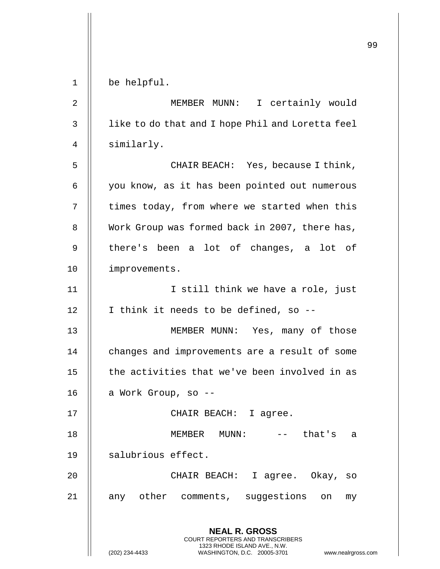**NEAL R. GROSS** COURT REPORTERS AND TRANSCRIBERS 1323 RHODE ISLAND AVE., N.W. (202) 234-4433 WASHINGTON, D.C. 20005-3701 www.nealrgross.com 1 be helpful. 2 MEMBER MUNN: I certainly would 3 | like to do that and I hope Phil and Loretta feel 4 | similarly. 5 || CHAIR BEACH: Yes, because I think, 6 | you know, as it has been pointed out numerous  $7$   $\parallel$  times today, from where we started when this 8 Work Group was formed back in 2007, there has, 9 || there's been a lot of changes, a lot of 10 improvements. 11 || I still think we have a role, just  $12$  | I think it needs to be defined, so --13 || MEMBER MUNN: Yes, many of those 14 | changes and improvements are a result of some 15  $\parallel$  the activities that we've been involved in as  $16$  | a Work Group, so --17 || CHAIR BEACH: I agree. 18 MEMBER MUNN: -- that's a 19 || salubrious effect. 20 CHAIR BEACH: I agree. Okay, so 21 || any other comments, suggestions on my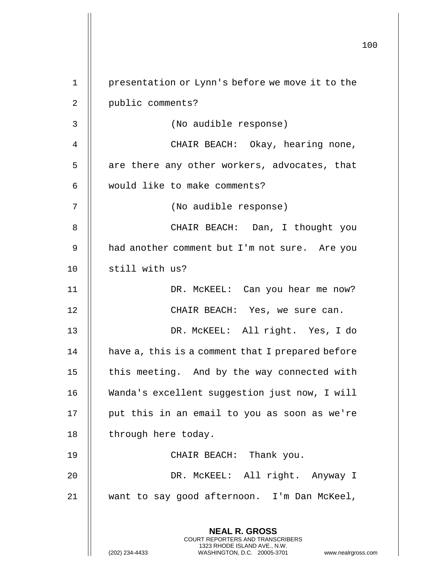|                |                                                                                                                                                               | 1( |
|----------------|---------------------------------------------------------------------------------------------------------------------------------------------------------------|----|
|                |                                                                                                                                                               |    |
| $\mathbf 1$    | presentation or Lynn's before we move it to the                                                                                                               |    |
| $\overline{2}$ | public comments?                                                                                                                                              |    |
| 3              | (No audible response)                                                                                                                                         |    |
| 4              | CHAIR BEACH: Okay, hearing none,                                                                                                                              |    |
| 5              | are there any other workers, advocates, that                                                                                                                  |    |
| 6              | would like to make comments?                                                                                                                                  |    |
| 7              | (No audible response)                                                                                                                                         |    |
| 8              | CHAIR BEACH: Dan, I thought you                                                                                                                               |    |
| 9              | had another comment but I'm not sure. Are you                                                                                                                 |    |
| 10             | still with us?                                                                                                                                                |    |
| 11             | DR. MCKEEL: Can you hear me now?                                                                                                                              |    |
| 12             | CHAIR BEACH: Yes, we sure can.                                                                                                                                |    |
| 13             | DR. MCKEEL: All right. Yes, I do                                                                                                                              |    |
| 14             | have a, this is a comment that I prepared before                                                                                                              |    |
| 15             | this meeting. And by the way connected with                                                                                                                   |    |
| 16             | Wanda's excellent suggestion just now, I will                                                                                                                 |    |
| 17             | put this in an email to you as soon as we're                                                                                                                  |    |
| 18             | through here today.                                                                                                                                           |    |
| 19             | CHAIR BEACH: Thank you.                                                                                                                                       |    |
| 20             | DR. MCKEEL: All right. Anyway I                                                                                                                               |    |
| 21             | want to say good afternoon. I'm Dan McKeel,                                                                                                                   |    |
|                | <b>NEAL R. GROSS</b><br>COURT REPORTERS AND TRANSCRIBERS<br>1323 RHODE ISLAND AVE., N.W.<br>(202) 234-4433<br>www.nealrgross.c<br>WASHINGTON, D.C. 20005-3701 |    |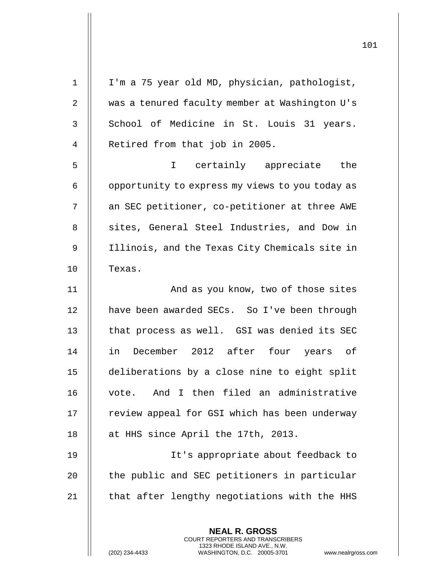| $\mathbf{1}$ | I'm a 75 year old MD, physician, pathologist,                                                                                                  |
|--------------|------------------------------------------------------------------------------------------------------------------------------------------------|
| 2            | was a tenured faculty member at Washington U's                                                                                                 |
| 3            | School of Medicine in St. Louis 31 years.                                                                                                      |
| 4            | Retired from that job in 2005.                                                                                                                 |
| 5            | certainly appreciate the<br>$\mathbf I$                                                                                                        |
| 6            | opportunity to express my views to you today as                                                                                                |
| 7            | an SEC petitioner, co-petitioner at three AWE                                                                                                  |
| 8            | sites, General Steel Industries, and Dow in                                                                                                    |
| 9            | Illinois, and the Texas City Chemicals site in                                                                                                 |
| 10           | Texas.                                                                                                                                         |
| 11           | And as you know, two of those sites                                                                                                            |
| 12           | have been awarded SECs. So I've been through                                                                                                   |
| 13           | that process as well. GSI was denied its SEC                                                                                                   |
| 14           | December 2012 after four years of<br>in                                                                                                        |
| 15           | deliberations by a close nine to eight split                                                                                                   |
| 16           | vote. And I then filed an administrative                                                                                                       |
| 17           | review appeal for GSI which has been underway                                                                                                  |
| 18           | at HHS since April the 17th, 2013.                                                                                                             |
| 19           | It's appropriate about feedback to                                                                                                             |
| 20           | the public and SEC petitioners in particular                                                                                                   |
| 21           | that after lengthy negotiations with the HHS                                                                                                   |
|              | <b>NEAL R. GROSS</b>                                                                                                                           |
|              | <b>COURT REPORTERS AND TRANSCRIBERS</b><br>1323 RHODE ISLAND AVE., N.W.<br>(202) 234-4433<br>WASHINGTON, D.C. 20005-3701<br>www.nealrgross.com |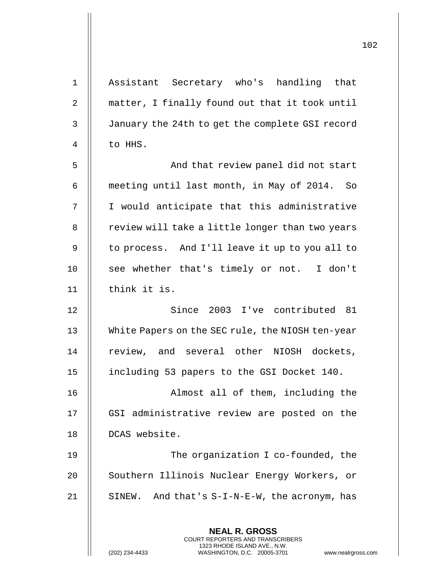| $\mathbf 1$    | Assistant Secretary who's handling that          |
|----------------|--------------------------------------------------|
| $\overline{2}$ | matter, I finally found out that it took until   |
| $\mathsf 3$    | January the 24th to get the complete GSI record  |
| $\overline{4}$ | to HHS.                                          |
| 5              | And that review panel did not start              |
| 6              | meeting until last month, in May of 2014. So     |
| 7              | I would anticipate that this administrative      |
| 8              | review will take a little longer than two years  |
| 9              | to process. And I'll leave it up to you all to   |
| 10             | see whether that's timely or not. I don't        |
| 11             | think it is.                                     |
| 12             | Since 2003 I've contributed 81                   |
| 13             | White Papers on the SEC rule, the NIOSH ten-year |
| 14             | review, and several other NIOSH dockets,         |
| 15             | including 53 papers to the GSI Docket 140.       |
| 16             | Almost all of them, including the                |
| 17             | GSI administrative review are posted on the      |
| 18             | DCAS website.                                    |
| 19             | The organization I co-founded, the               |
| 20             | Southern Illinois Nuclear Energy Workers, or     |
| 21             | SINEW. And that's S-I-N-E-W, the acronym, has    |
|                |                                                  |
|                | <b>NEAL R. GROSS</b>                             |

COURT REPORTERS AND TRANSCRIBERS 1323 RHODE ISLAND AVE., N.W.

(202) 234-4433 WASHINGTON, D.C. 20005-3701 www.nealrgross.com

 $\prod$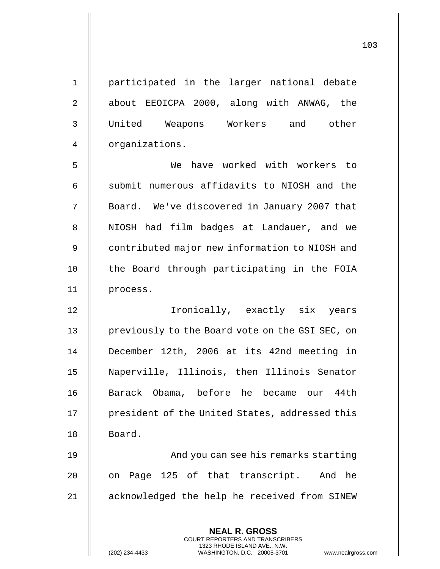**NEAL R. GROSS** 1 participated in the larger national debate 2 | about EEOICPA 2000, along with ANWAG, the 3 United Weapons Workers and other 4 | organizations. 5 We have worked with workers to  $6$   $\parallel$  submit numerous affidavits to NIOSH and the 7 || Board. We've discovered in January 2007 that 8 || NIOSH had film badges at Landauer, and we 9 | contributed major new information to NIOSH and 10 || the Board through participating in the FOIA 11 process. 12 Ironically, exactly six years 13 | previously to the Board vote on the GSI SEC, on 14 December 12th, 2006 at its 42nd meeting in 15 Naperville, Illinois, then Illinois Senator 16 || Barack Obama, before he became our 44th 17 || president of the United States, addressed this 18 | Board. 19 || And you can see his remarks starting 20 || on Page 125 of that transcript. And he 21 acknowledged the help he received from SINEW

> COURT REPORTERS AND TRANSCRIBERS 1323 RHODE ISLAND AVE., N.W.

(202) 234-4433 WASHINGTON, D.C. 20005-3701 www.nealrgross.com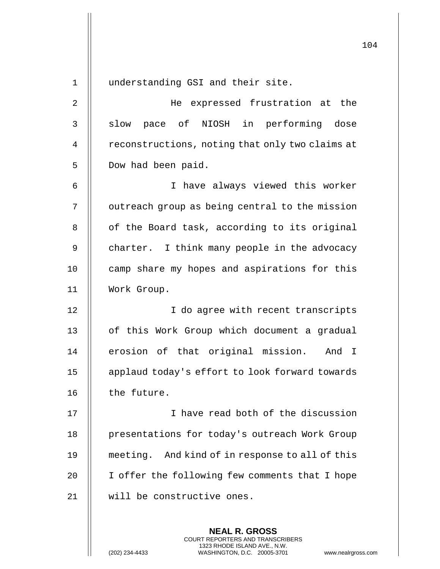104 1 | understanding GSI and their site. 2 He expressed frustration at the 3 || slow pace of NIOSH in performing dose 4 | reconstructions, noting that only two claims at 5 | Dow had been paid. 6 I have always viewed this worker 7 | outreach group as being central to the mission  $8$  | of the Board task, according to its original 9 | charter. I think many people in the advocacy 10 || camp share my hopes and aspirations for this 11 Work Group. 12 || T do aqree with recent transcripts 13 || of this Work Group which document a gradual 14 || erosion of that original mission. And I 15 || applaud today's effort to look forward towards 16 | the future. 17 || I have read both of the discussion 18 | presentations for today's outreach Work Group 19 meeting. And kind of in response to all of this 20 | I offer the following few comments that I hope 21 will be constructive ones.

> **NEAL R. GROSS** COURT REPORTERS AND TRANSCRIBERS 1323 RHODE ISLAND AVE., N.W.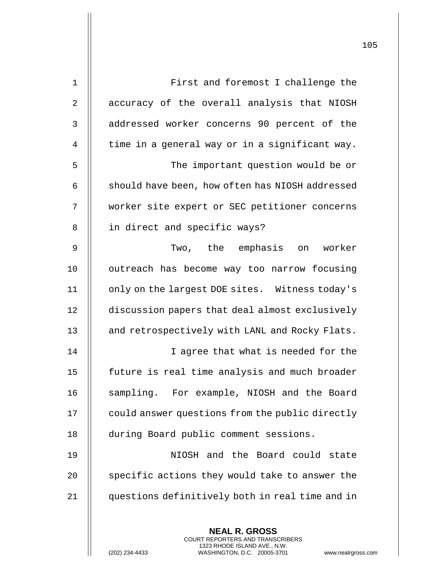| $\mathbf 1$ | First and foremost I challenge the                                                                                                                                |
|-------------|-------------------------------------------------------------------------------------------------------------------------------------------------------------------|
| 2           | accuracy of the overall analysis that NIOSH                                                                                                                       |
| 3           | addressed worker concerns 90 percent of the                                                                                                                       |
| 4           | time in a general way or in a significant way.                                                                                                                    |
| 5           | The important question would be or                                                                                                                                |
| 6           | should have been, how often has NIOSH addressed                                                                                                                   |
| 7           | worker site expert or SEC petitioner concerns                                                                                                                     |
| 8           | in direct and specific ways?                                                                                                                                      |
| 9           | Two, the emphasis on worker                                                                                                                                       |
| 10          | outreach has become way too narrow focusing                                                                                                                       |
| 11          | only on the largest DOE sites. Witness today's                                                                                                                    |
| 12          | discussion papers that deal almost exclusively                                                                                                                    |
| 13          | and retrospectively with LANL and Rocky Flats.                                                                                                                    |
| 14          | I agree that what is needed for the                                                                                                                               |
| 15          | future is real time analysis and much broader                                                                                                                     |
| 16          | sampling. For example, NIOSH and the Board                                                                                                                        |
| 17          | could answer questions from the public directly                                                                                                                   |
| 18          | during Board public comment sessions.                                                                                                                             |
| 19          | NIOSH and the Board could state                                                                                                                                   |
| 20          | specific actions they would take to answer the                                                                                                                    |
| 21          | questions definitively both in real time and in                                                                                                                   |
|             |                                                                                                                                                                   |
|             | <b>NEAL R. GROSS</b><br><b>COURT REPORTERS AND TRANSCRIBERS</b><br>1323 RHODE ISLAND AVE., N.W.<br>(202) 234-4433<br>WASHINGTON, D.C. 20005-3701<br>www.nealrgros |

(202) 234-4433 WASHINGTON, D.C. 20005-3701 www.nealrgross.com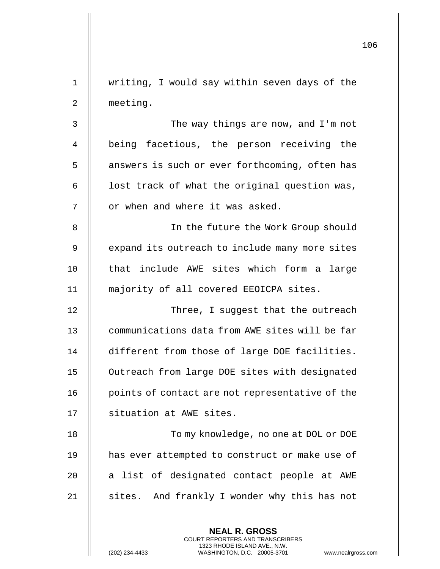|                |                                                                                                                                                                 | 106 |
|----------------|-----------------------------------------------------------------------------------------------------------------------------------------------------------------|-----|
| $\mathbf 1$    | writing, I would say within seven days of the                                                                                                                   |     |
| $\overline{2}$ | meeting.                                                                                                                                                        |     |
| 3              | The way things are now, and I'm not                                                                                                                             |     |
| 4              | being facetious, the person receiving the                                                                                                                       |     |
| 5              | answers is such or ever forthcoming, often has                                                                                                                  |     |
| 6              | lost track of what the original question was,                                                                                                                   |     |
| 7              | or when and where it was asked.                                                                                                                                 |     |
| 8              | In the future the Work Group should                                                                                                                             |     |
| 9              | expand its outreach to include many more sites                                                                                                                  |     |
| 10             | that include AWE sites which form a large                                                                                                                       |     |
| 11             | majority of all covered EEOICPA sites.                                                                                                                          |     |
| 12             | Three, I suggest that the outreach                                                                                                                              |     |
| 13             | communications data from AWE sites will be far                                                                                                                  |     |
| 14             | different from those of large DOE facilities.                                                                                                                   |     |
| 15             | Outreach from large DOE sites with designated                                                                                                                   |     |
| 16             | points of contact are not representative of the                                                                                                                 |     |
| 17             | situation at AWE sites.                                                                                                                                         |     |
| 18             | To my knowledge, no one at DOL or DOE                                                                                                                           |     |
| 19             | has ever attempted to construct or make use of                                                                                                                  |     |
| 20             | a list of designated contact people at AWE                                                                                                                      |     |
| 21             | sites. And frankly I wonder why this has not                                                                                                                    |     |
|                | <b>NEAL R. GROSS</b><br>COURT REPORTERS AND TRANSCRIBERS<br>1323 RHODE ISLAND AVE., N.W.<br>(202) 234-4433<br>WASHINGTON, D.C. 20005-3701<br>www.nealrgross.com |     |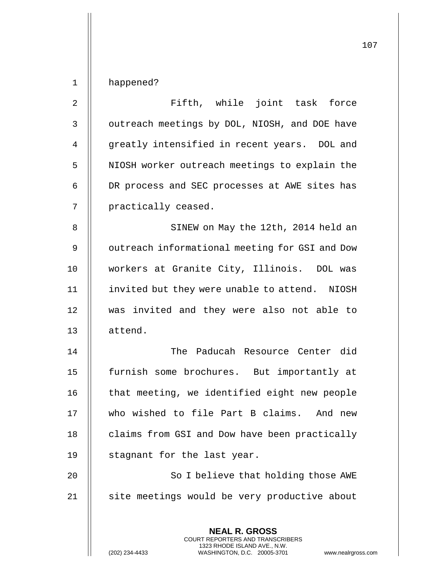## 1 | happened?

| $\overline{2}$ | Fifth, while joint task force                                                                   |
|----------------|-------------------------------------------------------------------------------------------------|
| $\mathsf 3$    | outreach meetings by DOL, NIOSH, and DOE have                                                   |
| 4              | greatly intensified in recent years. DOL and                                                    |
| 5              | NIOSH worker outreach meetings to explain the                                                   |
| 6              | DR process and SEC processes at AWE sites has                                                   |
| 7              | practically ceased.                                                                             |
| 8              | SINEW on May the 12th, 2014 held an                                                             |
| 9              | outreach informational meeting for GSI and Dow                                                  |
| 10             | workers at Granite City, Illinois. DOL was                                                      |
| 11             | invited but they were unable to attend. NIOSH                                                   |
| 12             | was invited and they were also not able to                                                      |
| 13             | attend.                                                                                         |
| 14             | The Paducah Resource Center did                                                                 |
| 15             | furnish some brochures. But importantly at                                                      |
| 16             | that meeting, we identified eight new people                                                    |
| 17             | who wished to file Part B claims. And new                                                       |
| 18             | claims from GSI and Dow have been practically                                                   |
| 19             | stagnant for the last year.                                                                     |
| 20             | So I believe that holding those AWE                                                             |
| 21             | site meetings would be very productive about                                                    |
|                | <b>NEAL R. GROSS</b><br>COURT REPORTERS AND TRANSCRIBERS                                        |
|                | 1323 RHODE ISLAND AVE., N.W.<br>(202) 234-4433<br>WASHINGTON, D.C. 20005-3701<br>www.nealrgross |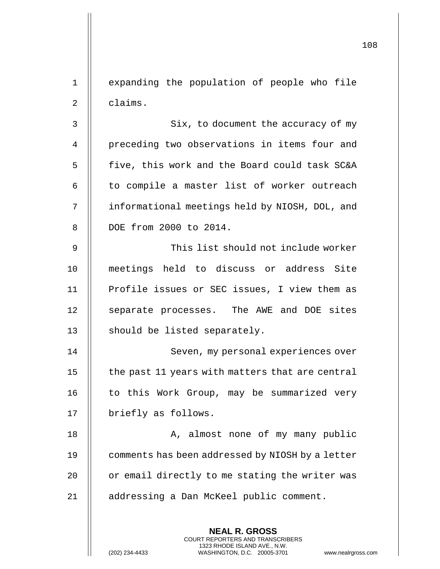1 || expanding the population of people who file  $2 \parallel$  claims.

3 | Six, to document the accuracy of my 4 | preceding two observations in items four and 5 | five, this work and the Board could task SC&A 6 || to compile a master list of worker outreach 7 | informational meetings held by NIOSH, DOL, and 8 DOE from 2000 to 2014.

9 This list should not include worker 10 meetings held to discuss or address Site 11 || Profile issues or SEC issues, I view them as 12 || separate processes. The AWE and DOE sites 13 || should be listed separately.

14 || Seven, my personal experiences over 15  $\parallel$  the past 11 years with matters that are central 16 || to this Work Group, may be summarized very 17 | briefly as follows.

18 || A, almost none of my many public **comments has been addressed by NIOSH** by a letter  $\parallel$  or email directly to me stating the writer was addressing a Dan McKeel public comment.

> **NEAL R. GROSS** COURT REPORTERS AND TRANSCRIBERS 1323 RHODE ISLAND AVE., N.W.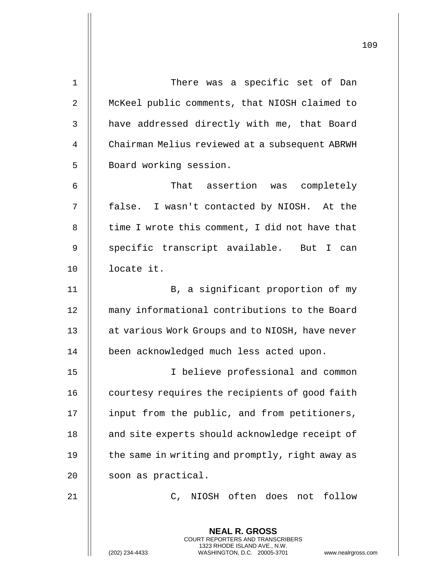| $\mathbf 1$    | There was a specific set of Dan                                                                                                                                   |
|----------------|-------------------------------------------------------------------------------------------------------------------------------------------------------------------|
| $\overline{2}$ | McKeel public comments, that NIOSH claimed to                                                                                                                     |
| 3              | have addressed directly with me, that Board                                                                                                                       |
| 4              | Chairman Melius reviewed at a subsequent ABRWH                                                                                                                    |
| 5              | Board working session.                                                                                                                                            |
| 6              | That assertion was completely                                                                                                                                     |
| 7              | false. I wasn't contacted by NIOSH. At the                                                                                                                        |
| 8              | time I wrote this comment, I did not have that                                                                                                                    |
| 9              | specific transcript available. But I can                                                                                                                          |
| 10             | locate it.                                                                                                                                                        |
| 11             | B, a significant proportion of my                                                                                                                                 |
| 12             | many informational contributions to the Board                                                                                                                     |
| 13             | at various Work Groups and to NIOSH, have never                                                                                                                   |
| 14             | been acknowledged much less acted upon.                                                                                                                           |
| 15             | I believe professional and common                                                                                                                                 |
| 16             | courtesy requires the recipients of good faith                                                                                                                    |
| 17             | input from the public, and from petitioners,                                                                                                                      |
| 18             | and site experts should acknowledge receipt of                                                                                                                    |
| 19             | the same in writing and promptly, right away as                                                                                                                   |
| 20             | soon as practical.                                                                                                                                                |
| 21             | C, NIOSH often does not follow                                                                                                                                    |
|                |                                                                                                                                                                   |
|                | <b>NEAL R. GROSS</b><br><b>COURT REPORTERS AND TRANSCRIBERS</b><br>1323 RHODE ISLAND AVE., N.W.<br>WASHINGTON, D.C. 20005-3701<br>(202) 234-4433<br>www.nealrgros |

(202) 234-4433 WASHINGTON, D.C. 20005-3701 www.nealrgross.com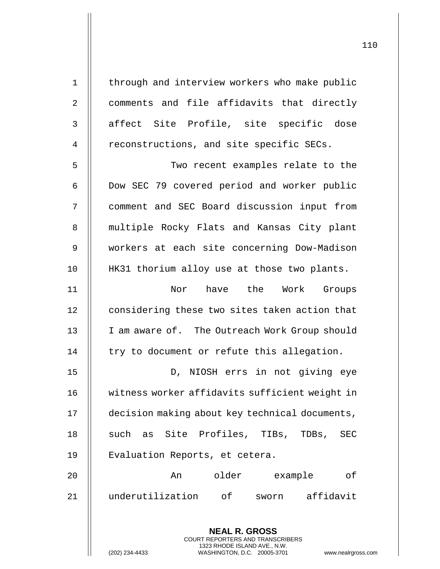1 | through and interview workers who make public 2 | comments and file affidavits that directly 3 || affect Site Profile, site specific dose 4 | reconstructions, and site specific SECs. 5 || Two recent examples relate to the 6 | Dow SEC 79 covered period and worker public 7 comment and SEC Board discussion input from 8 || multiple Rocky Flats and Kansas City plant 9 workers at each site concerning Dow-Madison 10 || HK31 thorium alloy use at those two plants. 11 Nor have the Work Groups 12 | considering these two sites taken action that 13 || I am aware of. The Outreach Work Group should  $14$  | try to document or refute this allegation. 15 || D, NIOSH errs in not giving eye 16 witness worker affidavits sufficient weight in 17 decision making about key technical documents, 18 || such as Site Profiles, TIBs, TDBs, SEC

20 An older example of 21 underutilization of sworn affidavit

19 || Evaluation Reports, et cetera.

**NEAL R. GROSS** COURT REPORTERS AND TRANSCRIBERS 1323 RHODE ISLAND AVE., N.W.

(202) 234-4433 WASHINGTON, D.C. 20005-3701 www.nealrgross.com

110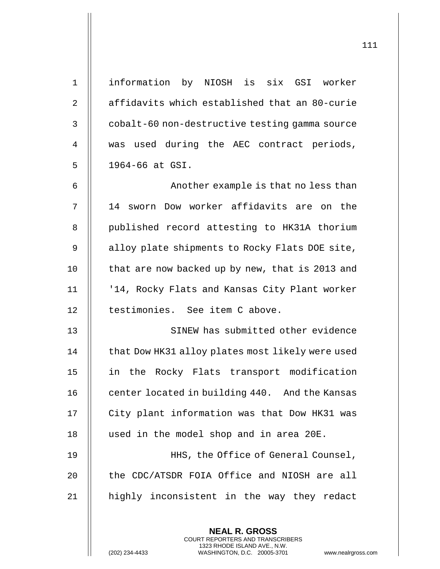| $\mathbf 1$    | information by NIOSH is six GSI worker                                                                                                    |
|----------------|-------------------------------------------------------------------------------------------------------------------------------------------|
| $\overline{2}$ | affidavits which established that an 80-curie                                                                                             |
| 3              | cobalt-60 non-destructive testing gamma source                                                                                            |
| 4              | used during the AEC contract periods,<br>was                                                                                              |
| 5              | 1964-66 at GSI.                                                                                                                           |
| 6              | Another example is that no less than                                                                                                      |
| 7              | 14 sworn Dow worker affidavits are on the                                                                                                 |
| 8              | published record attesting to HK31A thorium                                                                                               |
| 9              | alloy plate shipments to Rocky Flats DOE site,                                                                                            |
| 10             | that are now backed up by new, that is 2013 and                                                                                           |
| 11             | '14, Rocky Flats and Kansas City Plant worker                                                                                             |
| 12             | testimonies. See item C above.                                                                                                            |
| 13             | SINEW has submitted other evidence                                                                                                        |
| 14             | that Dow HK31 alloy plates most likely were used                                                                                          |
| 15             | in the Rocky Flats transport modification                                                                                                 |
| 16             | center located in building 440. And the Kansas                                                                                            |
| 17             | City plant information was that Dow HK31 was                                                                                              |
| 18             | used in the model shop and in area 20E.                                                                                                   |
| 19             | HHS, the Office of General Counsel,                                                                                                       |
| 20             | the CDC/ATSDR FOIA Office and NIOSH are all                                                                                               |
| 21             | highly inconsistent in the way they redact                                                                                                |
|                | <b>NEAL R. GROSS</b>                                                                                                                      |
|                | <b>COURT REPORTERS AND TRANSCRIBERS</b><br>1323 RHODE ISLAND AVE., N.W.<br>(202) 234-4433<br>WASHINGTON, D.C. 20005-3701<br>www.nealrgros |

(202) 234-4433 WASHINGTON, D.C. 20005-3701 www.nealrgross.com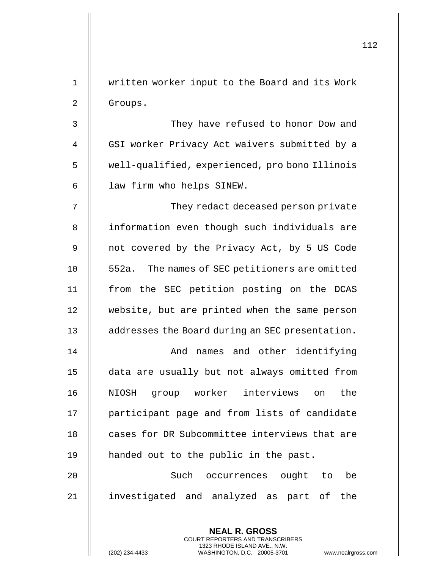|             |                                                          | 112 |
|-------------|----------------------------------------------------------|-----|
| $\mathbf 1$ | written worker input to the Board and its Work           |     |
| 2           | Groups.                                                  |     |
| 3           | They have refused to honor Dow and                       |     |
| 4           | GSI worker Privacy Act waivers submitted by a            |     |
| 5           | well-qualified, experienced, pro bono Illinois           |     |
| 6           | law firm who helps SINEW.                                |     |
| 7           | They redact deceased person private                      |     |
|             |                                                          |     |
| 8           | information even though such individuals are             |     |
| 9           | not covered by the Privacy Act, by 5 US Code             |     |
| 10          | 552a. The names of SEC petitioners are omitted           |     |
| 11          | from the SEC petition posting on the DCAS                |     |
| 12          | website, but are printed when the same person            |     |
| 13          | addresses the Board during an SEC presentation.          |     |
| 14          | names and other identifying<br>And                       |     |
| 15          | data are usually but not always omitted from             |     |
| 16          | NIOSH group worker interviews on the                     |     |
| 17          | participant page and from lists of candidate             |     |
| 18          | cases for DR Subcommittee interviews that are            |     |
| 19          | handed out to the public in the past.                    |     |
| 20          | Such occurrences ought to be                             |     |
| 21          | investigated and analyzed as part of the                 |     |
|             |                                                          |     |
|             | <b>NEAL R. GROSS</b><br>COURT REPORTERS AND TRANSCRIBERS |     |

1323 RHODE ISLAND AVE., N.W.

 $\prod$ 

(202) 234-4433 WASHINGTON, D.C. 20005-3701 www.nealrgross.com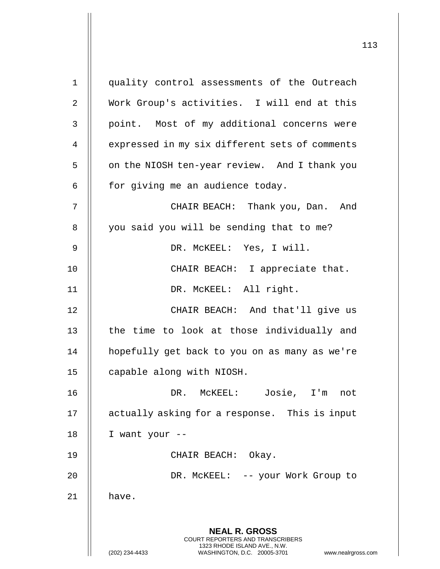**NEAL R. GROSS** COURT REPORTERS AND TRANSCRIBERS 1323 RHODE ISLAND AVE., N.W. (202) 234-4433 WASHINGTON, D.C. 20005-3701 www.nealrgross.com 1 quality control assessments of the Outreach 2 Work Group's activities. I will end at this 3 || point. Most of my additional concerns were 4 | expressed in my six different sets of comments 5 | on the NIOSH ten-year review. And I thank you  $6$  || for giving me an audience today. 7 CHAIR BEACH: Thank you, Dan. And 8 || you said you will be sending that to me? 9 DR. McKEEL: Yes, I will. 10 || CHAIR BEACH: I appreciate that. 11 DR. McKEEL: All right. 12 || CHAIR BEACH: And that'll give us 13 || the time to look at those individually and 14 hopefully get back to you on as many as we're 15 | capable along with NIOSH. 16 DR. McKEEL: Josie, I'm not 17 || actually asking for a response. This is input  $18$  || I want your --19 CHAIR BEACH: Okay. 20 DR. McKEEL: -- your Work Group to  $21$   $\parallel$  have.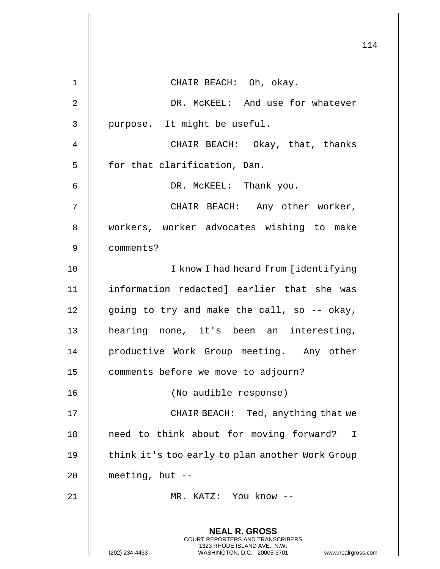114 **NEAL R. GROSS** COURT REPORTERS AND TRANSCRIBERS 1323 RHODE ISLAND AVE., N.W. (202) 234-4433 WASHINGTON, D.C. 20005-3701 www.nealrgross.com 1 || CHAIR BEACH: Oh, okay. 2 | DR. McKEEL: And use for whatever  $3$  | purpose. It might be useful. 4 CHAIR BEACH: Okay, that, thanks 5 | for that clarification, Dan. 6 DR. McKEEL: Thank you. 7 CHAIR BEACH: Any other worker, 8 || workers, worker advocates wishing to make 9 comments? 10 || I know I had heard from [identifying 11 information redacted] earlier that she was 12  $\parallel$  going to try and make the call, so -- okay, 13 || hearing none, it's been an interesting, 14 || productive Work Group meeting. Any other 15 | comments before we move to adjourn? 16 (No audible response) 17 || CHAIR BEACH: Ted, anything that we 18 || need to think about for moving forward? I 19 || think it's too early to plan another Work Group 20  $\parallel$  meeting, but --21 MR. KATZ: You know --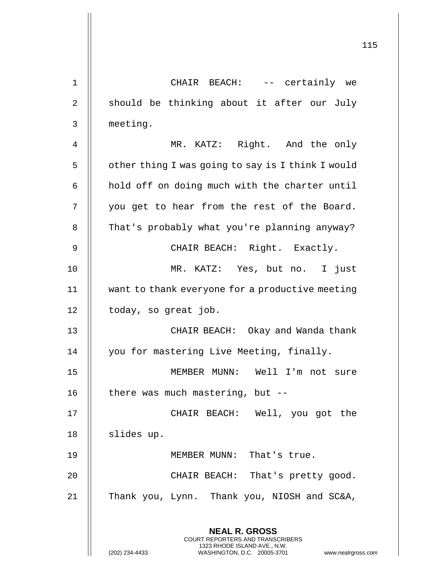|                | 115                                                                                                                                                                    |
|----------------|------------------------------------------------------------------------------------------------------------------------------------------------------------------------|
| $\mathbf 1$    | CHAIR BEACH: -- certainly we                                                                                                                                           |
|                |                                                                                                                                                                        |
| $\overline{2}$ | should be thinking about it after our July                                                                                                                             |
| 3              | meeting.                                                                                                                                                               |
| 4              | MR. KATZ: Right. And the only                                                                                                                                          |
| 5              | other thing I was going to say is I think I would                                                                                                                      |
| 6              | hold off on doing much with the charter until                                                                                                                          |
| 7              | you get to hear from the rest of the Board.                                                                                                                            |
| 8              | That's probably what you're planning anyway?                                                                                                                           |
| 9              | CHAIR BEACH: Right. Exactly.                                                                                                                                           |
| 10             | MR. KATZ: Yes, but no. I just                                                                                                                                          |
| 11             | want to thank everyone for a productive meeting                                                                                                                        |
| 12             | today, so great job.                                                                                                                                                   |
| 13             | CHAIR BEACH: Okay and Wanda thank                                                                                                                                      |
| 14             | you for mastering Live Meeting, finally.                                                                                                                               |
| 15             | MEMBER MUNN: Well I'm not sure                                                                                                                                         |
| 16             | there was much mastering, but $-$ -                                                                                                                                    |
| 17             | CHAIR BEACH: Well, you got the                                                                                                                                         |
| 18             | slides up.                                                                                                                                                             |
| 19             | MEMBER MUNN: That's true.                                                                                                                                              |
| 20             | CHAIR BEACH: That's pretty good.                                                                                                                                       |
| 21             | Thank you, Lynn. Thank you, NIOSH and SC&A,                                                                                                                            |
|                | <b>NEAL R. GROSS</b><br><b>COURT REPORTERS AND TRANSCRIBERS</b><br>1323 RHODE ISLAND AVE., N.W.<br>(202) 234-4433<br>WASHINGTON, D.C. 20005-3701<br>www.nealrgross.com |
|                |                                                                                                                                                                        |